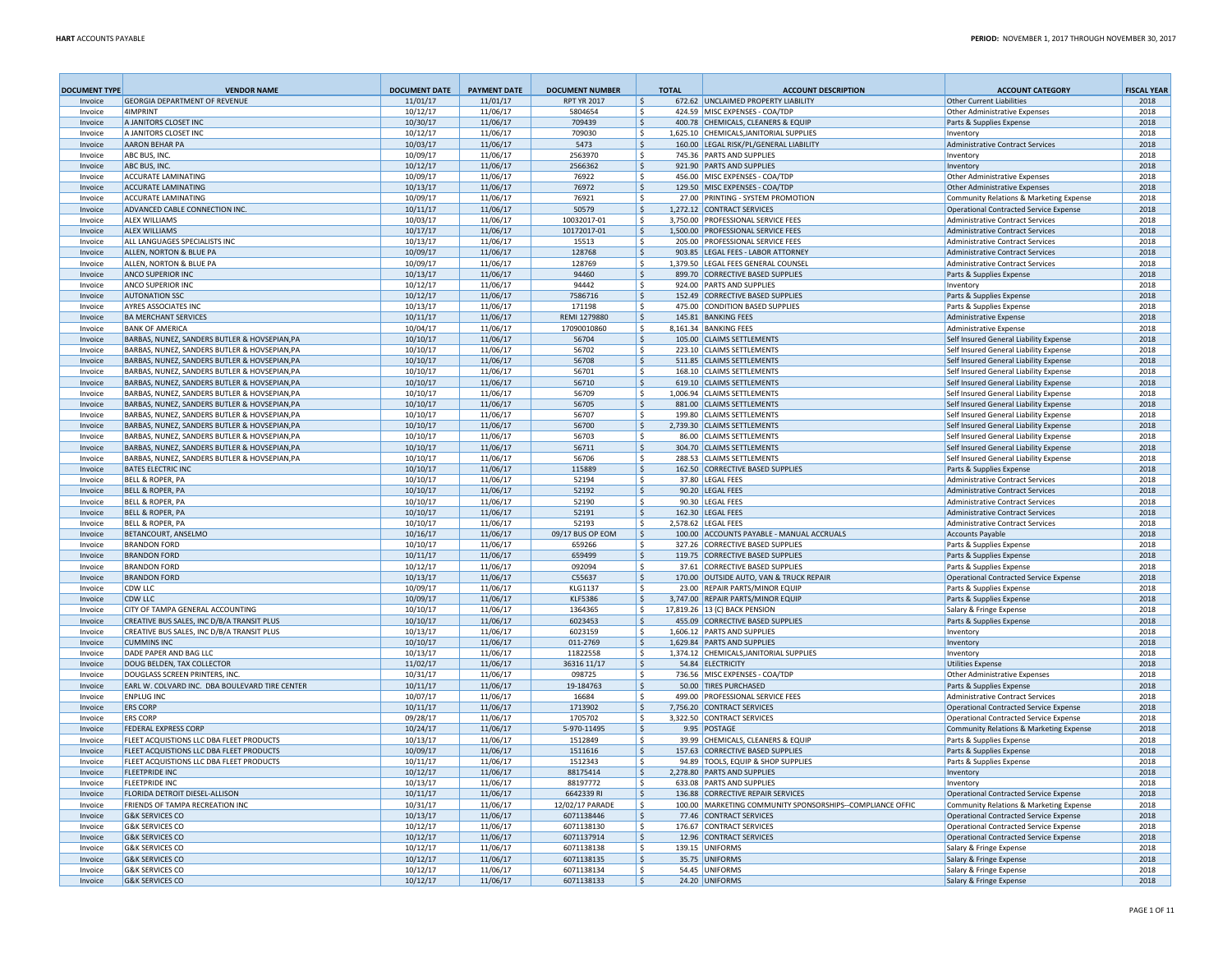| <b>DOCUMENT TYPE</b> | <b>VENDOR NAME</b>                                                                             | <b>DOCUMENT DATE</b> | <b>PAYMENT DATE</b>  | <b>DOCUMENT NUMBER</b> | <b>TOTAL</b>  | <b>ACCOUNT DESCRIPTION</b>                                                        | <b>ACCOUNT CATEGORY</b>                                                          | <b>FISCAL YEAR</b> |
|----------------------|------------------------------------------------------------------------------------------------|----------------------|----------------------|------------------------|---------------|-----------------------------------------------------------------------------------|----------------------------------------------------------------------------------|--------------------|
| Invoice              | <b>GEORGIA DEPARTMENT OF REVENUE</b>                                                           | 11/01/17             | 11/01/17             | <b>RPT YR 2017</b>     | l s           | 672.62 UNCLAIMED PROPERTY LIABILITY                                               | Other Current Liabilities                                                        | 2018               |
| Invoice              | 4IMPRINT                                                                                       | 10/12/17             | 11/06/17             | 5804654                | Ŝ             | 424.59 MISC EXPENSES - COA/TDP                                                    | Other Administrative Expenses                                                    | 2018               |
| Invoice<br>Invoice   | A JANITORS CLOSET INC                                                                          | 10/30/17             | 11/06/17             | 709439                 | S.<br>-Ŝ      | 400.78 CHEMICALS, CLEANERS & EQUIP                                                | Parts & Supplies Expense<br>Inventory                                            | 2018               |
| Invoice              | A JANITORS CLOSET INC<br><b>AARON BEHAR PA</b>                                                 | 10/12/17<br>10/03/17 | 11/06/17<br>11/06/17 | 709030<br>5473         | Ŝ.            | 1,625.10 CHEMICALS, JANITORIAL SUPPLIES<br>160.00 LEGAL RISK/PL/GENERAL LIABILITY | Administrative Contract Services                                                 | 2018<br>2018       |
| Invoice              | ABC BUS. INC                                                                                   | 10/09/17             | 11/06/17             | 2563970                | -Ŝ            | 745.36 PARTS AND SUPPLIES                                                         | Inventory                                                                        | 2018               |
| Invoice              | ABC BUS, INC                                                                                   | 10/12/17             | 11/06/17             | 2566362                | S.            | 921.90 PARTS AND SUPPLIES                                                         | Inventory                                                                        | 2018               |
| Invoice              | <b>ACCURATE LAMINATING</b>                                                                     | 10/09/17             | 11/06/17             | 76922                  | Ŝ.            | 456.00 MISC EXPENSES - COA/TDP                                                    | <b>Other Administrative Expenses</b>                                             | 2018               |
| Invoice              | <b>ACCURATE LAMINATING</b>                                                                     | 10/13/17             | 11/06/17             | 76972                  | - Ś           | 129.50 MISC EXPENSES - COA/TDP                                                    | <b>Other Administrative Expenses</b>                                             | 2018               |
| Invoice              | <b>ACCURATE LAMINATING</b>                                                                     | 10/09/17             | 11/06/17             | 76921                  | Ŝ.            | 27.00 PRINTING - SYSTEM PROMOTION                                                 | Community Relations & Marketing Expense                                          | 2018               |
| Invoice              | ADVANCED CABLE CONNECTION INC.                                                                 | 10/11/17             | 11/06/17             | 50579                  | - Ś           | 1,272.12 CONTRACT SERVICES                                                        | Operational Contracted Service Expense                                           | 2018               |
| Invoice              | <b>ALEX WILLIAMS</b>                                                                           | 10/03/17             | 11/06/17             | 10032017-01            | - Ś           | 3,750.00 PROFESSIONAL SERVICE FEES                                                | Administrative Contract Services                                                 | 2018               |
| Invoice              | <b>ALEX WILLIAMS</b>                                                                           | 10/17/17             | 11/06/17             | 10172017-01            | l s           | 1.500.00 PROFESSIONAL SERVICE FEES                                                | <b>Administrative Contract Services</b>                                          | 2018               |
| Invoice              | ALL LANGUAGES SPECIALISTS INC                                                                  | 10/13/17             | 11/06/17             | 15513                  | - Ś           | 205.00 PROFESSIONAL SERVICE FEES                                                  | Administrative Contract Services                                                 | 2018               |
| Invoice              | ALLEN, NORTON & BLUE PA                                                                        | 10/09/17             | 11/06/17             | 128768                 | Ŝ.            | 903.85 LEGAL FEES - LABOR ATTORNEY                                                | <b>Administrative Contract Services</b>                                          | 2018               |
| Invoice              | ALLEN, NORTON & BLUE PA                                                                        | 10/09/17             | 11/06/17             | 128769                 | -\$           | 1,379.50 LEGAL FEES GENERAL COUNSEL                                               | <b>Administrative Contract Services</b>                                          | 2018               |
| Invoice<br>Invoice   | <b>ANCO SUPERIOR INC</b><br><b>ANCO SUPERIOR INC</b>                                           | 10/13/17<br>10/12/17 | 11/06/17<br>11/06/17 | 94460<br>94442         | -S<br>-\$     | 899.70 CORRECTIVE BASED SUPPLIES<br>924.00 PARTS AND SUPPLIES                     | Parts & Supplies Expense<br>Inventory                                            | 2018<br>2018       |
| Invoice              | <b>AUTONATION SSC</b>                                                                          | 10/12/17             | 11/06/17             | 7586716                | -S            | 152.49 CORRECTIVE BASED SUPPLIES                                                  | Parts & Supplies Expense                                                         | 2018               |
| Invoice              | AYRES ASSOCIATES INC                                                                           | 10/13/17             | 11/06/17             | 171198                 | -Ś            | 475.00 CONDITION BASED SUPPLIES                                                   | Parts & Supplies Expense                                                         | 2018               |
| Invoice              | <b>BA MERCHANT SERVICES</b>                                                                    | 10/11/17             | 11/06/17             | REMI 1279880           | -\$           | 145.81 BANKING FEES                                                               | <b>Administrative Expense</b>                                                    | 2018               |
| Invoice              | <b>BANK OF AMERICA</b>                                                                         | 10/04/17             | 11/06/17             | 17090010860            | - Ś           | 8,161.34 BANKING FEES                                                             | Administrative Expense                                                           | 2018               |
| Invoice              | BARBAS, NUNEZ, SANDERS BUTLER & HOVSEPIAN, PA                                                  | 10/10/17             | 11/06/17             | 56704                  | -\$           | 105.00 CLAIMS SETTLEMENTS                                                         | Self Insured General Liability Expense                                           | 2018               |
| Invoice              | BARBAS, NUNEZ, SANDERS BUTLER & HOVSEPIAN, PA                                                  | 10/10/17             | 11/06/17             | 56702                  | - Ś           | 223.10 CLAIMS SETTLEMENTS                                                         | Self Insured General Liability Expense                                           | 2018               |
| Invoice              | BARBAS, NUNEZ, SANDERS BUTLER & HOVSEPIAN, PA                                                  | 10/10/17             | 11/06/17             | 56708                  | \$            | 511.85 CLAIMS SETTLEMENTS                                                         | Self Insured General Liability Expense                                           | 2018               |
| Invoice              | BARBAS, NUNEZ, SANDERS BUTLER & HOVSEPIAN, PA                                                  | 10/10/17             | 11/06/17             | 56701                  | -\$           | 168.10 CLAIMS SETTLEMENTS                                                         | Self Insured General Liability Expense                                           | 2018               |
| Invoice              | BARBAS, NUNEZ, SANDERS BUTLER & HOVSEPIAN, PA                                                  | 10/10/17             | 11/06/17             | 56710                  | - Ś           | 619.10 CLAIMS SETTLEMENTS                                                         | Self Insured General Liability Expense                                           | 2018               |
| Invoice              | BARBAS, NUNEZ, SANDERS BUTLER & HOVSEPIAN, PA                                                  | 10/10/17             | 11/06/17             | 56709                  | \$            | 1,006.94 CLAIMS SETTLEMENTS                                                       | Self Insured General Liability Expense                                           | 2018               |
| Invoice              | BARBAS, NUNEZ, SANDERS BUTLER & HOVSEPIAN, PA                                                  | 10/10/17             | 11/06/17             | 56705                  | ۱\$           | 881.00 CLAIMS SETTLEMENTS                                                         | Self Insured General Liability Expense                                           | 2018               |
| Invoice              | BARBAS, NUNEZ, SANDERS BUTLER & HOVSEPIAN, PA                                                  | 10/10/17             | 11/06/17             | 56707                  | l\$           | 199.80 CLAIMS SETTLEMENTS                                                         | Self Insured General Liability Expense                                           | 2018               |
| Invoice              | BARBAS, NUNEZ, SANDERS BUTLER & HOVSEPIAN, PA                                                  | 10/10/17             | 11/06/17             | 56700                  | ۱\$.          | 2,739.30 CLAIMS SETTLEMENTS                                                       | Self Insured General Liability Expense                                           | 2018               |
| Invoice              | BARBAS, NUNEZ, SANDERS BUTLER & HOVSEPIAN, PA                                                  | 10/10/17             | 11/06/17             | 56703                  | ١s            | 86.00 CLAIMS SETTLEMENTS                                                          | Self Insured General Liability Expense                                           | 2018               |
| Invoice<br>Invoice   | BARBAS, NUNEZ, SANDERS BUTLER & HOVSEPIAN, PA<br>BARBAS, NUNEZ, SANDERS BUTLER & HOVSEPIAN, PA | 10/10/17<br>10/10/17 | 11/06/17<br>11/06/17 | 56711<br>56706         | S,<br>- Ś     | 304.70 CLAIMS SETTLEMENTS<br>288.53 CLAIMS SETTLEMENTS                            | Self Insured General Liability Expense<br>Self Insured General Liability Expense | 2018<br>2018       |
| Invoice              | <b>BATES ELECTRIC INC</b>                                                                      | 10/10/17             | 11/06/17             | 115889                 | -\$           | 162.50 CORRECTIVE BASED SUPPLIES                                                  | Parts & Supplies Expense                                                         | 2018               |
| Invoice              | <b>BELL &amp; ROPER, PA</b>                                                                    | 10/10/17             | 11/06/17             | 52194                  | -\$           | 37.80 LEGAL FEES                                                                  | Administrative Contract Services                                                 | 2018               |
| Invoice              | <b>BELL &amp; ROPER, PA</b>                                                                    | 10/10/17             | 11/06/17             | 52192                  | - Ś           | 90.20 LEGAL FEES                                                                  | Administrative Contract Services                                                 | 2018               |
| Invoice              | <b>BELL &amp; ROPER, PA</b>                                                                    | 10/10/17             | 11/06/17             | 52190                  | ۱s            | 90.30 LEGAL FEES                                                                  | <b>Administrative Contract Services</b>                                          | 2018               |
| Invoice              | <b>BELL &amp; ROPER, PA</b>                                                                    | 10/10/17             | 11/06/17             | 52191                  | - Ś           | 162.30 LEGAL FEES                                                                 | Administrative Contract Services                                                 | 2018               |
| Invoice              | <b>BELL &amp; ROPER, PA</b>                                                                    | 10/10/17             | 11/06/17             | 52193                  | -\$           | 2,578.62 LEGAL FEES                                                               | Administrative Contract Services                                                 | 2018               |
| Invoice              | <b>BETANCOURT, ANSELMO</b>                                                                     | 10/16/17             | 11/06/17             | 09/17 BUS OP EOM       | ۱\$           | 100.00 ACCOUNTS PAYABLE - MANUAL ACCRUALS                                         | <b>Accounts Payable</b>                                                          | 2018               |
| Invoice              | <b>BRANDON FORD</b>                                                                            | 10/10/17             | 11/06/17             | 659266                 | -S            | 327.26 CORRECTIVE BASED SUPPLIES                                                  | Parts & Supplies Expense                                                         | 2018               |
| Invoice              | <b>BRANDON FORD</b>                                                                            | 10/11/17             | 11/06/17             | 659499                 | -\$           | 119.75 CORRECTIVE BASED SUPPLIES                                                  | Parts & Supplies Expense                                                         | 2018               |
| Invoice              | <b>BRANDON FORD</b>                                                                            | 10/12/17             | 11/06/17             | 092094                 | -\$           | 37.61 CORRECTIVE BASED SUPPLIES                                                   | Parts & Supplies Expense                                                         | 2018               |
| Invoice              | <b>BRANDON FORD</b>                                                                            | 10/13/17             | 11/06/17             | C55637                 | -\$           | 170.00 OUTSIDE AUTO, VAN & TRUCK REPAIR                                           | <b>Operational Contracted Service Expense</b>                                    | 2018               |
| Invoice              | <b>CDW LLC</b>                                                                                 | 10/09/17             | 11/06/17             | KLG1137<br>KLF5386     | -\$<br>۱s     | 23.00 REPAIR PARTS/MINOR EQUIP                                                    | Parts & Supplies Expense                                                         | 2018               |
| Invoice<br>Invoice   | CDW LLC<br>CITY OF TAMPA GENERAL ACCOUNTING                                                    | 10/09/17<br>10/10/17 | 11/06/17<br>11/06/17 | 1364365                | -S            | 3,747.00 REPAIR PARTS/MINOR EQUIP<br>17.819.26 13 (C) BACK PENSION                | Parts & Supplies Expense<br>Salary & Fringe Expense                              | 2018<br>2018       |
| Invoice              | CREATIVE BUS SALES, INC D/B/A TRANSIT PLUS                                                     | 10/10/17             | 11/06/17             | 6023453                | -\$           | 455.09 CORRECTIVE BASED SUPPLIES                                                  | Parts & Supplies Expense                                                         | 2018               |
| Invoice              | CREATIVE BUS SALES, INC D/B/A TRANSIT PLUS                                                     | 10/13/17             | 11/06/17             | 6023159                | -S            | 1.606.12 PARTS AND SUPPLIES                                                       | Inventory                                                                        | 2018               |
| Invoice              | <b>CUMMINS INC</b>                                                                             | 10/10/17             | 11/06/17             | 011-2769               | - Ś           | 1,629.84 PARTS AND SUPPLIES                                                       | Inventory                                                                        | 2018               |
| Invoice              | DADE PAPER AND BAG LLC.                                                                        | 10/13/17             | 11/06/17             | 11822558               | S.            | 1.374.12 CHEMICALS JANITORIAL SUPPLIES                                            | Inventory                                                                        | 2018               |
| Invoice              | DOUG BELDEN, TAX COLLECTOR                                                                     | 11/02/17             | 11/06/17             | 36316 11/17            | Ŝ.            | 54.84 ELECTRICITY                                                                 | <b>Utilities Expense</b>                                                         | 2018               |
| Invoice              | DOUGLASS SCREEN PRINTERS. INC                                                                  | 10/31/17             | 11/06/17             | 098725                 | -\$           | 736.56 MISC EXPENSES - COA/TDP                                                    | Other Administrative Expenses                                                    | 2018               |
| Invoice              | EARL W. COLVARD INC. DBA BOULEVARD TIRE CENTER                                                 | 10/11/17             | 11/06/17             | 19-184763              | - Ś           | 50.00 TIRES PURCHASED                                                             | Parts & Supplies Expense                                                         | 2018               |
| Invoice              | <b>ENPLUG INC</b>                                                                              | 10/07/17             | 11/06/17             | 16684                  | Ŝ.            | 499.00 PROFESSIONAL SERVICE FEES                                                  | <b>Administrative Contract Services</b>                                          | 2018               |
| Invoice              | <b>FRS CORP</b>                                                                                | 10/11/17             | 11/06/17             | 1713902                | -S            | 7.756.20 CONTRACT SERVICES                                                        | Operational Contracted Service Expense                                           | 2018               |
| Invoice              | <b>FRS CORP</b>                                                                                | 09/28/17             | 11/06/17             | 1705702                | -S            | 3,322.50 CONTRACT SERVICES                                                        | Operational Contracted Service Expense                                           | 2018               |
| Invoice              | FEDERAL EXPRESS CORP<br>FLEET ACQUISTIONS LLC DBA FLEET PRODUCTS                               | 10/24/17             | 11/06/17             | 5-970-11495<br>1512849 | $\mathsf{S}$  | 9.95 POSTAGE<br>39.99 CHEMICALS, CLEANERS & EQUIP                                 | Community Relations & Marketing Expense                                          | 2018<br>2018       |
| Invoice<br>Invoice   | FLEET ACQUISTIONS LLC DBA FLEET PRODUCTS                                                       | 10/13/17<br>10/09/17 | 11/06/17<br>11/06/17 | 1511616                | Ŝ<br>S.       | 157.63 CORRECTIVE BASED SUPPLIES                                                  | Parts & Supplies Expense<br>Parts & Supplies Expense                             | 2018               |
| Invoice              | FLEET ACQUISTIONS LLC DBA FLEET PRODUCTS                                                       | 10/11/17             | 11/06/17             | 1512343                | <sup>\$</sup> | 94.89 TOOLS. EQUIP & SHOP SUPPLIES                                                | Parts & Supplies Expense                                                         | 2018               |
| Invoice              | <b>FLEETPRIDE INC</b>                                                                          | 10/12/17             | 11/06/17             | 88175414               | - Ś           | 2.278.80 PARTS AND SUPPLIES                                                       | Inventory                                                                        | 2018               |
| Invoice              | <b>FLEETPRIDE INC</b>                                                                          | 10/13/17             | 11/06/17             | 88197772               | Ŝ.            | 633.08 PARTS AND SUPPLIES                                                         | Inventory                                                                        | 2018               |
| Invoice              | <b>FLORIDA DETROIT DIESEL-ALLISON</b>                                                          | 10/11/17             | 11/06/17             | 6642339 RI             | S.            | 136.88 CORRECTIVE REPAIR SERVICES                                                 | Operational Contracted Service Expense                                           | 2018               |
| Invoice              | FRIENDS OF TAMPA RECREATION INC                                                                | 10/31/17             | 11/06/17             | 12/02/17 PARADE        | Ŝ.            | 100.00 MARKETING COMMUNITY SPONSORSHIPS--COMPLIANCE OFFIC                         | Community Relations & Marketing Expense                                          | 2018               |
| Invoice              | <b>G&amp;K SERVICES CO</b>                                                                     | 10/13/17             | 11/06/17             | 6071138446             | Ŝ.            | 77.46 CONTRACT SERVICES                                                           | <b>Operational Contracted Service Expense</b>                                    | 2018               |
| Invoice              | <b>G&amp;K SERVICES CO</b>                                                                     | 10/12/17             | 11/06/17             | 6071138130             | Ŝ.            | 176.67 CONTRACT SERVICES                                                          | <b>Operational Contracted Service Expense</b>                                    | 2018               |
| Invoice              | <b>G&amp;K SERVICES CO</b>                                                                     | 10/12/17             | 11/06/17             | 6071137914             | Ŝ.            | 12.96 CONTRACT SERVICES                                                           | <b>Operational Contracted Service Expense</b>                                    | 2018               |
| Invoice              | <b>G&amp;K SERVICES CO</b>                                                                     | 10/12/17             | 11/06/17             | 6071138138             | -S            | 139.15 UNIFORMS                                                                   | Salary & Fringe Expense                                                          | 2018               |
| Invoice              | <b>G&amp;K SERVICES CO</b>                                                                     | 10/12/17             | 11/06/17             | 6071138135             | Ŝ.            | 35.75 UNIFORMS                                                                    | Salary & Fringe Expense                                                          | 2018               |
| Invoice              | <b>G&amp;K SERVICES CO</b>                                                                     | 10/12/17             | 11/06/17             | 6071138134             | -Ŝ            | 54.45 UNIFORMS                                                                    | Salary & Fringe Expense                                                          | 2018               |
| Invoice              | <b>G&amp;K SERVICES CO</b>                                                                     | 10/12/17             | 11/06/17             | 6071138133             | -Ś            | 24.20 UNIFORMS                                                                    | Salary & Fringe Expense                                                          | 2018               |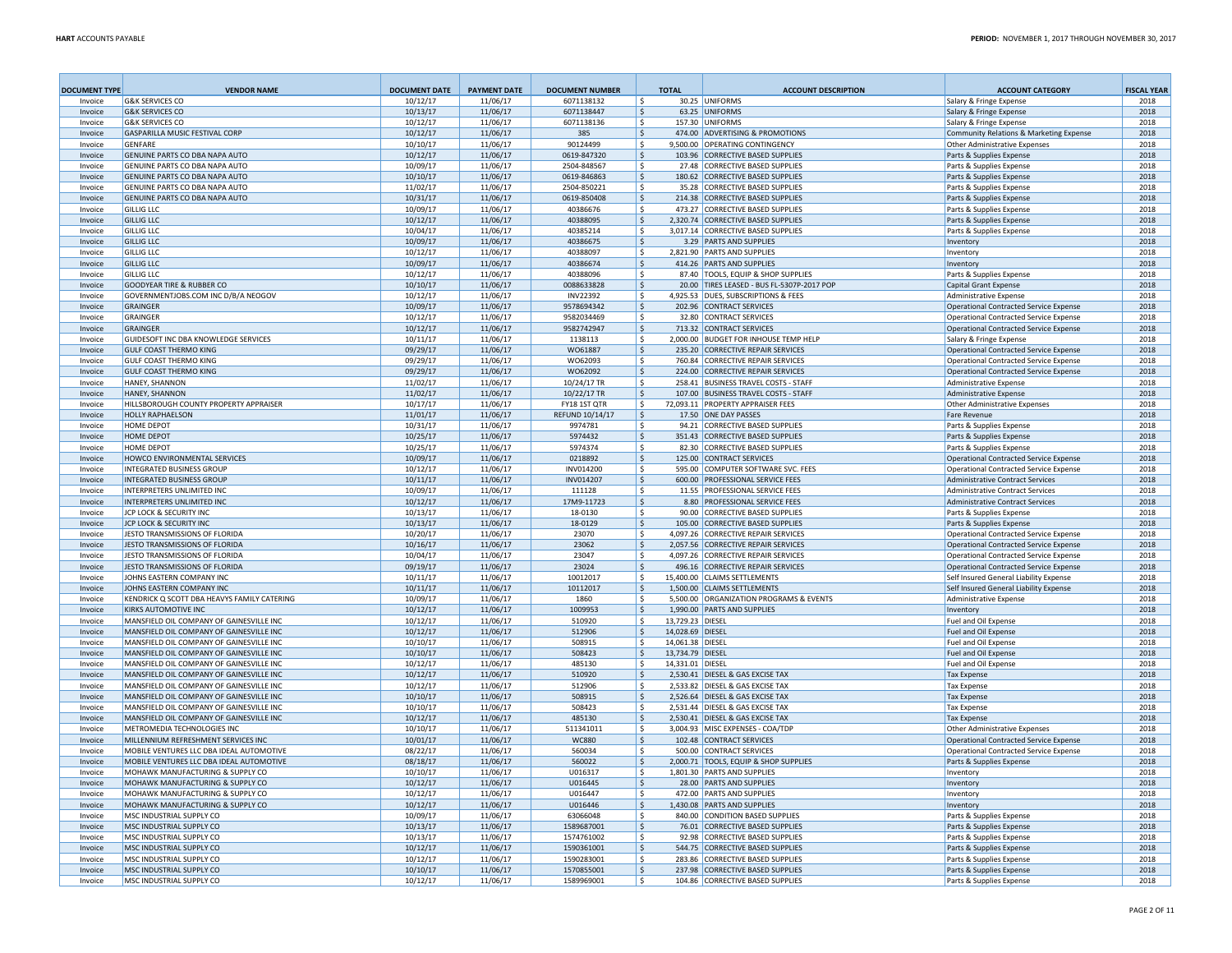| <b>DOCUMENT TYPE</b> | <b>VENDOR NAME</b>                                                 | <b>DOCUMENT DATE</b> | <b>PAYMENT DATE</b>  | <b>DOCUMENT NUMBER</b>   |               | <b>TOTAL</b>     | <b>ACCOUNT DESCRIPTION</b>                                                       | <b>ACCOUNT CATEGORY</b>                                                         | <b>FISCAL YEAR</b> |
|----------------------|--------------------------------------------------------------------|----------------------|----------------------|--------------------------|---------------|------------------|----------------------------------------------------------------------------------|---------------------------------------------------------------------------------|--------------------|
| Invoice              | <b>G&amp;K SERVICES CO</b>                                         | 10/12/17             | 11/06/17             | 6071138132               | l \$          |                  | 30.25 UNIFORMS                                                                   | Salary & Fringe Expense                                                         | 2018               |
| Invoice              | <b>G&amp;K SERVICES CO</b>                                         | 10/13/17             | 11/06/17             | 6071138447               | S,            |                  | 63.25 UNIFORMS                                                                   | Salary & Fringe Expense                                                         | 2018               |
| Invoice              | <b>G&amp;K SERVICES CO</b>                                         | 10/12/17             | 11/06/17             | 6071138136               | l \$          |                  | 157.30 UNIFORMS                                                                  | Salary & Fringe Expense                                                         | 2018               |
| Invoice<br>Invoice   | GASPARILLA MUSIC FESTIVAL CORP<br><b>GENFARE</b>                   | 10/12/17<br>10/10/17 | 11/06/17<br>11/06/17 | 385<br>90124499          | l \$<br>۱\$   |                  | 474.00 ADVERTISING & PROMOTIONS<br>9.500.00 OPERATING CONTINGENCY                | Community Relations & Marketing Expense<br><b>Other Administrative Expenses</b> | 2018<br>2018       |
| Invoice              | GENUINE PARTS CO DBA NAPA AUTO                                     | 10/12/17             | 11/06/17             | 0619-847320              | l \$          |                  | 103.96 CORRECTIVE BASED SUPPLIES                                                 | Parts & Supplies Expense                                                        | 2018               |
| Invoice              | GENUINE PARTS CO DBA NAPA AUTO                                     | 10/09/17             | 11/06/17             | 2504-848567              | ١s            |                  | 27.48 CORRECTIVE BASED SUPPLIES                                                  | Parts & Supplies Expense                                                        | 2018               |
| Invoice              | GENUINE PARTS CO DBA NAPA AUTO                                     | 10/10/17             | 11/06/17             | 0619-846863              | l \$          |                  | 180.62 CORRECTIVE BASED SUPPLIES                                                 | Parts & Supplies Expense                                                        | 2018               |
| Invoice              | GENUINE PARTS CO DBA NAPA AUTO                                     | 11/02/17             | 11/06/17             | 2504-850221              | ۱ś            |                  | 35.28 CORRECTIVE BASED SUPPLIES                                                  | Parts & Supplies Expense                                                        | 2018               |
| Invoice              | GENUINE PARTS CO DBA NAPA AUTO                                     | 10/31/17             | 11/06/17             | 0619-850408              | l \$          |                  | 214.38 CORRECTIVE BASED SUPPLIES                                                 | Parts & Supplies Expense                                                        | 2018               |
| Invoice              | <b>GILLIG LLC</b>                                                  | 10/09/17             | 11/06/17             | 40386676                 | ۱s            |                  | 473.27 CORRECTIVE BASED SUPPLIES                                                 | Parts & Supplies Expense                                                        | 2018               |
| Invoice              | <b>GILLIG LLC</b>                                                  | 10/12/17             | 11/06/17             | 40388095                 | l \$          |                  | 2,320.74 CORRECTIVE BASED SUPPLIES                                               | Parts & Supplies Expense                                                        | 2018               |
| Invoice              | <b>GILLIG LLC</b>                                                  | 10/04/17             | 11/06/17             | 40385214                 | ۱s            |                  | 3,017.14 CORRECTIVE BASED SUPPLIES                                               | Parts & Supplies Expense                                                        | 2018               |
| Invoice              | <b>GILLIG LLC</b>                                                  | 10/09/17             | 11/06/17             | 40386675                 | ۱s            |                  | 3.29 PARTS AND SUPPLIES                                                          | Inventory                                                                       | 2018               |
| Invoice              | <b>GILLIG LLC</b>                                                  | 10/12/17             | 11/06/17             | 40388097                 | ۱ś            |                  | 2,821.90 PARTS AND SUPPLIES                                                      | Inventory                                                                       | 2018               |
| Invoice              | <b>GILLIG LLC</b>                                                  | 10/09/17             | 11/06/17             | 40386674                 | ۱s            |                  | 414.26 PARTS AND SUPPLIES                                                        | Inventory                                                                       | 2018               |
| Invoice<br>Invoice   | <b>GILLIG LLC</b><br><b>GOODYEAR TIRE &amp; RUBBER CO</b>          | 10/12/17<br>10/10/17 | 11/06/17<br>11/06/17 | 40388096<br>0088633828   | ۱ś<br>۱\$     |                  | 87.40 TOOLS, EQUIP & SHOP SUPPLIES<br>20.00 TIRES LEASED - BUS FL-5307P-2017 POP | Parts & Supplies Expense<br>Capital Grant Expense                               | 2018<br>2018       |
| Invoice              | GOVERNMENTJOBS.COM INC D/B/A NEOGOV                                | 10/12/17             | 11/06/17             | <b>INV22392</b>          | ۱ś            |                  | 4,925.53 DUES, SUBSCRIPTIONS & FEES                                              | <b>Administrative Expense</b>                                                   | 2018               |
| Invoice              | <b>GRAINGER</b>                                                    | 10/09/17             | 11/06/17             | 9578694342               | ١s            |                  | 202.96 CONTRACT SERVICES                                                         | <b>Operational Contracted Service Expense</b>                                   | 2018               |
| Invoice              | <b>GRAINGER</b>                                                    | 10/12/17             | 11/06/17             | 9582034469               | ۱s            |                  | 32.80 CONTRACT SERVICES                                                          | <b>Operational Contracted Service Expense</b>                                   | 2018               |
| Invoice              | <b>GRAINGER</b>                                                    | 10/12/17             | 11/06/17             | 9582742947               | l \$          |                  | 713.32 CONTRACT SERVICES                                                         | Operational Contracted Service Expense                                          | 2018               |
| Invoice              | GUIDESOFT INC DBA KNOWLEDGE SERVICES                               | 10/11/17             | 11/06/17             | 1138113                  | ١\$           |                  | 2,000.00 BUDGET FOR INHOUSE TEMP HELP                                            | Salary & Fringe Expense                                                         | 2018               |
| Invoice              | <b>GULF COAST THERMO KING</b>                                      | 09/29/17             | 11/06/17             | W061887                  | l \$          |                  | 235.20 CORRECTIVE REPAIR SERVICES                                                | Operational Contracted Service Expense                                          | 2018               |
| Invoice              | <b>GULF COAST THERMO KING</b>                                      | 09/29/17             | 11/06/17             | WO62093                  | l \$          |                  | 760.84 CORRECTIVE REPAIR SERVICES                                                | Operational Contracted Service Expense                                          | 2018               |
| Invoice              | <b>GULF COAST THERMO KING</b>                                      | 09/29/17             | 11/06/17             | WO62092                  | l\$           |                  | 224.00 CORRECTIVE REPAIR SERVICES                                                | Operational Contracted Service Expense                                          | 2018               |
| Invoice              | <b>HANEY, SHANNON</b>                                              | 11/02/17             | 11/06/17             | 10/24/17 TR              | ۱\$.          |                  | 258.41 BUSINESS TRAVEL COSTS - STAFF                                             | Administrative Expense                                                          | 2018               |
| Invoice              | <b>HANEY, SHANNON</b>                                              | 11/02/17             | 11/06/17             | 10/22/17 TR              | l \$          |                  | 107.00 BUSINESS TRAVEL COSTS - STAFF                                             | <b>Administrative Expense</b>                                                   | 2018               |
| Invoice              | HILLSBOROUGH COUNTY PROPERTY APPRAISER                             | 10/17/17             | 11/06/17             | FY18 1ST QTR             | ١\$           |                  | 72,093.11 PROPERTY APPRAISER FEES                                                | <b>Other Administrative Expenses</b>                                            | 2018               |
| Invoice              | <b>HOLLY RAPHAELSON</b>                                            | 11/01/17             | 11/06/17             | REFUND 10/14/17          | ۱\$           |                  | 17.50 ONE DAY PASSES                                                             | Fare Revenue                                                                    | 2018               |
| Invoice              | HOME DEPOT                                                         | 10/31/17             | 11/06/17             | 9974781                  | ۱\$           |                  | 94.21 CORRECTIVE BASED SUPPLIES                                                  | Parts & Supplies Expense                                                        | 2018               |
| Invoice              | <b>HOME DEPOT</b><br><b>HOME DEPOT</b>                             | 10/25/17             | 11/06/17             | 5974432<br>5974374       | ١\$           |                  | 351.43 CORRECTIVE BASED SUPPLIES                                                 | Parts & Supplies Expense                                                        | 2018               |
| Invoice<br>Invoice   | HOWCO ENVIRONMENTAL SERVICES                                       | 10/25/17<br>10/09/17 | 11/06/17<br>11/06/17 | 0218892                  | ۱\$<br>١\$    |                  | 82.30 CORRECTIVE BASED SUPPLIES<br>125.00 CONTRACT SERVICES                      | Parts & Supplies Expense<br>Operational Contracted Service Expense              | 2018<br>2018       |
| Invoice              | <b>INTEGRATED BUSINESS GROUP</b>                                   | 10/12/17             | 11/06/17             | INV014200                | ١s            |                  | 595.00 COMPUTER SOFTWARE SVC. FEES                                               | <b>Operational Contracted Service Expense</b>                                   | 2018               |
| Invoice              | <b>INTEGRATED BUSINESS GROUP</b>                                   | 10/11/17             | 11/06/17             | INV014207                | ١\$           |                  | 600.00 PROFESSIONAL SERVICE FEES                                                 | <b>Administrative Contract Services</b>                                         | 2018               |
| Invoice              | INTERPRETERS UNLIMITED INC                                         | 10/09/17             | 11/06/17             | 111128                   | ۱\$           |                  | 11.55 PROFESSIONAL SERVICE FEES                                                  | <b>Administrative Contract Services</b>                                         | 2018               |
| Invoice              | INTERPRETERS UNLIMITED INC                                         | 10/12/17             | 11/06/17             | 17M9-11723               | l\$           |                  | 8.80 PROFESSIONAL SERVICE FEES                                                   | <b>Administrative Contract Services</b>                                         | 2018               |
| Invoice              | JCP LOCK & SECURITY INC                                            | 10/13/17             | 11/06/17             | 18-0130                  | ۱\$           |                  | 90.00 CORRECTIVE BASED SUPPLIES                                                  | Parts & Supplies Expense                                                        | 2018               |
| Invoice              | JCP LOCK & SECURITY INC                                            | 10/13/17             | 11/06/17             | 18-0129                  | ۱\$           |                  | 105.00 CORRECTIVE BASED SUPPLIES                                                 | Parts & Supplies Expense                                                        | 2018               |
| Invoice              | JESTO TRANSMISSIONS OF FLORIDA                                     | 10/20/17             | 11/06/17             | 23070                    | ١\$           |                  | 4,097.26 CORRECTIVE REPAIR SERVICES                                              | Operational Contracted Service Expense                                          | 2018               |
| Invoice              | JESTO TRANSMISSIONS OF FLORIDA                                     | 10/16/17             | 11/06/17             | 23062                    | ١\$           |                  | 2,057.56 CORRECTIVE REPAIR SERVICES                                              | Operational Contracted Service Expense                                          | 2018               |
| Invoice              | JESTO TRANSMISSIONS OF FLORIDA                                     | 10/04/17             | 11/06/17             | 23047                    | ۱s            |                  | 4.097.26 CORRECTIVE REPAIR SERVICES                                              | Operational Contracted Service Expense                                          | 2018               |
| Invoice              | JESTO TRANSMISSIONS OF FLORIDA                                     | 09/19/17             | 11/06/17             | 23024                    | ١\$           |                  | 496.16 CORRECTIVE REPAIR SERVICES                                                | Operational Contracted Service Expense                                          | 2018               |
| Invoice<br>Invoice   | JOHNS EASTERN COMPANY INC<br>JOHNS EASTERN COMPANY INC             | 10/11/17             | 11/06/17             | 10012017<br>10112017     | ۱s            |                  | 15,400.00 CLAIMS SETTLEMENTS<br>1,500.00 CLAIMS SETTLEMENTS                      | Self Insured General Liability Expense                                          | 2018<br>2018       |
| Invoice              | KENDRICK Q SCOTT DBA HEAVYS FAMILY CATERING                        | 10/11/17<br>10/09/17 | 11/06/17<br>11/06/17 | 1860                     | ١\$<br>۱\$    |                  | 5,500.00 ORGANIZATION PROGRAMS & EVENTS                                          | Self Insured General Liability Expense<br>Administrative Expense                | 2018               |
| Invoice              | <b>KIRKS AUTOMOTIVE INC</b>                                        | 10/12/17             | 11/06/17             | 1009953                  | ۱\$           |                  | 1.990.00 PARTS AND SUPPLIES                                                      | Inventory                                                                       | 2018               |
| Invoice              | MANSFIELD OIL COMPANY OF GAINESVILLE INC                           | 10/12/17             | 11/06/17             | 510920                   | ۱\$           | 13,729.23 DIESEL |                                                                                  | Fuel and Oil Expense                                                            | 2018               |
| Invoice              | MANSFIELD OIL COMPANY OF GAINESVILLE INC                           | 10/12/17             | 11/06/17             | 512906                   | ۱s            | 14.028.69 DIESEL |                                                                                  | <b>Fuel and Oil Expense</b>                                                     | 2018               |
| Invoice              | MANSFIELD OIL COMPANY OF GAINESVILLE INC                           | 10/10/17             | 11/06/17             | 508915                   | S.            | 14,061.38 DIESEL |                                                                                  | Fuel and Oil Expense                                                            | 2018               |
| Invoice              | MANSFIFLD OIL COMPANY OF GAINESVILLE INC.                          | 10/10/17             | 11/06/17             | 508423                   | ۱s            | 13,734.79 DIESEL |                                                                                  | Fuel and Oil Expense                                                            | 2018               |
| Invoice              | MANSFIELD OIL COMPANY OF GAINESVILLE INC                           | 10/12/17             | 11/06/17             | 485130                   | <sub>S</sub>  | 14.331.01 DIESEL |                                                                                  | Fuel and Oil Expense                                                            | 2018               |
| Invoice              | MANSFIELD OIL COMPANY OF GAINESVILLE INC                           | 10/12/17             | 11/06/17             | 510920                   | -\$           |                  | 2,530.41 DIESEL & GAS EXCISE TAX                                                 | <b>Tax Expense</b>                                                              | 2018               |
| Invoice              | MANSFIELD OIL COMPANY OF GAINESVILLE INC                           | 10/12/17             | 11/06/17             | 512906                   | -Ś            |                  | 2.533.82 DIESEL & GAS EXCISE TAX                                                 | <b>Tax Expense</b>                                                              | 2018               |
| Invoice              | MANSFIELD OIL COMPANY OF GAINESVILLE INC                           | 10/10/17             | 11/06/17             | 508915                   | ۱\$           |                  | 2.526.64 DIESEL & GAS EXCISE TAX                                                 | <b>Tax Expense</b>                                                              | 2018               |
| Invoice              | MANSFIELD OIL COMPANY OF GAINESVILLE INC                           | 10/10/17             | 11/06/17             | 508423                   | ۱ś            |                  | 2.531.44 DIESEL & GAS EXCISE TAX                                                 | <b>Tax Expense</b>                                                              | 2018               |
| Invoice              | MANSFIELD OIL COMPANY OF GAINESVILLE INC                           | 10/12/17             | 11/06/17             | 485130                   | ١\$           |                  | 2,530.41 DIESEL & GAS EXCISE TAX<br>3.004.93 MISC EXPENSES - COA/TDP             | <b>Tax Expense</b><br>Other Administrative Expenses                             | 2018               |
| Invoice<br>Invoice   | METROMEDIA TECHNOLOGIES INC<br>MILLENNIUM REFRESHMENT SERVICES INC | 10/10/17<br>10/01/17 | 11/06/17<br>11/06/17 | 511341011<br>WC880       | ۱s            |                  | 102.48 CONTRACT SERVICES                                                         | <b>Operational Contracted Service Expense</b>                                   | 2018<br>2018       |
| Invoice              | MOBILE VENTURES LLC DBA IDEAL AUTOMOTIVE                           | 08/22/17             | 11/06/17             | 560034                   | S,<br>۱s      |                  | 500.00 CONTRACT SERVICES                                                         | <b>Operational Contracted Service Expense</b>                                   | 2018               |
| Invoice              | MOBILE VENTURES LLC DBA IDEAL AUTOMOTIVE                           | 08/18/17             | 11/06/17             | 560022                   | ۱ś            |                  | 2.000.71 TOOLS. EQUIP & SHOP SUPPLIES                                            | Parts & Supplies Expense                                                        | 2018               |
| Invoice              | MOHAWK MANUFACTURING & SUPPLY CO                                   | 10/10/17             | 11/06/17             | U016317                  | <sub>S</sub>  |                  | 1.801.30 PARTS AND SUPPLIES                                                      | <b>Inventory</b>                                                                | 2018               |
| Invoice              | MOHAWK MANUFACTURING & SUPPLY CO                                   | 10/12/17             | 11/06/17             | U016445                  | ۱s            |                  | 28.00 PARTS AND SUPPLIES                                                         | Inventory                                                                       | 2018               |
| Invoice              | MOHAWK MANUFACTURING & SUPPLY CO                                   | 10/12/17             | 11/06/17             | U016447                  | ۱s            |                  | 472.00 PARTS AND SUPPLIES                                                        | Inventory                                                                       | 2018               |
| Invoice              | MOHAWK MANUFACTURING & SUPPLY CO                                   | 10/12/17             | 11/06/17             | U016446                  | ۱\$           |                  | 1,430.08 PARTS AND SUPPLIES                                                      | Inventory                                                                       | 2018               |
| Invoice              | MSC INDUSTRIAL SUPPLY CO                                           | 10/09/17             | 11/06/17             | 63066048                 | ١\$           |                  | 840.00 CONDITION BASED SUPPLIES                                                  | Parts & Supplies Expense                                                        | 2018               |
| Invoice              | MSC INDUSTRIAL SUPPLY CO                                           | 10/13/17             | 11/06/17             | 1589687001               | l \$          |                  | 76.01 CORRECTIVE BASED SUPPLIES                                                  | Parts & Supplies Expense                                                        | 2018               |
| Invoice              | MSC INDUSTRIAL SUPPLY CO                                           | 10/13/17             | 11/06/17             | 1574761002               | ۱s            |                  | 92.98 CORRECTIVE BASED SUPPLIES                                                  | Parts & Supplies Expense                                                        | 2018               |
| Invoice              | MSC INDUSTRIAL SUPPLY CO                                           | 10/12/17             | 11/06/17             | 1590361001               | $\mathcal{S}$ |                  | 544.75 CORRECTIVE BASED SUPPLIES                                                 | Parts & Supplies Expense                                                        | 2018               |
| Invoice              | MSC INDUSTRIAL SUPPLY CO                                           | 10/12/17             | 11/06/17             | 1590283001               | ۱s            |                  | 283.86 CORRECTIVE BASED SUPPLIES                                                 | Parts & Supplies Expense                                                        | 2018               |
| Invoice<br>Invoice   | MSC INDUSTRIAL SUPPLY CO<br>MSC INDUSTRIAL SUPPLY CO               | 10/10/17<br>10/12/17 | 11/06/17<br>11/06/17 | 1570855001<br>1589969001 | ۱\$<br>Š      |                  | 237.98 CORRECTIVE BASED SUPPLIES<br>104.86 CORRECTIVE BASED SUPPLIES             | Parts & Supplies Expense<br>Parts & Supplies Expense                            | 2018<br>2018       |
|                      |                                                                    |                      |                      |                          |               |                  |                                                                                  |                                                                                 |                    |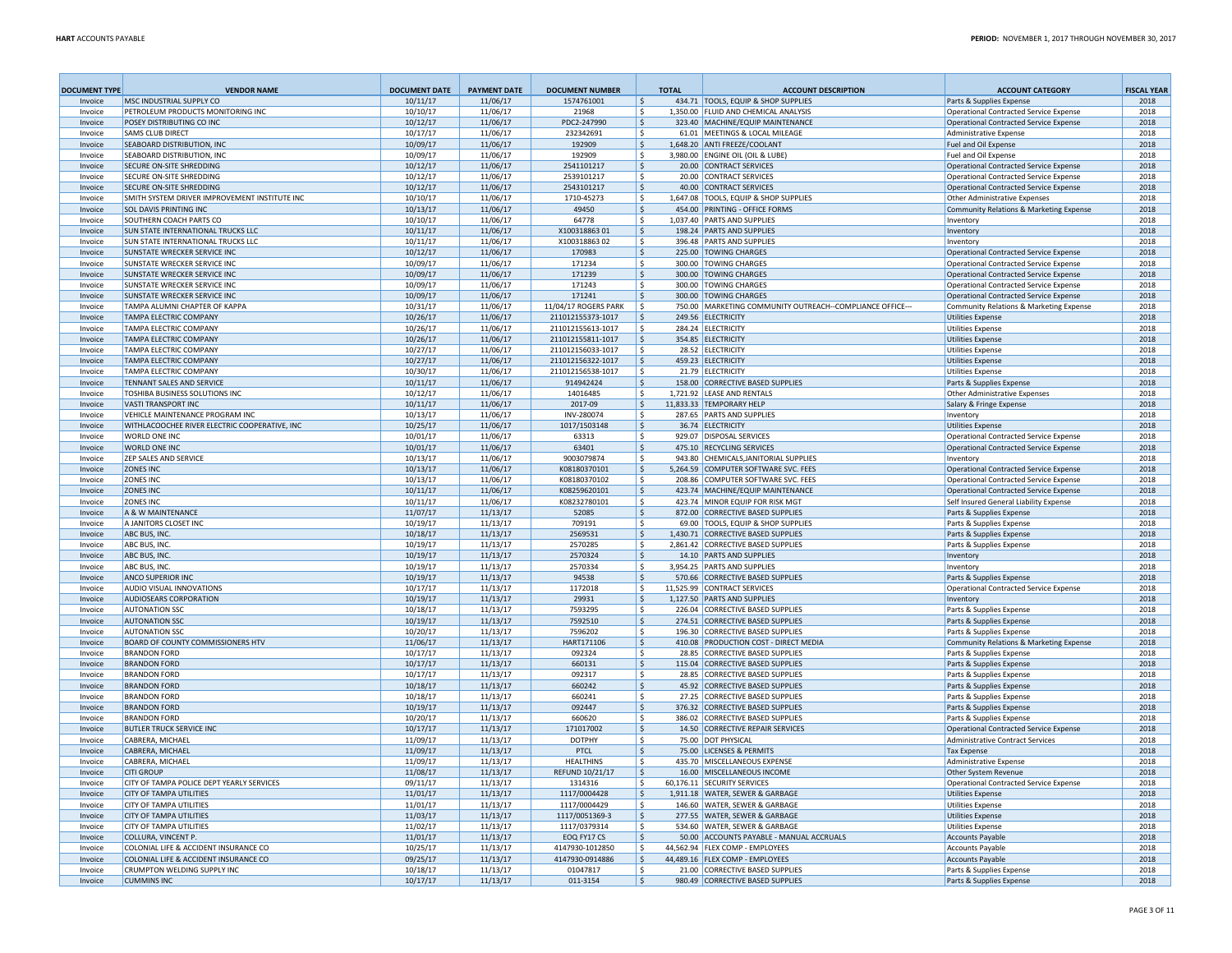| <b>DOCUMENT TYPE</b> | <b>VENDOR NAME</b>                                              | <b>DOCUMENT DATE</b> | <b>PAYMENT DATE</b>  | <b>DOCUMENT NUMBER</b>                    | <b>TOTAL</b>        | <b>ACCOUNT DESCRIPTION</b>                                                       | <b>ACCOUNT CATEGORY</b>                                            | <b>FISCAL YEAR</b> |
|----------------------|-----------------------------------------------------------------|----------------------|----------------------|-------------------------------------------|---------------------|----------------------------------------------------------------------------------|--------------------------------------------------------------------|--------------------|
| Invoice              | MSC INDUSTRIAL SUPPLY CO                                        | 10/11/17             | 11/06/17             | 1574761001                                | \$                  | 434.71 TOOLS, EQUIP & SHOP SUPPLIES                                              | Parts & Supplies Expense                                           | 2018               |
| Invoice              | PETROLEUM PRODUCTS MONITORING INC                               | 10/10/17             | 11/06/17             | 21968                                     | -S                  | 1,350.00 FLUID AND CHEMICAL ANALYSIS                                             | Operational Contracted Service Expense                             | 2018               |
| Invoice              | POSEY DISTRIBUTING CO INC                                       | 10/12/17             | 11/06/17             | PDC2-247990<br>232342691                  | \$                  | 323.40 MACHINE/EQUIP MAINTENANCE                                                 | Operational Contracted Service Expense                             | 2018               |
| Invoice<br>Invoice   | <b>SAMS CLUB DIRECT</b><br>SEABOARD DISTRIBUTION. INC           | 10/17/17<br>10/09/17 | 11/06/17<br>11/06/17 | 192909                                    | -S<br>\$            | 61.01 MEETINGS & LOCAL MILEAGE<br>1,648.20 ANTI FREEZE/COOLANT                   | <b>Administrative Expense</b><br>Fuel and Oil Expense              | 2018<br>2018       |
| Invoice              | SEABOARD DISTRIBUTION, INC                                      | 10/09/17             | 11/06/17             | 192909                                    | -S                  | 3,980.00 ENGINE OIL (OIL & LUBE)                                                 | <b>Fuel and Oil Expense</b>                                        | 2018               |
| Invoice              | SECURE ON-SITE SHREDDING                                        | 10/12/17             | 11/06/17             | 2541101217                                | \$                  | 20.00 CONTRACT SERVICES                                                          | Operational Contracted Service Expense                             | 2018               |
| Invoice              | SECURE ON-SITE SHREDDING                                        | 10/12/17             | 11/06/17             | 2539101217                                | \$.                 | 20.00 CONTRACT SERVICES                                                          | Operational Contracted Service Expense                             | 2018               |
| Invoice              | SECURE ON-SITE SHREDDING                                        | 10/12/17             | 11/06/17             | 2543101217                                | \$.                 | 40.00 CONTRACT SERVICES                                                          | Operational Contracted Service Expense                             | 2018               |
| Invoice              | SMITH SYSTEM DRIVER IMPROVEMENT INSTITUTE INC                   | 10/10/17             | 11/06/17             | 1710-45273                                | Ŝ.                  | 1,647.08 TOOLS, EQUIP & SHOP SUPPLIES                                            | <b>Other Administrative Expenses</b>                               | 2018               |
| Invoice              | <b>SOL DAVIS PRINTING INC</b>                                   | 10/13/17             | 11/06/17             | 49450                                     | S                   | 454.00 PRINTING - OFFICE FORMS                                                   | Community Relations & Marketing Expense                            | 2018               |
| Invoice              | SOUTHERN COACH PARTS CO                                         | 10/10/17             | 11/06/17             | 64778                                     | -\$                 | 1,037.40 PARTS AND SUPPLIES                                                      | Inventory                                                          | 2018               |
| Invoice              | SUN STATE INTERNATIONAL TRUCKS LLC                              | 10/11/17             | 11/06/17             | X10031886301                              | -\$                 | 198.24 PARTS AND SUPPLIES                                                        | <b>Inventory</b>                                                   | 2018               |
| Invoice              | SUN STATE INTERNATIONAL TRUCKS LLC                              | 10/11/17             | 11/06/17             | X10031886302                              | -\$                 | 396.48 PARTS AND SUPPLIES                                                        | Inventory                                                          | 2018               |
| Invoice              | SUNSTATE WRECKER SERVICE INC                                    | 10/12/17             | 11/06/17             | 170983                                    | \$.                 | 225.00 TOWING CHARGES                                                            | Operational Contracted Service Expense                             | 2018               |
| Invoice              | SUNSTATE WRECKER SERVICE INC                                    | 10/09/17             | 11/06/17             | 171234                                    | -S                  | 300.00 TOWING CHARGES                                                            | Operational Contracted Service Expense                             | 2018               |
| Invoice              | SUNSTATE WRECKER SERVICE INC                                    | 10/09/17             | 11/06/17             | 171239                                    | \$                  | 300.00 TOWING CHARGES                                                            | Operational Contracted Service Expense                             | 2018               |
| Invoice              | SUNSTATE WRECKER SERVICE INC                                    | 10/09/17             | 11/06/17             | 171243                                    | S                   | 300.00 TOWING CHARGES                                                            | Operational Contracted Service Expense                             | 2018               |
| Invoice              | SUNSTATE WRECKER SERVICE INC                                    | 10/09/17             | 11/06/17             | 171241                                    | \$                  | 300.00 TOWING CHARGES<br>750.00 MARKETING COMMUNITY OUTREACH--COMPLIANCE OFFICE- | Operational Contracted Service Expense                             | 2018               |
| Invoice<br>Invoice   | TAMPA ALUMNI CHAPTER OF KAPPA<br><b>TAMPA ELECTRIC COMPANY</b>  | 10/31/17             | 11/06/17             | 11/04/17 ROGERS PARK<br>211012155373-1017 | -S<br>-S            |                                                                                  | Community Relations & Marketing Expense                            | 2018<br>2018       |
| Invoice              | TAMPA ELECTRIC COMPANY                                          | 10/26/17<br>10/26/17 | 11/06/17<br>11/06/17 | 211012155613-1017                         | -S                  | 249.56 ELECTRICITY<br>284.24 ELECTRICITY                                         | <b>Utilities Expense</b><br><b>Utilities Expense</b>               | 2018               |
| Invoice              | <b>TAMPA ELECTRIC COMPANY</b>                                   | 10/26/17             | 11/06/17             | 211012155811-1017                         | -S                  | 354.85 ELECTRICITY                                                               | <b>Utilities Expense</b>                                           | 2018               |
| Invoice              | TAMPA ELECTRIC COMPANY                                          | 10/27/17             | 11/06/17             | 211012156033-1017                         | S                   | 28.52 ELECTRICITY                                                                | <b>Utilities Expense</b>                                           | 2018               |
| Invoice              | <b>TAMPA ELECTRIC COMPANY</b>                                   | 10/27/17             | 11/06/17             | 211012156322-1017                         | -S                  | 459.23 ELECTRICITY                                                               | <b>Utilities Expense</b>                                           | 2018               |
| Invoice              | <b>TAMPA ELECTRIC COMPANY</b>                                   | 10/30/17             | 11/06/17             | 211012156538-1017                         | Ś                   | 21.79 ELECTRICITY                                                                | <b>Utilities Expense</b>                                           | 2018               |
| Invoice              | <b>TENNANT SALES AND SERVICE</b>                                | 10/11/17             | 11/06/17             | 914942424                                 | -S                  | 158.00 CORRECTIVE BASED SUPPLIES                                                 | Parts & Supplies Expense                                           | 2018               |
| Invoice              | TOSHIBA BUSINESS SOLUTIONS INC                                  | 10/12/17             | 11/06/17             | 14016485                                  | Ś                   | 1,721.92 LEASE AND RENTALS                                                       | <b>Other Administrative Expenses</b>                               | 2018               |
| Invoice              | <b>VASTI TRANSPORT INC</b>                                      | 10/11/17             | 11/06/17             | 2017-09                                   | -\$                 | 11,833.33 TEMPORARY HELP                                                         | Salary & Fringe Expense                                            | 2018               |
| Invoice              | <b>VEHICLE MAINTENANCE PROGRAM INC</b>                          | 10/13/17             | 11/06/17             | INV-280074                                | -S                  | 287.65 PARTS AND SUPPLIES                                                        | Inventory                                                          | 2018               |
| Invoice              | WITHLACOOCHEE RIVER ELECTRIC COOPERATIVE, INC                   | 10/25/17             | 11/06/17             | 1017/1503148                              | \$                  | 36.74 ELECTRICITY                                                                | <b>Utilities Expense</b>                                           | 2018               |
| Invoice              | <b>WORLD ONE INC.</b>                                           | 10/01/17             | 11/06/17             | 63313                                     | S                   | 929.07 DISPOSAL SERVICES                                                         | <b>Operational Contracted Service Expense</b>                      | 2018               |
| Invoice              | <b>WORLD ONE INC</b>                                            | 10/01/17             | 11/06/17             | 63401                                     | \$                  | 475.10 RECYCLING SERVICES                                                        | Operational Contracted Service Expense                             | 2018               |
| Invoice              | <b>ZEP SALES AND SERVICE</b>                                    | 10/13/17             | 11/06/17             | 9003079874                                | S                   | 943.80 CHEMICALS, JANITORIAL SUPPLIES                                            | Inventory                                                          | 2018               |
| Invoice              | <b>ZONES INC</b>                                                | 10/13/17             | 11/06/17             | K08180370101                              | $\mathsf{\$}$       | 5,264.59 COMPUTER SOFTWARE SVC. FEES                                             | <b>Operational Contracted Service Expense</b>                      | 2018               |
| Invoice              | ZONES INC<br><b>ZONES INC</b>                                   | 10/13/17             | 11/06/17             | K08180370102<br>K08259620101              | \$.<br>$\mathsf{S}$ | 208.86 COMPUTER SOFTWARE SVC. FEES<br>423.74 MACHINE/EQUIP MAINTENANCE           | <b>Operational Contracted Service Expense</b>                      | 2018<br>2018       |
| Invoice              | <b>ZONES INC</b>                                                | 10/11/17             | 11/06/17             |                                           |                     | 423.74 MINOR EQUIP FOR RISK MGT                                                  | Operational Contracted Service Expense                             | 2018               |
| Invoice<br>Invoice   | A & W MAINTENANCE                                               | 10/11/17<br>11/07/17 | 11/06/17<br>11/13/17 | K08232780101<br>52085                     | S<br>Ŝ.             | 872.00 CORRECTIVE BASED SUPPLIES                                                 | Self Insured General Liability Expense<br>Parts & Supplies Expense | 2018               |
| Invoice              | A JANITORS CLOSET INC                                           | 10/19/17             | 11/13/17             | 709191                                    | Ś                   | 69.00 TOOLS, EQUIP & SHOP SUPPLIES                                               | Parts & Supplies Expense                                           | 2018               |
| Invoice              | ABC BUS, INC.                                                   | 10/18/17             | 11/13/17             | 2569531                                   | Ŝ.                  | 1.430.71 CORRECTIVE BASED SUPPLIES                                               | Parts & Supplies Expense                                           | 2018               |
| Invoice              | ABC BUS, INC.                                                   | 10/19/17             | 11/13/17             | 2570285                                   | s.                  | 2,861.42 CORRECTIVE BASED SUPPLIES                                               | Parts & Supplies Expense                                           | 2018               |
| Invoice              | ABC BUS, INC.                                                   | 10/19/17             | 11/13/17             | 2570324                                   | \$                  | 14.10 PARTS AND SUPPLIES                                                         | Inventory                                                          | 2018               |
| Invoice              | ABC BUS. INC.                                                   | 10/19/17             | 11/13/17             | 2570334                                   | <sub>S</sub>        | 3.954.25 PARTS AND SUPPLIES                                                      | Inventory                                                          | 2018               |
| Invoice              | <b>ANCO SUPERIOR INC</b>                                        | 10/19/17             | 11/13/17             | 94538                                     | -S                  | 570.66 CORRECTIVE BASED SUPPLIES                                                 | Parts & Supplies Expense                                           | 2018               |
| Invoice              | AUDIO VISUAL INNOVATIONS                                        | 10/17/17             | 11/13/17             | 1172018                                   | <sup>S</sup>        | 11.525.99 CONTRACT SERVICES                                                      | <b>Operational Contracted Service Expense</b>                      | 2018               |
| Invoice              | <b>AUDIOSEARS CORPORATION</b>                                   | 10/19/17             | 11/13/17             | 29931                                     | $\mathsf S$         | 1,127.50 PARTS AND SUPPLIES                                                      | Inventory                                                          | 2018               |
| Invoice              | <b>AUTONATION SSC</b>                                           | 10/18/17             | 11/13/17             | 7593295                                   | -S                  | 226.04 CORRECTIVE BASED SUPPLIES                                                 | Parts & Supplies Expense                                           | 2018               |
| Invoice              | <b>AUTONATION SSC</b>                                           | 10/19/17             | 11/13/17             | 7592510                                   | $\mathsf{S}$        | 274.51 CORRECTIVE BASED SUPPLIES                                                 | Parts & Supplies Expense                                           | 2018               |
| Invoice              | <b>AUTONATION SSC</b>                                           | 10/20/17             | 11/13/17             | 7596202                                   | Ŝ.                  | 196.30 CORRECTIVE BASED SUPPLIES                                                 | Parts & Supplies Expense                                           | 2018               |
| Invoice              | <b>BOARD OF COUNTY COMMISSIONERS HTV</b><br><b>BRANDON FORD</b> | 11/06/17<br>10/17/17 | 11/13/17<br>11/13/17 | HART171106<br>092324                      | \$<br>s.            | 410.08 PRODUCTION COST - DIRECT MEDIA<br>28.85 CORRECTIVE BASED SUPPLIES         | Community Relations & Marketing Expense                            | 2018<br>2018       |
| Invoice<br>Invoice   | <b>BRANDON FORD</b>                                             | 10/17/17             | 11/13/17             | 660131                                    | Ŝ.                  | 115.04 CORRECTIVE BASED SUPPLIES                                                 | Parts & Supplies Expense                                           | 2018               |
| Invoice              | <b>BRANDON FORD</b>                                             | 10/17/17             | 11/13/17             | 092317                                    | S.                  | 28.85 CORRECTIVE BASED SUPPLIES                                                  | Parts & Supplies Expense<br>Parts & Supplies Expense               | 2018               |
| Invoice              | <b>BRANDON FORD</b>                                             | 10/18/17             | 11/13/17             | 660242                                    | $\mathsf{S}$        | 45.92 CORRECTIVE BASED SUPPLIES                                                  | Parts & Supplies Expense                                           | 2018               |
| Invoice              | <b>BRANDON FORD</b>                                             | 10/18/17             | 11/13/17             | 660241                                    | Ś                   | 27.25 CORRECTIVE BASED SUPPLIES                                                  | Parts & Supplies Expense                                           | 2018               |
| Invoice              | <b>BRANDON FORD</b>                                             | 10/19/17             | 11/13/17             | 092447                                    | \$                  | 376.32 CORRECTIVE BASED SUPPLIES                                                 | Parts & Supplies Expense                                           | 2018               |
| Invoice              | <b>BRANDON FORD</b>                                             | 10/20/17             | 11/13/17             | 660620                                    | <sub>S</sub>        | 386.02 CORRECTIVE BASED SUPPLIES                                                 | Parts & Supplies Expense                                           | 2018               |
| Invoice              | <b>BUTLER TRUCK SERVICE INC</b>                                 | 10/17/17             | 11/13/17             | 171017002                                 | Ŝ.                  | 14.50 CORRECTIVE REPAIR SERVICES                                                 | <b>Operational Contracted Service Expense</b>                      | 2018               |
| Invoice              | CABRERA, MICHAEL                                                | 11/09/17             | 11/13/17             | <b>DOTPHY</b>                             | \$                  | 75.00 DOT PHYSICAL                                                               | <b>Administrative Contract Services</b>                            | 2018               |
| Invoice              | CABRERA, MICHAEL                                                | 11/09/17             | 11/13/17             | PTCL                                      | <sub>S</sub>        | 75.00 LICENSES & PERMITS                                                         | <b>Tax Expense</b>                                                 | 2018               |
| Invoice              | CABRERA, MICHAEL                                                | 11/09/17             | 11/13/17             | <b>HEALTHINS</b>                          | <sub>S</sub>        | 435.70 MISCELLANEOUS EXPENSE                                                     | Administrative Expense                                             | 2018               |
| Invoice              | <b>CITI GROUP</b>                                               | 11/08/17             | 11/13/17             | <b>REFUND 10/21/17</b>                    | <sub>S</sub>        | 16.00 MISCELLANEOUS INCOME                                                       | <b>Other System Revenue</b>                                        | 2018               |
| Invoice              | CITY OF TAMPA POLICE DEPT YEARLY SERVICES                       | 09/11/17             | 11/13/17             | 1314316                                   | s.                  | 60,176.11 SECURITY SERVICES                                                      | <b>Operational Contracted Service Expense</b>                      | 2018               |
| Invoice              | <b>CITY OF TAMPA UTILITIES</b>                                  | 11/01/17             | 11/13/17             | 1117/0004428                              | Ŝ.                  | 1,911.18 WATER, SEWER & GARBAGE                                                  | <b>Utilities Expense</b>                                           | 2018               |
| Invoice              | <b>CITY OF TAMPA UTILITIES</b>                                  | 11/01/17             | 11/13/17             | 1117/0004429                              | s.                  | 146.60 WATER, SEWER & GARBAGE                                                    | <b>Utilities Expense</b>                                           | 2018               |
| Invoice              | <b>CITY OF TAMPA UTILITIES</b>                                  | 11/03/17             | 11/13/17             | 1117/0051369-3                            | \$                  | 277.55 WATER, SEWER & GARBAGE                                                    | <b>Utilities Expense</b>                                           | 2018               |
| Invoice              | <b>CITY OF TAMPA UTILITIES</b>                                  | 11/02/17             | 11/13/17             | 1117/0379314                              | s.                  | 534.60 WATER, SEWER & GARBAGE                                                    | <b>Utilities Expense</b>                                           | 2018               |
| Invoice              | COLLURA, VINCENT P.<br>COLONIAL LIFE & ACCIDENT INSURANCE CO    | 11/01/17             | 11/13/17<br>11/13/17 | EOQ FY17 CS<br>4147930-1012850            | Ŝ.<br>-S            | 50.00 ACCOUNTS PAYABLE - MANUAL ACCRUALS<br>44.562.94 FLEX COMP - EMPLOYEES      | <b>Accounts Payable</b><br><b>Accounts Pavable</b>                 | 2018<br>2018       |
| Invoice<br>Invoice   | COLONIAL LIFE & ACCIDENT INSURANCE CO                           | 10/25/17<br>09/25/17 | 11/13/17             | 4147930-0914886                           | <sub>S</sub>        | 44,489.16 FLEX COMP - EMPLOYEES                                                  | <b>Accounts Pavable</b>                                            | 2018               |
| Invoice              | CRUMPTON WELDING SUPPLY INC                                     | 10/18/17             | 11/13/17             | 01047817                                  | $\mathsf{s}$        | 21.00 CORRECTIVE BASED SUPPLIES                                                  | Parts & Supplies Expense                                           | 2018               |
| Invoice              | <b>CUMMINS INC</b>                                              | 10/17/17             | 11/13/17             | 011-3154                                  | S.                  | 980.49 CORRECTIVE BASED SUPPLIES                                                 | Parts & Supplies Expense                                           | 2018               |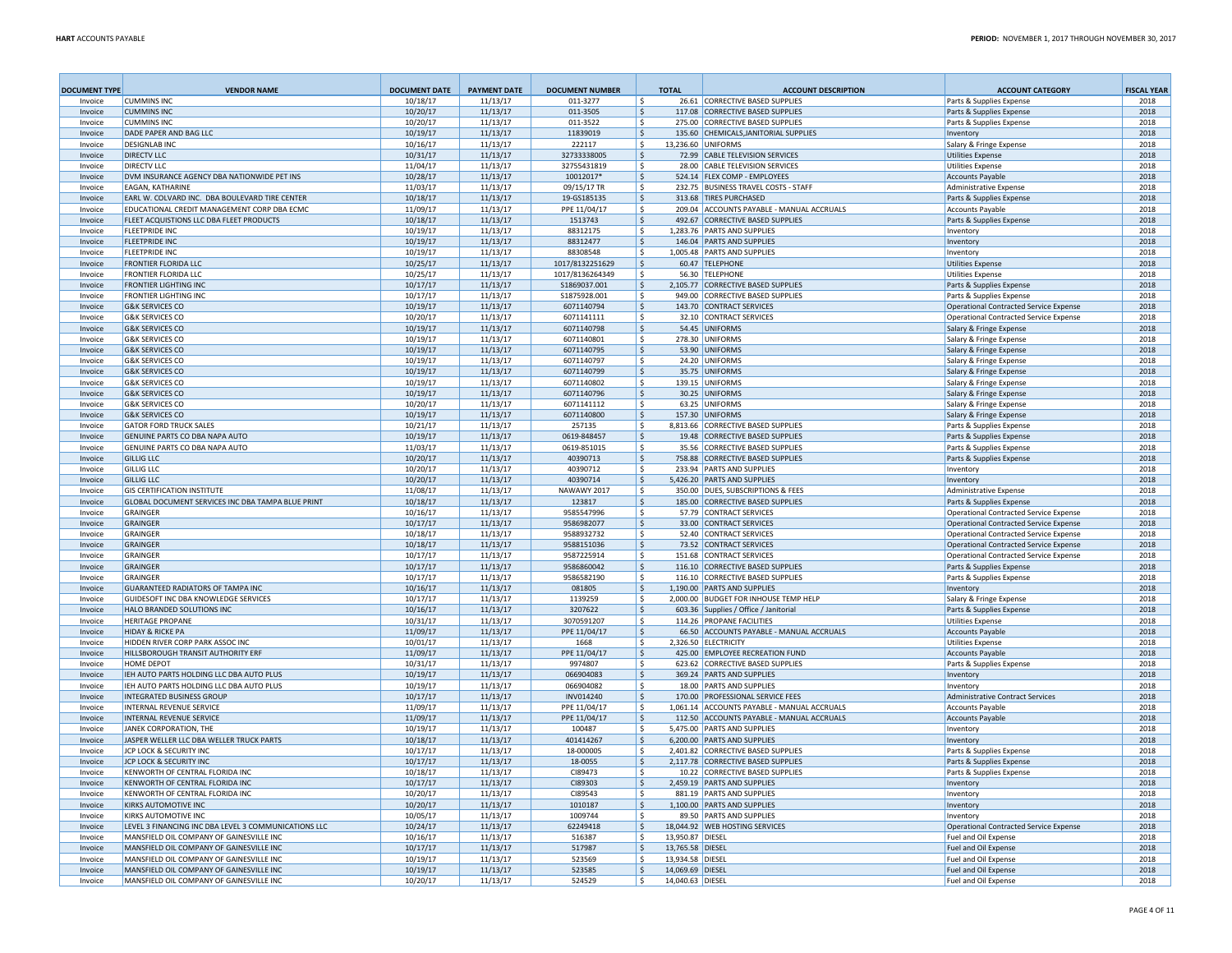| <b>DOCUMENT TYPE</b> | <b>VENDOR NAME</b>                                                 | <b>DOCUMENT DATE</b> | <b>PAYMENT DATE</b>  | <b>DOCUMENT NUMBER</b>   |                           | <b>TOTAL</b>     | <b>ACCOUNT DESCRIPTION</b>                                                | <b>ACCOUNT CATEGORY</b>                            | <b>FISCAL YEAR</b> |
|----------------------|--------------------------------------------------------------------|----------------------|----------------------|--------------------------|---------------------------|------------------|---------------------------------------------------------------------------|----------------------------------------------------|--------------------|
| Invoice              | <b>CUMMINS INC</b>                                                 | 10/18/17             | 11/13/17             | 011-3277                 | ۱s                        |                  | 26.61 CORRECTIVE BASED SUPPLIES                                           | Parts & Supplies Expense                           | 2018               |
| Invoice              | <b>CUMMINS INC</b>                                                 | 10/20/17             | 11/13/17             | 011-3505                 | ۱\$                       |                  | 117.08 CORRECTIVE BASED SUPPLIES                                          | Parts & Supplies Expense                           | 2018               |
| Invoice<br>Invoice   | <b>CUMMINS INC.</b><br>DADE PAPER AND BAG LLC                      | 10/20/17<br>10/19/17 | 11/13/17<br>11/13/17 | 011-3522<br>11839019     | ۱s<br>۱s                  |                  | 275.00 CORRECTIVE BASED SUPPLIES<br>135.60 CHEMICALS, JANITORIAL SUPPLIES | Parts & Supplies Expense                           | 2018<br>2018       |
| Invoice              | <b>DESIGNLAB INC</b>                                               | 10/16/17             | 11/13/17             | 222117                   | ۱s                        |                  | 13,236.60 UNIFORMS                                                        | Inventory<br>Salary & Fringe Expense               | 2018               |
| Invoice              | <b>DIRECTV LLC</b>                                                 | 10/31/17             | 11/13/17             | 32733338005              | S,                        |                  | 72.99 CABLE TELEVISION SERVICES                                           | <b>Utilities Expense</b>                           | 2018               |
| Invoice              | DIRECTV LLC                                                        | 11/04/17             | 11/13/17             | 32755431819              | l \$                      |                  | 28.00 CABLE TELEVISION SERVICES                                           | <b>Utilities Expense</b>                           | 2018               |
| Invoice              | DVM INSURANCE AGENCY DBA NATIONWIDE PET INS                        | 10/28/17             | 11/13/17             | 10012017*                | l \$                      |                  | 524.14 FLEX COMP - EMPLOYEES                                              | <b>Accounts Payable</b>                            | 2018               |
| Invoice              | EAGAN, KATHARINE                                                   | 11/03/17             | 11/13/17             | 09/15/17 TR              | l \$                      |                  | 232.75 BUSINESS TRAVEL COSTS - STAFF                                      | <b>Administrative Expense</b>                      | 2018               |
| Invoice              | EARL W. COLVARD INC. DBA BOULEVARD TIRE CENTER                     | 10/18/17             | 11/13/17             | 19-GS185135              | l \$                      |                  | 313.68 TIRES PURCHASED                                                    | Parts & Supplies Expense                           | 2018               |
| Invoice              | EDUCATIONAL CREDIT MANAGEMENT CORP DBA ECMC                        | 11/09/17             | 11/13/17             | PPE 11/04/17             | ۱\$.                      |                  | 209.04 ACCOUNTS PAYABLE - MANUAL ACCRUALS                                 | <b>Accounts Payable</b>                            | 2018               |
| Invoice              | FLEET ACQUISTIONS LLC DBA FLEET PRODUCTS                           | 10/18/17             | 11/13/17             | 1513743                  | l\$                       |                  | 492.67 CORRECTIVE BASED SUPPLIES                                          | Parts & Supplies Expense                           | 2018               |
| Invoice              | <b>FLEETPRIDE INC</b>                                              | 10/19/17             | 11/13/17             | 88312175                 | ١\$                       |                  | 1,283.76 PARTS AND SUPPLIES                                               | Inventory                                          | 2018               |
| Invoice<br>Invoice   | <b>FLEETPRIDE INC</b><br><b>FLEETPRIDE INC</b>                     | 10/19/17<br>10/19/17 | 11/13/17<br>11/13/17 | 88312477<br>88308548     | l\$<br>l \$               |                  | 146.04 PARTS AND SUPPLIES<br>1,005.48 PARTS AND SUPPLIES                  | Inventory<br>Inventory                             | 2018<br>2018       |
| Invoice              | <b>FRONTIER FLORIDA LLC</b>                                        | 10/25/17             | 11/13/17             | 1017/8132251629          | l \$                      |                  | 60.47 TELEPHONE                                                           | <b>Utilities Expense</b>                           | 2018               |
| Invoice              | FRONTIER FLORIDA LLC                                               | 10/25/17             | 11/13/17             | 1017/8136264349          | l \$                      |                  | 56.30 TELEPHONE                                                           | <b>Utilities Expense</b>                           | 2018               |
| Invoice              | <b>FRONTIER LIGHTING INC</b>                                       | 10/17/17             | 11/13/17             | S1869037.001             | ۱\$                       |                  | 2,105.77 CORRECTIVE BASED SUPPLIES                                        | Parts & Supplies Expense                           | 2018               |
| Invoice              | <b>FRONTIER LIGHTING INC</b>                                       | 10/17/17             | 11/13/17             | S1875928.001             | ۱\$                       |                  | 949.00 CORRECTIVE BASED SUPPLIES                                          | Parts & Supplies Expense                           | 2018               |
| Invoice              | <b>G&amp;K SERVICES CO</b>                                         | 10/19/17             | 11/13/17             | 6071140794               | ۱\$.                      |                  | 143.70 CONTRACT SERVICES                                                  | Operational Contracted Service Expense             | 2018               |
| Invoice              | <b>G&amp;K SERVICES CO</b>                                         | 10/20/17             | 11/13/17             | 6071141111               | ۱\$.                      |                  | 32.10 CONTRACT SERVICES                                                   | Operational Contracted Service Expense             | 2018               |
| Invoice              | <b>G&amp;K SERVICES CO</b>                                         | 10/19/17             | 11/13/17             | 6071140798               | l\$                       |                  | 54.45 UNIFORMS                                                            | Salary & Fringe Expense                            | 2018               |
| Invoice              | <b>G&amp;K SERVICES CO</b>                                         | 10/19/17             | 11/13/17             | 6071140801               | ۱\$                       |                  | 278.30 UNIFORMS                                                           | Salary & Fringe Expense                            | 2018               |
| Invoice              | <b>G&amp;K SERVICES CO</b>                                         | 10/19/17             | 11/13/17             | 6071140795               | l\$                       |                  | 53.90 UNIFORMS                                                            | Salary & Fringe Expense                            | 2018               |
| Invoice              | <b>G&amp;K SERVICES CO</b>                                         | 10/19/17             | 11/13/17             | 6071140797               | ۱\$                       |                  | 24.20 UNIFORMS                                                            | Salary & Fringe Expense                            | 2018               |
| Invoice              | <b>G&amp;K SERVICES CO</b>                                         | 10/19/17             | 11/13/17             | 6071140799               | ۱\$.                      |                  | 35.75 UNIFORMS                                                            | Salary & Fringe Expense                            | 2018               |
| Invoice              | <b>G&amp;K SERVICES CO</b>                                         | 10/19/17             | 11/13/17             | 6071140802               | ۱\$                       |                  | 139.15   UNIFORMS                                                         | Salary & Fringe Expense                            | 2018               |
| Invoice              | <b>G&amp;K SERVICES CO</b><br><b>G&amp;K SERVICES CO</b>           | 10/19/17<br>10/20/17 | 11/13/17<br>11/13/17 | 6071140796<br>6071141112 | S,<br>۱s                  |                  | 30.25 UNIFORMS<br>63.25 UNIFORMS                                          | Salary & Fringe Expense<br>Salary & Fringe Expense | 2018<br>2018       |
| Invoice<br>Invoice   | <b>G&amp;K SERVICES CO</b>                                         | 10/19/17             | 11/13/17             | 6071140800               | ١\$                       |                  | 157.30 UNIFORMS                                                           | Salary & Fringe Expense                            | 2018               |
| Invoice              | <b>GATOR FORD TRUCK SALES</b>                                      | 10/21/17             | 11/13/17             | 257135                   | ١s                        |                  | 8,813.66 CORRECTIVE BASED SUPPLIES                                        | Parts & Supplies Expense                           | 2018               |
| Invoice              | GENUINE PARTS CO DBA NAPA AUTO                                     | 10/19/17             | 11/13/17             | 0619-848457              | ١\$                       |                  | 19.48 CORRECTIVE BASED SUPPLIES                                           | Parts & Supplies Expense                           | 2018               |
| Invoice              | GENUINE PARTS CO DBA NAPA AUTO                                     | 11/03/17             | 11/13/17             | 0619-851015              | ١\$                       |                  | 35.56 CORRECTIVE BASED SUPPLIES                                           | Parts & Supplies Expense                           | 2018               |
| Invoice              | <b>GILLIG LLC</b>                                                  | 10/20/17             | 11/13/17             | 40390713                 | S,                        |                  | 758.88 CORRECTIVE BASED SUPPLIES                                          | Parts & Supplies Expense                           | 2018               |
| Invoice              | <b>GILLIG LLC</b>                                                  | 10/20/17             | 11/13/17             | 40390712                 | ∣\$                       |                  | 233.94   PARTS AND SUPPLIES                                               | Inventory                                          | 2018               |
| Invoice              | <b>GILLIG LLC</b>                                                  | 10/20/17             | 11/13/17             | 40390714                 | S,                        |                  | 5,426.20 PARTS AND SUPPLIES                                               | Inventory                                          | 2018               |
| Invoice              | <b>GIS CERTIFICATION INSTITUTE</b>                                 | 11/08/17             | 11/13/17             | NAWAWY 2017              | S.                        |                  | 350.00 DUES, SUBSCRIPTIONS & FEES                                         | Administrative Expense                             | 2018               |
| Invoice              | GLOBAL DOCUMENT SERVICES INC DBA TAMPA BLUE PRINT                  | 10/18/17             | 11/13/17             | 123817                   | -\$                       |                  | 185.00 CORRECTIVE BASED SUPPLIES                                          | Parts & Supplies Expense                           | 2018               |
| Invoice              | <b>GRAINGFF</b>                                                    | 10/16/17             | 11/13/17             | 9585547996               | -\$                       |                  | 57.79 CONTRACT SERVICES                                                   | Operational Contracted Service Expense             | 2018               |
| Invoice              | GRAINGER                                                           | 10/17/17             | 11/13/17             | 9586982077               | ۱\$                       |                  | 33.00 CONTRACT SERVICES                                                   | Operational Contracted Service Expense             | 2018               |
| Invoice              | <b>GRAINGER</b>                                                    | 10/18/17             | 11/13/17             | 9588932732               | -S                        |                  | 52.40 CONTRACT SERVICES                                                   | Operational Contracted Service Expense             | 2018               |
| Invoice              | <b>GRAINGER</b>                                                    | 10/18/17             | 11/13/17             | 9588151036               | \$                        |                  | 73.52 CONTRACT SERVICES                                                   | Operational Contracted Service Expense             | 2018               |
| Invoice              | GRAINGER<br><b>GRAINGER</b>                                        | 10/17/17             | 11/13/17             | 9587225914<br>9586860042 | ۱s                        |                  | 151.68 CONTRACT SERVICES                                                  | <b>Operational Contracted Service Expense</b>      | 2018               |
| Invoice<br>Invoice   | <b>GRAINGFF</b>                                                    | 10/17/17             | 11/13/17             | 9586582190               | l\$                       |                  | 116.10 CORRECTIVE BASED SUPPLIES<br>116.10 CORRECTIVE BASED SUPPLIES      | Parts & Supplies Expense                           | 2018<br>2018       |
| Invoice              | <b>GUARANTEED RADIATORS OF TAMPA INC</b>                           | 10/17/17<br>10/16/17 | 11/13/17<br>11/13/17 | 081805                   | ۱\$<br>۱\$.               |                  | 1,190.00 PARTS AND SUPPLIES                                               | Parts & Supplies Expense<br>Inventory              | 2018               |
| Invoice              | GUIDESOFT INC DBA KNOWLEDGE SERVICES                               | 10/17/17             | 11/13/17             | 1139259                  | ۱\$                       |                  | 2,000.00 BUDGET FOR INHOUSE TEMP HELP                                     | Salary & Fringe Expense                            | 2018               |
| Invoice              | HALO BRANDED SOLUTIONS INC                                         | 10/16/17             | 11/13/17             | 3207622                  | ۱s                        |                  | 603.36 Supplies / Office / Janitorial                                     | Parts & Supplies Expense                           | 2018               |
| Invoice              | <b>HERITAGE PROPANE</b>                                            | 10/31/17             | 11/13/17             | 3070591207               | $\boldsymbol{\mathsf{S}}$ |                  | 114.26 PROPANE FACILITIES                                                 | <b>Utilities Expense</b>                           | 2018               |
| Invoice              | <b>HIDAY &amp; RICKE PA</b>                                        | 11/09/17             | 11/13/17             | PPE 11/04/17             | -\$                       |                  | 66.50 ACCOUNTS PAYABLE - MANUAL ACCRUALS                                  | <b>Accounts Pavable</b>                            | 2018               |
| Invoice              | HIDDEN RIVER CORP PARK ASSOC INC                                   | 10/01/17             | 11/13/17             | 1668                     | <sub>\$</sub>             |                  | 2,326.50 ELECTRICITY                                                      | <b>Utilities Expense</b>                           | 2018               |
| Invoice              | HILLSBOROUGH TRANSIT AUTHORITY ERF                                 | 11/09/17             | 11/13/17             | PPE 11/04/17             | \$                        |                  | 425.00 EMPLOYEE RECREATION FUND                                           | <b>Accounts Payable</b>                            | 2018               |
| Invoice              | HOME DEPOT                                                         | 10/31/17             | 11/13/17             | 9974807                  | Ŝ.                        |                  | 623.62 CORRECTIVE BASED SUPPLIES                                          | Parts & Supplies Expense                           | 2018               |
| Invoice              | IEH AUTO PARTS HOLDING LLC DBA AUTO PLUS                           | 10/19/17             | 11/13/17             | 066904083                | \$                        |                  | 369.24 PARTS AND SUPPLIES                                                 | Inventory                                          | 2018               |
| Invoice              | IEH AUTO PARTS HOLDING LLC DBA AUTO PLUS                           | 10/19/17             | 11/13/17             | 066904082                | Ŝ.                        |                  | 18.00 PARTS AND SUPPLIES                                                  | Inventory                                          | 2018               |
| Invoice              | <b>INTEGRATED BUSINESS GROUP</b>                                   | 10/17/17             | 11/13/17             | INV014240                | S,                        |                  | 170.00 PROFESSIONAL SERVICE FEES                                          | <b>Administrative Contract Services</b>            | 2018               |
| Invoice              | INTERNAL REVENUE SERVICE                                           | 11/09/17             | 11/13/17             | PPE 11/04/17             | ۱\$                       |                  | 1,061.14 ACCOUNTS PAYABLE - MANUAL ACCRUALS                               | <b>Accounts Pavable</b>                            | 2018               |
| Invoice              | <b>INTERNAL REVENUE SERVICE</b>                                    | 11/09/17             | 11/13/17             | PPE 11/04/17             | S,                        |                  | 112.50 ACCOUNTS PAYABLE - MANUAL ACCRUALS                                 | <b>Accounts Payable</b>                            | 2018               |
| Invoice<br>Invoice   | JANEK CORPORATION, THE<br>JASPER WELLER LLC DBA WELLER TRUCK PARTS | 10/19/17             | 11/13/17             | 100487<br>401414267      | l \$                      |                  | 5,475.00 PARTS AND SUPPLIES<br>6.200.00 PARTS AND SUPPLIES                | Inventory                                          | 2018<br>2018       |
| Invoice              | JCP LOCK & SECURITY INC                                            | 10/18/17<br>10/17/17 | 11/13/17<br>11/13/17 | 18-000005                | S,<br>l \$                |                  | 2,401.82 CORRECTIVE BASED SUPPLIES                                        | Inventory<br>Parts & Supplies Expense              | 2018               |
| Invoice              | JCP LOCK & SECURITY INC                                            | 10/17/17             | 11/13/17             | 18-0055                  | l\$                       |                  | 2,117.78 CORRECTIVE BASED SUPPLIES                                        | Parts & Supplies Expense                           | 2018               |
| Invoice              | KENWORTH OF CENTRAL FLORIDA INC                                    | 10/18/17             | 11/13/17             | CI89473                  | ۱s                        |                  | 10.22 CORRECTIVE BASED SUPPLIES                                           | Parts & Supplies Expense                           | 2018               |
| Invoice              | KENWORTH OF CENTRAL FLORIDA INC                                    | 10/17/17             | 11/13/17             | CI89303                  | ١\$                       |                  | 2,459.19 PARTS AND SUPPLIES                                               | Inventory                                          | 2018               |
| Invoice              | KENWORTH OF CENTRAL FLORIDA INC                                    | 10/20/17             | 11/13/17             | CI89543                  | l \$                      |                  | 881.19 PARTS AND SUPPLIES                                                 | Inventory                                          | 2018               |
| Invoice              | KIRKS AUTOMOTIVE INC                                               | 10/20/17             | 11/13/17             | 1010187                  | ١\$                       |                  | 1,100.00 PARTS AND SUPPLIES                                               | Inventory                                          | 2018               |
| Invoice              | KIRKS AUTOMOTIVE INC                                               | 10/05/17             | 11/13/17             | 1009744                  | l \$                      |                  | 89.50 PARTS AND SUPPLIES                                                  | Inventory                                          | 2018               |
| Invoice              | LEVEL 3 FINANCING INC DBA LEVEL 3 COMMUNICATIONS LLC               | 10/24/17             | 11/13/17             | 62249418                 | l\$                       |                  | 18,044.92 WEB HOSTING SERVICES                                            | <b>Operational Contracted Service Expense</b>      | 2018               |
| Invoice              | MANSFIELD OIL COMPANY OF GAINESVILLE INC                           | 10/16/17             | 11/13/17             | 516387                   | l \$                      | 13,950.87 DIESEL |                                                                           | Fuel and Oil Expense                               | 2018               |
| Invoice              | MANSFIELD OIL COMPANY OF GAINESVILLE INC                           | 10/17/17             | 11/13/17             | 517987                   | $\mathcal{S}$             | 13,765.58 DIESEL |                                                                           | <b>Fuel and Oil Expense</b>                        | 2018               |
| Invoice              | MANSFIELD OIL COMPANY OF GAINESVILLE INC                           | 10/19/17             | 11/13/17             | 523569                   | ۱s                        | 13,934.58 DIESEL |                                                                           | Fuel and Oil Expense                               | 2018               |
| Invoice              | MANSFIELD OIL COMPANY OF GAINESVILLE INC                           | 10/19/17             | 11/13/17             | 523585                   | ۱s                        | 14,069.69 DIESEL |                                                                           | Fuel and Oil Expense                               | 2018               |
| Invoice              | MANSFIELD OIL COMPANY OF GAINESVILLE INC                           | 10/20/17             | 11/13/17             | 524529                   |                           | 14,040.63 DIESEL |                                                                           | Fuel and Oil Expense                               | 2018               |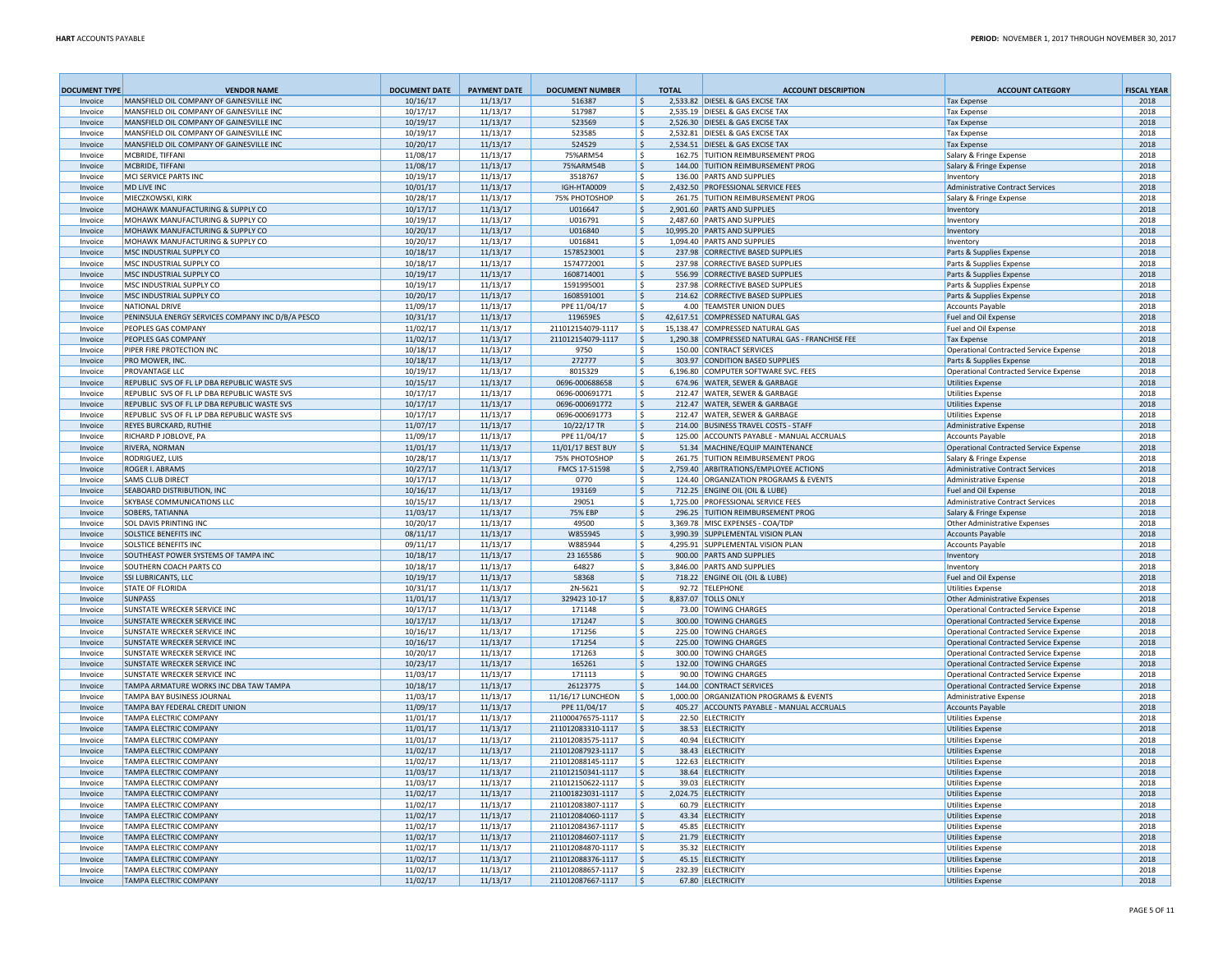| <b>DOCUMENT TYPE</b> | <b>VENDOR NAME</b>                                                                           | <b>DOCUMENT DATE</b> | <b>PAYMENT DATE</b>  | <b>DOCUMENT NUMBER</b>                 |              | <b>TOTAL</b> | <b>ACCOUNT DESCRIPTION</b>                                            | <b>ACCOUNT CATEGORY</b>                                                        | <b>FISCAL YEAR</b> |
|----------------------|----------------------------------------------------------------------------------------------|----------------------|----------------------|----------------------------------------|--------------|--------------|-----------------------------------------------------------------------|--------------------------------------------------------------------------------|--------------------|
| Invoice              | MANSFIELD OIL COMPANY OF GAINESVILLE INC                                                     | 10/16/17             | 11/13/17             | 516387                                 | $\mathsf{S}$ |              | 2,533.82 DIESEL & GAS EXCISE TAX                                      | <b>Tax Expense</b>                                                             | 2018               |
| Invoice              | MANSFIELD OIL COMPANY OF GAINESVILLE INC                                                     | 10/17/17             | 11/13/17             | 517987                                 | -S           |              | 2,535.19 DIESEL & GAS EXCISE TAX                                      | <b>Tax Expense</b>                                                             | 2018               |
| Invoice              | MANSFIELD OIL COMPANY OF GAINESVILLE INC                                                     | 10/19/17             | 11/13/17             | 523569                                 | ۱s           |              | 2,526.30 DIESEL & GAS EXCISE TAX                                      | <b>Tax Expense</b>                                                             | 2018               |
| Invoice              | MANSFIELD OIL COMPANY OF GAINESVILLE INC<br>MANSFIELD OIL COMPANY OF GAINESVILLE INC         | 10/19/17             | 11/13/17             | 523585                                 | ۱s<br>۱s     |              | 2,532.81 DIESEL & GAS EXCISE TAX                                      | <b>Tax Expense</b>                                                             | 2018               |
| Invoice<br>Invoice   | MCBRIDE, TIFFANI                                                                             | 10/20/17<br>11/08/17 | 11/13/17<br>11/13/17 | 524529<br>75%ARM54                     | l \$         |              | 2,534.51 DIESEL & GAS EXCISE TAX<br>162.75 TUITION REIMBURSEMENT PROG | <b>Tax Expense</b><br>Salary & Fringe Expense                                  | 2018<br>2018       |
| Invoice              | MCBRIDE, TIFFANI                                                                             | 11/08/17             | 11/13/17             | 75%ARM54B                              | ۱s           |              | 144.00 TUITION REIMBURSEMENT PROG                                     | Salary & Fringe Expense                                                        | 2018               |
| Invoice              | MCI SERVICE PARTS INC                                                                        | 10/19/17             | 11/13/17             | 3518767                                | - Ś          |              | 136.00 PARTS AND SUPPLIES                                             | Inventory                                                                      | 2018               |
| Invoice              | <b>MD LIVE INC</b>                                                                           | 10/01/17             | 11/13/17             | IGH-HTA0009                            | -\$          |              | 2,432.50 PROFESSIONAL SERVICE FEES                                    | <b>Administrative Contract Services</b>                                        | 2018               |
| Invoice              | MIECZKOWSKI, KIRK                                                                            | 10/28/17             | 11/13/17             | 75% PHOTOSHOP                          | - Ś          |              | 261.75 TUITION REIMBURSEMENT PROG                                     | Salary & Fringe Expense                                                        | 2018               |
| Invoice              | MOHAWK MANUFACTURING & SUPPLY CO                                                             | 10/17/17             | 11/13/17             | U016647                                | -S           |              | 2.901.60 PARTS AND SUPPLIES                                           | <b>Inventory</b>                                                               | 2018               |
| Invoice              | MOHAWK MANUFACTURING & SUPPLY CO                                                             | 10/19/17             | 11/13/17             | U016791                                | -\$          |              | 2,487.60 PARTS AND SUPPLIES                                           | Inventory                                                                      | 2018               |
| Invoice              | MOHAWK MANUFACTURING & SUPPLY CO                                                             | 10/20/17             | 11/13/17             | U016840                                | -\$          |              | 10,995.20 PARTS AND SUPPLIES                                          | Inventory                                                                      | 2018               |
| Invoice              | MOHAWK MANUFACTURING & SUPPLY CO                                                             | 10/20/17             | 11/13/17             | U016841                                | -\$          |              | 1.094.40 PARTS AND SUPPLIES                                           | Inventory                                                                      | 2018               |
| Invoice<br>Invoice   | MSC INDUSTRIAL SUPPLY CO<br>MSC INDUSTRIAL SUPPLY CO                                         | 10/18/17<br>10/18/17 | 11/13/17<br>11/13/17 | 1578523001<br>1574772001               | S,<br>-\$    |              | 237.98 CORRECTIVE BASED SUPPLIES<br>237.98 CORRECTIVE BASED SUPPLIES  | Parts & Supplies Expense<br>Parts & Supplies Expense                           | 2018<br>2018       |
| Invoice              | <b>MSC INDUSTRIAL SUPPLY CO</b>                                                              | 10/19/17             | 11/13/17             | 1608714001                             | -S           |              | 556.99 CORRECTIVE BASED SUPPLIES                                      | Parts & Supplies Expense                                                       | 2018               |
| Invoice              | MSC INDUSTRIAL SUPPLY CO                                                                     | 10/19/17             | 11/13/17             | 1591995001                             | -S           |              | 237.98 CORRECTIVE BASED SUPPLIES                                      | Parts & Supplies Expense                                                       | 2018               |
| Invoice              | MSC INDUSTRIAL SUPPLY CO                                                                     | 10/20/17             | 11/13/17             | 1608591001                             | \$           |              | 214.62 CORRECTIVE BASED SUPPLIES                                      | Parts & Supplies Expense                                                       | 2018               |
| Invoice              | NATIONAL DRIVE                                                                               | 11/09/17             | 11/13/17             | PPE 11/04/17                           | -S           |              | 4.00 TEAMSTER UNION DUES                                              | <b>Accounts Payable</b>                                                        | 2018               |
| Invoice              | PENINSULA ENERGY SERVICES COMPANY INC D/B/A PESCO                                            | 10/31/17             | 11/13/17             | 119659ES                               | -\$          |              | 42,617.51 COMPRESSED NATURAL GAS                                      | Fuel and Oil Expense                                                           | 2018               |
| Invoice              | <b>PEOPLES GAS COMPANY</b>                                                                   | 11/02/17             | 11/13/17             | 211012154079-1117                      | - Ś          |              | 15,138.47 COMPRESSED NATURAL GAS                                      | Fuel and Oil Expense                                                           | 2018               |
| Invoice              | <b>PEOPLES GAS COMPANY</b>                                                                   | 11/02/17             | 11/13/17             | 211012154079-1117                      | -S           |              | 1,290.38 COMPRESSED NATURAL GAS - FRANCHISE FEE                       | <b>Tax Expense</b>                                                             | 2018               |
| Invoice              | PIPER FIRE PROTECTION INC                                                                    | 10/18/17             | 11/13/17             | 9750                                   | S.           |              | 150.00 CONTRACT SERVICES                                              | Operational Contracted Service Expense                                         | 2018               |
| Invoice              | <b>PRO MOWER, INC</b>                                                                        | 10/18/17             | 11/13/17             | 272777                                 | -S           |              | 303.97 CONDITION BASED SUPPLIES                                       | Parts & Supplies Expense                                                       | 2018               |
| Invoice              | PROVANTAGE LLC                                                                               | 10/19/17             | 11/13/17             | 8015329                                | - Ś          |              | 6,196.80 COMPUTER SOFTWARE SVC. FEES                                  | Operational Contracted Service Expense                                         | 2018               |
| Invoice              | REPUBLIC SVS OF FL LP DBA REPUBLIC WASTE SVS                                                 | 10/15/17             | 11/13/17             | 0696-000688658                         | S.           |              | 674.96 WATER, SEWER & GARBAGE                                         | <b>Utilities Expense</b>                                                       | 2018               |
| Invoice              | REPUBLIC SVS OF FL LP DBA REPUBLIC WASTE SVS                                                 | 10/17/17             | 11/13/17             | 0696-000691771                         | - Ś          |              | 212.47 WATER, SEWER & GARBAGE                                         | <b>Utilities Expense</b>                                                       | 2018               |
| Invoice<br>Invoice   | REPUBLIC SVS OF FL LP DBA REPUBLIC WASTE SVS<br>REPUBLIC SVS OF FL LP DBA REPUBLIC WASTE SVS | 10/17/17<br>10/17/17 | 11/13/17<br>11/13/17 | 0696-000691772<br>0696-000691773       | -\$<br>-S    |              | 212.47 WATER, SEWER & GARBAGE<br>212.47 WATER, SEWER & GARBAGE        | <b>Utilities Expense</b><br><b>Utilities Expense</b>                           | 2018<br>2018       |
| Invoice              | REYES BURCKARD, RUTHIE                                                                       | 11/07/17             | 11/13/17             | 10/22/17 TR                            | \$           |              | 214.00 BUSINESS TRAVEL COSTS - STAFF                                  | <b>Administrative Expense</b>                                                  | 2018               |
| Invoice              | <b>RICHARD PJOBLOVE, PA</b>                                                                  | 11/09/17             | 11/13/17             | PPE 11/04/17                           | S.           |              | 125.00 ACCOUNTS PAYABLE - MANUAL ACCRUALS                             | <b>Accounts Pavable</b>                                                        | 2018               |
| Invoice              | RIVERA, NORMAN                                                                               | 11/01/17             | 11/13/17             | 11/01/17 BEST BUY                      | -\$          |              | 51.34 MACHINE/EQUIP MAINTENANCE                                       | <b>Operational Contracted Service Expense</b>                                  | 2018               |
| Invoice              | <b>RODRIGUEZ, LUIS</b>                                                                       | 10/28/17             | 11/13/17             | <b>75% PHOTOSHOP</b>                   | S.           |              | 261.75 TUITION REIMBURSEMENT PROG                                     | Salary & Fringe Expense                                                        | 2018               |
| Invoice              | <b>ROGER L ABRAMS</b>                                                                        | 10/27/17             | 11/13/17             | FMCS 17-51598                          | \$           |              | 2,759.40 ARBITRATIONS/EMPLOYEE ACTIONS                                | <b>Administrative Contract Services</b>                                        | 2018               |
| Invoice              | <b>SAMS CLUB DIRECT</b>                                                                      | 10/17/17             | 11/13/17             | 0770                                   | -S.          |              | 124.40 ORGANIZATION PROGRAMS & EVENTS                                 | <b>Administrative Expense</b>                                                  | 2018               |
| Invoice              | SEABOARD DISTRIBUTION. INC.                                                                  | 10/16/17             | 11/13/17             | 193169                                 | - Ś          |              | 712.25 ENGINE OIL (OIL & LUBE)                                        | Fuel and Oil Expense                                                           | 2018               |
| Invoice              | SKYBASE COMMUNICATIONS LLC                                                                   | 10/15/17             | 11/13/17             | 29051                                  | -\$          |              | 1,725.00 PROFESSIONAL SERVICE FEES                                    | Administrative Contract Services                                               | 2018               |
| Invoice              | SOBERS, TATIANNA                                                                             | 11/03/17             | 11/13/17             | <b>75% EBP</b>                         | - Ś          |              | 296.25 TUITION REIMBURSEMENT PROG                                     | Salary & Fringe Expense                                                        | 2018               |
| Invoice              | <b>SOL DAVIS PRINTING INC</b>                                                                | 10/20/17             | 11/13/17             | 49500                                  | Ŝ.           |              | 3,369.78 MISC EXPENSES - COA/TDP                                      | Other Administrative Expenses                                                  | 2018               |
| Invoice              | SOLSTICE BENEFITS INC.                                                                       | 08/11/17             | 11/13/17             | W855945                                | -S           |              | 3.990.39 SUPPLEMENTAL VISION PLAN                                     | <b>Accounts Pavable</b>                                                        | 2018               |
| Invoice<br>Invoice   | SOLSTICE BENEFITS INC<br>SOUTHEAST POWER SYSTEMS OF TAMPA INC                                | 09/11/17<br>10/18/17 | 11/13/17<br>11/13/17 | W885944<br>23 165586                   | - Ś<br>-Ŝ    |              | 4.295.91 SUPPLEMENTAL VISION PLAN<br>900.00 PARTS AND SUPPLIES        | <b>Accounts Pavable</b><br>Inventory                                           | 2018<br>2018       |
| Invoice              | SOUTHERN COACH PARTS CO                                                                      | 10/18/17             | 11/13/17             | 64827                                  | Ŝ.           |              | 3.846.00 PARTS AND SUPPLIES                                           | Inventory                                                                      | 2018               |
| Invoice              | <b>SSI LUBRICANTS, LLC</b>                                                                   | 10/19/17             | 11/13/17             | 58368                                  | -Ś           |              | 718.22 ENGINE OIL (OIL & LUBE)                                        | Fuel and Oil Expense                                                           | 2018               |
| Invoice              | <b>STATE OF FLORIDA</b>                                                                      | 10/31/17             | 11/13/17             | 2N-5621                                | -S           |              | 92.72 TFLFPHONE                                                       | <b>Utilities Expense</b>                                                       | 2018               |
| Invoice              | <b>SUNPASS</b>                                                                               | 11/01/17             | 11/13/17             | 329423 10-17                           | Ŝ.           |              | 8,837.07 TOLLS ONLY                                                   | <b>Other Administrative Expenses</b>                                           | 2018               |
| Invoice              | SUNSTATE WRECKER SERVICE INC                                                                 | 10/17/17             | 11/13/17             | 171148                                 | S.           |              | 73.00 TOWING CHARGES                                                  | Operational Contracted Service Expense                                         | 2018               |
| Invoice              | <b>SUNSTATE WRECKER SERVICE INC</b>                                                          | 10/17/17             | 11/13/17             | 171247                                 | $\zeta$      |              | 300.00 TOWING CHARGES                                                 | <b>Operational Contracted Service Expense</b>                                  | 2018               |
| Invoice              | SUNSTATE WRECKER SERVICE INC                                                                 | 10/16/17             | 11/13/17             | 171256                                 | s.           |              | 225.00 TOWING CHARGES                                                 | <b>Operational Contracted Service Expense</b>                                  | 2018               |
| Invoice              | <b>SUNSTATE WRECKER SERVICE INC</b>                                                          | 10/16/17             | 11/13/17             | 171254                                 | Ŝ.           |              | 225.00 TOWING CHARGES                                                 | <b>Operational Contracted Service Expense</b>                                  | 2018               |
| Invoice              | SUNSTATE WRECKER SERVICE INC                                                                 | 10/20/17             | 11/13/17             | 171263                                 | Ŝ.           |              | 300.00 TOWING CHARGES                                                 | <b>Operational Contracted Service Expense</b>                                  | 2018               |
| Invoice              | SUNSTATE WRECKER SERVICE INC                                                                 | 10/23/17             | 11/13/17             | 165261                                 | $\mathsf{S}$ |              | 132.00 TOWING CHARGES                                                 | <b>Operational Contracted Service Expense</b>                                  | 2018               |
| Invoice              | SUNSTATE WRECKER SERVICE INC                                                                 | 11/03/17             | 11/13/17             | 171113                                 | -S           |              | 90.00 TOWING CHARGES                                                  | <b>Operational Contracted Service Expense</b>                                  | 2018               |
| Invoice<br>Invoice   | TAMPA ARMATURE WORKS INC DBA TAW TAMPA<br>TAMPA BAY BUSINESS JOURNAL                         | 10/18/17<br>11/03/17 | 11/13/17<br>11/13/17 | 26123775<br>11/16/17 LUNCHEON          | - Ś          |              | 144.00 CONTRACT SERVICES<br>1.000.00 ORGANIZATION PROGRAMS & EVENTS   | <b>Operational Contracted Service Expense</b><br><b>Administrative Expense</b> | 2018<br>2018       |
| Invoice              | TAMPA BAY FEDERAL CREDIT UNION                                                               | 11/09/17             | 11/13/17             | PPE 11/04/17                           | -S           |              | 405.27 ACCOUNTS PAYABLE - MANUAL ACCRUALS                             | <b>Accounts Payable</b>                                                        | 2018               |
| Invoice              | TAMPA ELECTRIC COMPANY                                                                       | 11/01/17             | 11/13/17             | 211000476575-1117                      | -S           |              | 22.50 ELECTRICITY                                                     | <b>Utilities Expense</b>                                                       | 2018               |
| Invoice              | TAMPA ELECTRIC COMPANY                                                                       | 11/01/17             | 11/13/17             | 211012083310-1117                      | Ŝ.           |              | 38.53 ELECTRICITY                                                     | <b>Utilities Expense</b>                                                       | 2018               |
| Invoice              | TAMPA ELECTRIC COMPANY                                                                       | 11/01/17             | 11/13/17             | 211012083575-1117                      | -S           |              | 40.94 ELECTRICITY                                                     | <b>Utilities Expense</b>                                                       | 2018               |
| Invoice              | TAMPA ELECTRIC COMPANY                                                                       | 11/02/17             | 11/13/17             | 211012087923-1117                      | -Ŝ           |              | 38.43 ELECTRICITY                                                     | <b>Utilities Expense</b>                                                       | 2018               |
| Invoice              | TAMPA ELECTRIC COMPANY                                                                       | 11/02/17             | 11/13/17             | 211012088145-1117                      | -Ŝ           |              | 122.63 ELECTRICITY                                                    | <b>Utilities Expense</b>                                                       | 2018               |
| Invoice              | TAMPA ELECTRIC COMPANY                                                                       | 11/03/17             | 11/13/17             | 211012150341-1117                      | -S           |              | 38.64 ELECTRICITY                                                     | <b>Utilities Expense</b>                                                       | 2018               |
| Invoice              | TAMPA ELECTRIC COMPANY                                                                       | 11/03/17             | 11/13/17             | 211012150622-1117                      | -Ŝ           |              | 39.03 ELECTRICITY                                                     | <b>Utilities Expense</b>                                                       | 2018               |
| Invoice              | TAMPA ELECTRIC COMPANY                                                                       | 11/02/17             | 11/13/17             | 211001823031-1117                      | \$           |              | 2.024.75 ELECTRICITY                                                  | <b>Utilities Expense</b>                                                       | 2018               |
| Invoice              | TAMPA ELECTRIC COMPANY                                                                       | 11/02/17             | 11/13/17             | 211012083807-1117                      | Ŝ.           |              | 60.79 ELECTRICITY                                                     | <b>Utilities Expense</b>                                                       | 2018               |
| Invoice              | TAMPA ELECTRIC COMPANY                                                                       | 11/02/17             | 11/13/17             | 211012084060-1117                      | $\mathsf{S}$ |              | 43.34 ELECTRICITY                                                     | <b>Utilities Expense</b>                                                       | 2018               |
| Invoice              | TAMPA ELECTRIC COMPANY                                                                       | 11/02/17             | 11/13/17             | 211012084367-1117                      | -S           |              | 45.85 ELECTRICITY                                                     | <b>Utilities Expense</b>                                                       | 2018               |
| Invoice              | TAMPA ELECTRIC COMPANY                                                                       | 11/02/17             | 11/13/17             | 211012084607-1117                      | Ŝ.           |              | 21.79 ELECTRICITY                                                     | <b>Utilities Expense</b>                                                       | 2018               |
| Invoice<br>Invoice   | TAMPA ELECTRIC COMPANY<br>TAMPA ELECTRIC COMPANY                                             | 11/02/17<br>11/02/17 | 11/13/17<br>11/13/17 | 211012084870-1117<br>211012088376-1117 | Ŝ.           |              | 35.32 ELECTRICITY<br>45.15 ELECTRICITY                                | <b>Utilities Expense</b><br><b>Utilities Expense</b>                           | 2018<br>2018       |
| Invoice              | TAMPA ELECTRIC COMPANY                                                                       | 11/02/17             | 11/13/17             | 211012088657-1117                      | $\mathsf{S}$ |              | 232.39 ELECTRICITY                                                    | <b>Utilities Expense</b>                                                       | 2018               |
| Invoice              | TAMPA ELECTRIC COMPANY                                                                       | 11/02/17             | 11/13/17             | 211012087667-1117                      | -Ŝ           |              | 67.80 ELECTRICITY                                                     | <b>Utilities Expense</b>                                                       | 2018               |
|                      |                                                                                              |                      |                      |                                        |              |              |                                                                       |                                                                                |                    |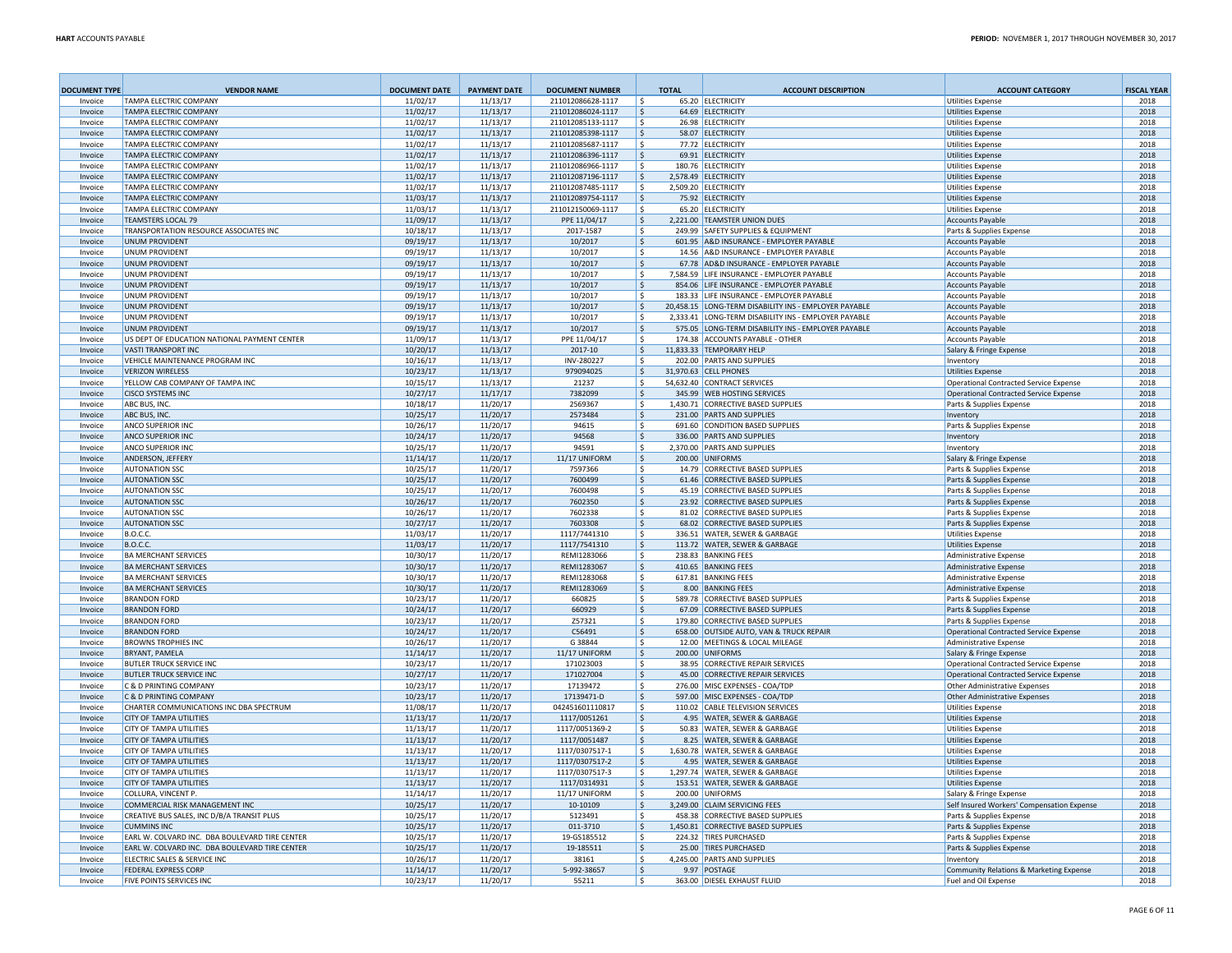| <b>DOCUMENT TYPE</b> | <b>VENDOR NAME</b>                                             | <b>DOCUMENT DATE</b> | <b>PAYMENT DATE</b>  | <b>DOCUMENT NUMBER</b>                 | <b>TOTAL</b>       | <b>ACCOUNT DESCRIPTION</b>                                                                                 | <b>ACCOUNT CATEGORY</b>                                                        | <b>FISCAL YEAR</b> |
|----------------------|----------------------------------------------------------------|----------------------|----------------------|----------------------------------------|--------------------|------------------------------------------------------------------------------------------------------------|--------------------------------------------------------------------------------|--------------------|
| Invoice              | <b>TAMPA FLECTRIC COMPANY</b>                                  | 11/02/17             | 11/13/17             | 211012086628-1117                      | S.                 | 65.20 ELECTRICITY                                                                                          | <b>Utilities Expense</b>                                                       | 2018               |
| Invoice              | <b>TAMPA ELECTRIC COMPANY</b>                                  | 11/02/17             | 11/13/17             | 211012086024-1117                      | Ś.                 | 64.69 ELECTRICITY                                                                                          | <b>Utilities Expense</b>                                                       | 2018               |
| Invoice              | <b>TAMPA ELECTRIC COMPANY</b>                                  | 11/02/17             | 11/13/17             | 211012085133-1117                      | Ŝ.                 | 26.98 ELECTRICITY                                                                                          | <b>Utilities Expense</b>                                                       | 2018               |
| Invoice<br>Invoice   | <b>TAMPA ELECTRIC COMPANY</b><br><b>TAMPA ELECTRIC COMPANY</b> | 11/02/17             | 11/13/17             | 211012085398-1117<br>211012085687-1117 | $\mathsf{S}$<br>Ŝ. | 58.07 ELECTRICITY<br>77.72 ELECTRICITY                                                                     | <b>Utilities Expense</b>                                                       | 2018<br>2018       |
| Invoice              | <b>TAMPA FLECTRIC COMPANY</b>                                  | 11/02/17<br>11/02/17 | 11/13/17<br>11/13/17 | 211012086396-1117                      | $\mathsf{S}$       | 69.91 FLECTRICITY                                                                                          | <b>Utilities Expense</b><br><b>Utilities Expense</b>                           | 2018               |
| Invoice              | <b>TAMPA ELECTRIC COMPANY</b>                                  | 11/02/17             | 11/13/17             | 211012086966-1117                      | Ŝ.                 | 180.76 ELECTRICITY                                                                                         | <b>Utilities Expense</b>                                                       | 2018               |
| Invoice              | <b>TAMPA ELECTRIC COMPANY</b>                                  | 11/02/17             | 11/13/17             | 211012087196-1117                      | Ŝ.                 | 2.578.49 ELECTRICITY                                                                                       | <b>Utilities Expense</b>                                                       | 2018               |
| Invoice              | <b>TAMPA ELECTRIC COMPANY</b>                                  | 11/02/17             | 11/13/17             | 211012087485-1117                      | S.                 | 2,509.20 ELECTRICITY                                                                                       | <b>Utilities Expense</b>                                                       | 2018               |
| Invoice              | <b>TAMPA ELECTRIC COMPANY</b>                                  | 11/03/17             | 11/13/17             | 211012089754-1117                      | Ŝ.                 | 75.92 ELECTRICITY                                                                                          | <b>Utilities Expense</b>                                                       | 2018               |
| Invoice              | <b>TAMPA ELECTRIC COMPANY</b>                                  | 11/03/17             | 11/13/17             | 211012150069-1117                      | S.                 | 65.20 ELECTRICITY                                                                                          | <b>Utilities Expense</b>                                                       | 2018               |
| Invoice              | <b>TEAMSTERS LOCAL 79</b>                                      | 11/09/17             | 11/13/17             | PPE 11/04/17                           | S.                 | 2,221.00 TEAMSTER UNION DUES                                                                               | Accounts Payable                                                               | 2018               |
| Invoice              | TRANSPORTATION RESOURCE ASSOCIATES INC                         | 10/18/17             | 11/13/17             | 2017-1587                              | Ŝ.                 | 249.99 SAFETY SUPPLIES & EQUIPMENT                                                                         | Parts & Supplies Expense                                                       | 2018               |
| Invoice              | <b>UNUM PROVIDENT</b>                                          | 09/19/17             | 11/13/17             | 10/2017                                | S.                 | 601.95 A&D INSURANCE - EMPLOYER PAYABLE                                                                    | <b>Accounts Payable</b>                                                        | 2018               |
| Invoice              | <b>UNUM PROVIDENT</b>                                          | 09/19/17             | 11/13/17             | 10/2017                                | Ŝ.                 | 14.56 A&D INSURANCE - EMPLOYER PAYABLE                                                                     | <b>Accounts Payable</b>                                                        | 2018               |
| Invoice              | <b>UNUM PROVIDENT</b>                                          | 09/19/17             | 11/13/17             | 10/2017                                | \$.                | 67.78 AD&D INSURANCE - EMPLOYER PAYABLE                                                                    | <b>Accounts Payable</b>                                                        | 2018               |
| Invoice              | <b>UNUM PROVIDENT</b>                                          | 09/19/17             | 11/13/17             | 10/2017                                | Ŝ.                 | 7,584.59 LIFE INSURANCE - EMPLOYER PAYABLE                                                                 | Accounts Payable                                                               | 2018               |
| Invoice              | UNUM PROVIDENT                                                 | 09/19/17             | 11/13/17             | 10/2017                                | \$.                | 854.06 LIFE INSURANCE - EMPLOYER PAYABLE                                                                   | <b>Accounts Payable</b>                                                        | 2018               |
| Invoice              | <b>UNUM PROVIDENT</b>                                          | 09/19/17             | 11/13/17             | 10/2017                                | S.                 | 183.33 LIFE INSURANCE - EMPLOYER PAYABLE                                                                   | <b>Accounts Payable</b>                                                        | 2018               |
| Invoice              | <b>UNUM PROVIDENT</b>                                          | 09/19/17             | 11/13/17             | 10/2017                                | ۱Ś.                | 20,458.15 LONG-TERM DISABILITY INS - EMPLOYER PAYABLE                                                      | <b>Accounts Payable</b>                                                        | 2018               |
| Invoice<br>Invoice   | <b>UNUM PROVIDENT</b><br><b>UNUM PROVIDENT</b>                 | 09/19/17<br>09/19/17 | 11/13/17<br>11/13/17 | 10/2017<br>10/2017                     | -\$<br>S.          | 2,333.41 LONG-TERM DISABILITY INS - EMPLOYER PAYABLE<br>575.05 LONG-TERM DISABILITY INS - EMPLOYER PAYABLE | <b>Accounts Payable</b>                                                        | 2018<br>2018       |
| Invoice              | US DEPT OF EDUCATION NATIONAL PAYMENT CENTER                   | 11/09/17             | 11/13/17             | PPE 11/04/17                           | \$.                | 174.38 ACCOUNTS PAYABLE - OTHER                                                                            | Accounts Payable<br><b>Accounts Payable</b>                                    | 2018               |
| Invoice              | <b>VASTI TRANSPORT INC</b>                                     | 10/20/17             | 11/13/17             | 2017-10                                | \$                 | 11,833.33 TEMPORARY HELP                                                                                   | Salary & Fringe Expense                                                        | 2018               |
| Invoice              | VEHICLE MAINTENANCE PROGRAM INC                                | 10/16/17             | 11/13/17             | INV-280227                             | -S                 | 202.00 PARTS AND SUPPLIES                                                                                  | Inventory                                                                      | 2018               |
| Invoice              | <b>VERIZON WIRELESS</b>                                        | 10/23/17             | 11/13/17             | 979094025                              | \$                 | 31,970.63 CELL PHONES                                                                                      | <b>Utilities Expense</b>                                                       | 2018               |
| Invoice              | YELLOW CAB COMPANY OF TAMPA INC                                | 10/15/17             | 11/13/17             | 21237                                  | -Ś                 | 54,632.40 CONTRACT SERVICES                                                                                | Operational Contracted Service Expense                                         | 2018               |
| Invoice              | <b>CISCO SYSTEMS INC</b>                                       | 10/27/17             | 11/17/17             | 7382099                                | \$                 | 345.99 WEB HOSTING SERVICES                                                                                | Operational Contracted Service Expense                                         | 2018               |
| Invoice              | ABC BUS, INC                                                   | 10/18/17             | 11/20/17             | 2569367                                | ۱\$                | 1,430.71 CORRECTIVE BASED SUPPLIES                                                                         | Parts & Supplies Expense                                                       | 2018               |
| Invoice              | <b>ABC BUS, INC</b>                                            | 10/25/17             | 11/20/17             | 2573484                                | \$                 | 231.00 PARTS AND SUPPLIES                                                                                  | Inventory                                                                      | 2018               |
| Invoice              | ANCO SUPERIOR INC                                              | 10/26/17             | 11/20/17             | 94615                                  | -S                 | 691.60 CONDITION BASED SUPPLIES                                                                            | Parts & Supplies Expense                                                       | 2018               |
| Invoice              | ANCO SUPERIOR INC                                              | 10/24/17             | 11/20/17             | 94568                                  | \$                 | 336.00 PARTS AND SUPPLIES                                                                                  | Inventory                                                                      | 2018               |
| Invoice              | <b>ANCO SUPERIOR INC</b>                                       | 10/25/17             | 11/20/17             | 94591                                  | -S                 | 2,370.00 PARTS AND SUPPLIES                                                                                | Inventory                                                                      | 2018               |
| Invoice              | ANDERSON, JEFFERY                                              | 11/14/17             | 11/20/17             | 11/17 UNIFORM                          | \$                 | 200.00 UNIFORMS                                                                                            | Salary & Fringe Expense                                                        | 2018               |
| Invoice              | <b>AUTONATION SSC</b>                                          | 10/25/17             | 11/20/17             | 7597366                                | -S                 | 14.79 CORRECTIVE BASED SUPPLIES                                                                            | Parts & Supplies Expense                                                       | 2018               |
| Invoice              | <b>AUTONATION SSC</b>                                          | 10/25/17             | 11/20/17             | 7600499                                | \$.                | 61.46 CORRECTIVE BASED SUPPLIES                                                                            | Parts & Supplies Expense                                                       | 2018               |
| Invoice              | <b>AUTONATION SSC</b>                                          | 10/25/17             | 11/20/17             | 7600498                                | Ŝ.                 | 45.19 CORRECTIVE BASED SUPPLIES                                                                            | Parts & Supplies Expense                                                       | 2018               |
| Invoice              | <b>AUTONATION SSC</b><br><b>AUTONATION SSC</b>                 | 10/26/17             | 11/20/17             | 7602350                                | S.<br>-S           | 23.92 CORRECTIVE BASED SUPPLIES<br>81.02 CORRECTIVE BASED SUPPLIES                                         | Parts & Supplies Expense                                                       | 2018               |
| Invoice<br>Invoice   | <b>AUTONATION SSC</b>                                          | 10/26/17<br>10/27/17 | 11/20/17<br>11/20/17 | 7602338<br>7603308                     | \$                 | 68.02 CORRECTIVE BASED SUPPLIES                                                                            | Parts & Supplies Expense                                                       | 2018<br>2018       |
| Invoice              | <b>B.O.C.C.</b>                                                | 11/03/17             | 11/20/17             | 1117/7441310                           | \$.                | 336.51 WATER, SEWER & GARBAGE                                                                              | Parts & Supplies Expense<br><b>Utilities Expense</b>                           | 2018               |
| Invoice              | <b>B.O.C.C</b>                                                 | 11/03/17             | 11/20/17             | 1117/7541310                           | \$                 | 113.72 WATER, SEWER & GARBAGE                                                                              | <b>Utilities Expense</b>                                                       | 2018               |
| Invoice              | <b>BA MERCHANT SERVICES</b>                                    | 10/30/17             | 11/20/17             | REMI1283066                            | \$.                | 238.83 BANKING FEES                                                                                        | Administrative Expense                                                         | 2018               |
| Invoice              | <b>BA MERCHANT SERVICES</b>                                    | 10/30/17             | 11/20/17             | REMI1283067                            | \$.                | 410.65 BANKING FEES                                                                                        | Administrative Expense                                                         | 2018               |
| Invoice              | <b>BA MERCHANT SERVICES</b>                                    | 10/30/17             | 11/20/17             | REMI1283068                            | -S                 | 617.81 BANKING FEES                                                                                        | Administrative Expense                                                         | 2018               |
| Invoice              | <b>BA MERCHANT SERVICES</b>                                    | 10/30/17             | 11/20/17             | REMI1283069                            | \$.                | 8.00 BANKING FEES                                                                                          | Administrative Expense                                                         | 2018               |
| Invoice              | <b>BRANDON FORD</b>                                            | 10/23/17             | 11/20/17             | 660825                                 | Ŝ                  | 589.78 CORRECTIVE BASED SUPPLIES                                                                           | Parts & Supplies Expense                                                       | 2018               |
| Invoice              | <b>BRANDON FORD</b>                                            | 10/24/17             | 11/20/17             | 660929                                 | S                  | 67.09 CORRECTIVE BASED SUPPLIES                                                                            | Parts & Supplies Expense                                                       | 2018               |
| Invoice              | <b>BRANDON FORD</b>                                            | 10/23/17             | 11/20/17             | Z57321                                 | \$.                | 179.80 CORRECTIVE BASED SUPPLIES                                                                           | Parts & Supplies Expense                                                       | 2018               |
| Invoice              | <b>BRANDON FORD</b>                                            | 10/24/17             | 11/20/17             | C56491                                 | S                  | 658.00 OUTSIDE AUTO, VAN & TRUCK REPAIR                                                                    | <b>Operational Contracted Service Expense</b>                                  | 2018               |
| Invoice              | <b>BROWNS TROPHIES INC</b>                                     | 10/26/17             | 11/20/17             | G 38844                                | Ŝ                  | 12.00 MEETINGS & LOCAL MILEAGE                                                                             | Administrative Expense                                                         | 2018               |
| Invoice              | <b>BRYANT, PAMELA</b>                                          | 11/14/17             | 11/20/17             | 11/17 UNIFORM                          | Ŝ.                 | 200.00 UNIFORMS                                                                                            | Salary & Fringe Expense                                                        | 2018               |
| Invoice              | <b>BUTLER TRUCK SERVICE INC</b>                                | 10/23/17             | 11/20/17             | 171023003                              | Ŝ                  | 38.95 CORRECTIVE REPAIR SERVICES                                                                           | Operational Contracted Service Expense                                         | 2018               |
| Invoice<br>Invoice   | <b>BUTLER TRUCK SERVICE INC</b><br>C & D PRINTING COMPANY      | 10/27/17             | 11/20/17<br>11/20/17 | 171027004<br>17139472                  | \$.<br>-S          | 45.00 CORRECTIVE REPAIR SERVICES<br>276.00 MISC EXPENSES - COA/TDP                                         | Operational Contracted Service Expense<br><b>Other Administrative Expenses</b> | 2018<br>2018       |
| Invoice              | C & D PRINTING COMPANY                                         | 10/23/17<br>10/23/17 | 11/20/17             | 17139471-D                             | \$                 | 597.00 MISC EXPENSES - COA/TDP                                                                             | Other Administrative Expenses                                                  | 2018               |
| Invoice              | CHARTER COMMUNICATIONS INC DBA SPECTRUM                        | 11/08/17             | 11/20/17             | 042451601110817                        | -S                 | 110.02 CABLE TELEVISION SERVICES                                                                           | <b>Utilities Expense</b>                                                       | 2018               |
| Invoice              | <b>CITY OF TAMPA UTILITIES</b>                                 | 11/13/17             | 11/20/17             | 1117/0051261                           | \$                 | 4.95 WATER, SEWER & GARBAGE                                                                                | <b>Utilities Expense</b>                                                       | 2018               |
| Invoice              | <b>CITY OF TAMPA UTILITIES</b>                                 | 11/13/17             | 11/20/17             | 1117/0051369-2                         | -S                 | 50.83 WATER, SEWER & GARBAGE                                                                               | <b>Utilities Expense</b>                                                       | 2018               |
| Invoice              | <b>CITY OF TAMPA UTILITIES</b>                                 | 11/13/17             | 11/20/17             | 1117/0051487                           | \$                 | 8.25 WATER, SEWER & GARBAGE                                                                                | <b>Utilities Expense</b>                                                       | 2018               |
| Invoice              | <b>CITY OF TAMPA UTILITIES</b>                                 | 11/13/17             | 11/20/17             | 1117/0307517-1                         | Ŝ.                 | 1,630.78 WATER, SEWER & GARBAGE                                                                            | <b>Utilities Expense</b>                                                       | 2018               |
| Invoice              | <b>CITY OF TAMPA UTILITIES</b>                                 | 11/13/17             | 11/20/17             | 1117/0307517-2                         | \$                 | 4.95 WATER, SEWER & GARBAGE                                                                                | <b>Utilities Expense</b>                                                       | 2018               |
| Invoice              | CITY OF TAMPA UTILITIES                                        | 11/13/17             | 11/20/17             | 1117/0307517-3                         | -Ś                 | 1,297.74 WATER, SEWER & GARBAGE                                                                            | <b>Utilities Expense</b>                                                       | 2018               |
| Invoice              | <b>CITY OF TAMPA UTILITIES</b>                                 | 11/13/17             | 11/20/17             | 1117/0314931                           | $\mathsf{S}$       | 153.51 WATER, SEWER & GARBAGE                                                                              | <b>Utilities Expense</b>                                                       | 2018               |
| Invoice              | COLLURA, VINCENT P.                                            | 11/14/17             | 11/20/17             | 11/17 UNIFORM                          | S.                 | 200.00 UNIFORMS                                                                                            | Salary & Fringe Expense                                                        | 2018               |
| Invoice              | COMMERCIAL RISK MANAGEMENT INC                                 | 10/25/17             | 11/20/17             | 10-10109                               | Ŝ.                 | 3,249.00 CLAIM SERVICING FEES                                                                              | Self Insured Workers' Compensation Expense                                     | 2018               |
| Invoice              | CREATIVE BUS SALES. INC D/B/A TRANSIT PLUS                     | 10/25/17             | 11/20/17             | 5123491                                | $\mathsf{S}$       | 458.38 CORRECTIVE BASED SUPPLIES                                                                           | Parts & Supplies Expense                                                       | 2018               |
| Invoice              | <b>CUMMINS INC</b>                                             | 10/25/17             | 11/20/17             | 011-3710                               | $\mathsf S$        | 1,450.81 CORRECTIVE BASED SUPPLIES                                                                         | Parts & Supplies Expense                                                       | 2018               |
| Invoice              | EARL W. COLVARD INC. DBA BOULEVARD TIRE CENTER                 | 10/25/17             | 11/20/17             | 19-GS185512                            | Ŝ.                 | 224.32 TIRES PURCHASED                                                                                     | Parts & Supplies Expense                                                       | 2018               |
| Invoice              | EARL W. COLVARD INC. DBA BOULEVARD TIRE CENTER                 | 10/25/17             | 11/20/17             | 19-185511                              |                    | 25.00 TIRES PURCHASED                                                                                      | Parts & Supplies Expense                                                       | 2018               |
| Invoice<br>Invoice   | ELECTRIC SALES & SERVICE INC                                   | 10/26/17             | 11/20/17             | 38161                                  | Ŝ<br>$\mathsf{S}$  | 4,245.00 PARTS AND SUPPLIES                                                                                | Inventory                                                                      | 2018               |
| Invoice              | FEDERAL EXPRESS CORP<br>FIVE POINTS SERVICES INC               | 11/14/17<br>10/23/17 | 11/20/17<br>11/20/17 | 5-992-38657<br>55211                   |                    | 9.97 POSTAGE<br>363.00 DIESEL EXHAUST FLUID                                                                | Community Relations & Marketing Expense<br>Fuel and Oil Expense                | 2018<br>2018       |
|                      |                                                                |                      |                      |                                        |                    |                                                                                                            |                                                                                |                    |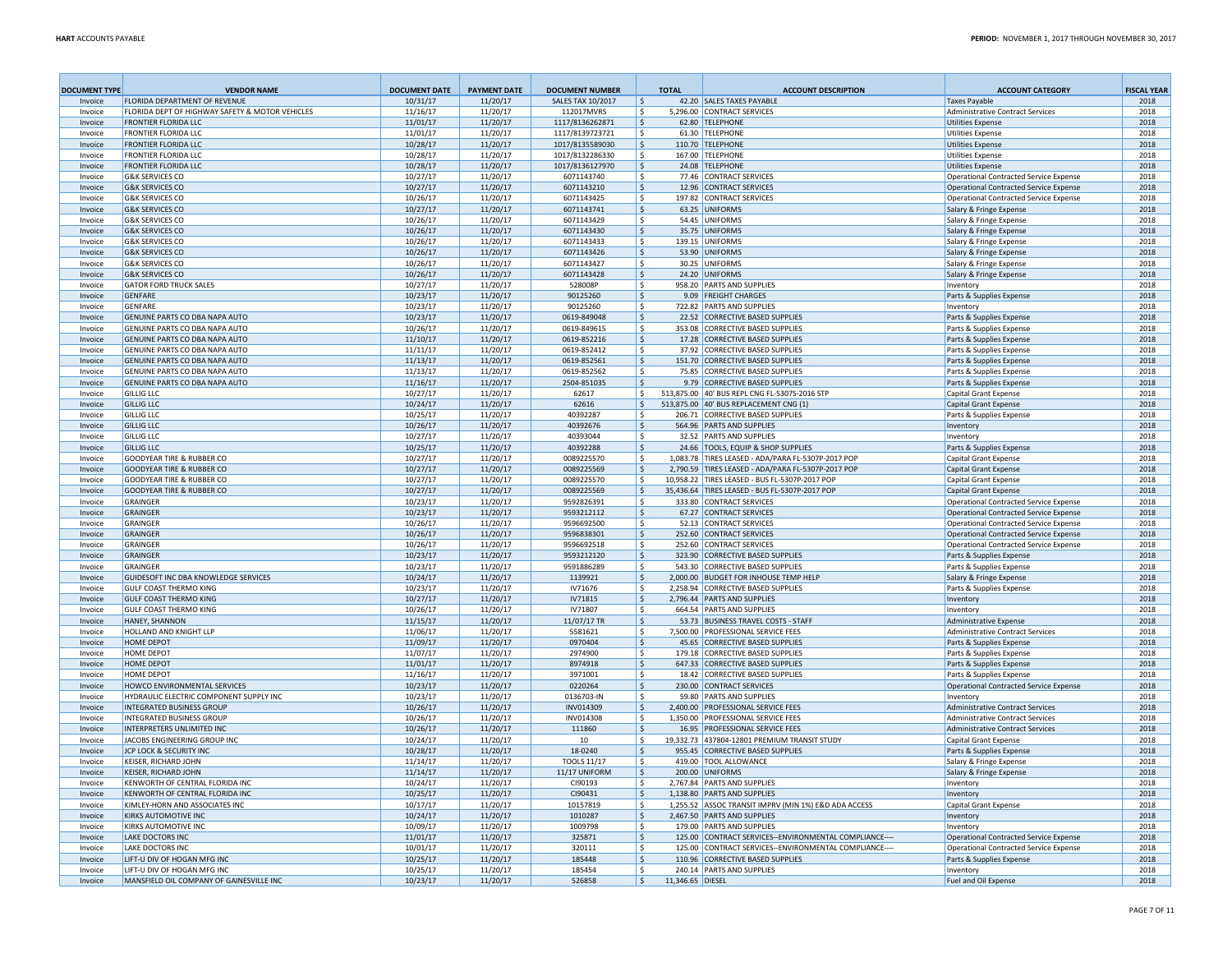| <b>DOCUMENT TYPE</b> | <b>VENDOR NAME</b>                                                           | <b>DOCUMENT DATE</b> | <b>PAYMENT DATE</b>  | <b>DOCUMENT NUMBER</b>             |               | <b>TOTAL</b>     | <b>ACCOUNT DESCRIPTION</b>                                                                           | <b>ACCOUNT CATEGORY</b>                                                   | <b>FISCAL YEAR</b> |
|----------------------|------------------------------------------------------------------------------|----------------------|----------------------|------------------------------------|---------------|------------------|------------------------------------------------------------------------------------------------------|---------------------------------------------------------------------------|--------------------|
| Invoice              | <b>FLORIDA DEPARTMENT OF REVENUE</b>                                         | 10/31/17             | 11/20/17             | <b>SALES TAX 10/2017</b>           | S.            |                  | 42.20 SALES TAXES PAYABLE                                                                            | <b>Taxes Pavable</b>                                                      | 2018               |
| Invoice              | FLORIDA DEPT OF HIGHWAY SAFETY & MOTOR VEHICLES                              | 11/16/17             | 11/20/17             | 112017MVRS                         | -\$           |                  | 5,296.00 CONTRACT SERVICES                                                                           | <b>Administrative Contract Services</b>                                   | 2018               |
| Invoice<br>Invoice   | <b>FRONTIER FLORIDA LLC</b><br><b>FRONTIER FLORIDA LLC</b>                   | 11/01/17<br>11/01/17 | 11/20/17<br>11/20/17 | 1117/8136262871<br>1117/8139723721 | -\$<br>۱s     |                  | 62.80 TELEPHONE<br>61.30 TELEPHONE                                                                   | <b>Utilities Expense</b><br><b>Utilities Expense</b>                      | 2018<br>2018       |
| Invoice              | <b>FRONTIER FLORIDA LLC</b>                                                  | 10/28/17             | 11/20/17             | 1017/8135589030                    | -\$           |                  | 110.70 TELEPHONE                                                                                     | <b>Utilities Expense</b>                                                  | 2018               |
| Invoice              | <b>FRONTIER FLORIDA LLC</b>                                                  | 10/28/17             | 11/20/17             | 1017/8132286330                    | -S            |                  | 167.00 TELEPHONE                                                                                     | <b>Utilities Expense</b>                                                  | 2018               |
| Invoice              | <b>FRONTIER FLORIDA LLC</b>                                                  | 10/28/17             | 11/20/17             | 1017/8136127970                    | ۱s            |                  | 24.08 TELEPHONE                                                                                      | <b>Utilities Expense</b>                                                  | 2018               |
| Invoice              | <b>G&amp;K SERVICES CO</b>                                                   | 10/27/17             | 11/20/17             | 6071143740                         | -\$           |                  | 77.46 CONTRACT SERVICES                                                                              | Operational Contracted Service Expense                                    | 2018               |
| Invoice              | <b>G&amp;K SERVICES CO</b>                                                   | 10/27/17             | 11/20/17             | 6071143210                         | \$            |                  | 12.96 CONTRACT SERVICES                                                                              | Operational Contracted Service Expense                                    | 2018               |
| Invoice              | <b>G&amp;K SERVICES CO</b>                                                   | 10/26/17             | 11/20/17             | 6071143425                         | -\$           |                  | 197.82 CONTRACT SERVICES                                                                             | Operational Contracted Service Expense                                    | 2018               |
| Invoice              | <b>G&amp;K SERVICES CO</b>                                                   | 10/27/17             | 11/20/17             | 6071143741                         | - Ś           |                  | 63.25 UNIFORMS                                                                                       | Salary & Fringe Expense                                                   | 2018               |
| Invoice              | <b>G&amp;K SERVICES CO</b>                                                   | 10/26/17             | 11/20/17             | 6071143429                         | -\$           |                  | 54.45 UNIFORMS                                                                                       | Salary & Fringe Expense                                                   | 2018               |
| Invoice<br>Invoice   | <b>G&amp;K SERVICES CO</b><br><b>G&amp;K SERVICES CC</b>                     | 10/26/17<br>10/26/17 | 11/20/17<br>11/20/17 | 6071143430<br>6071143433           | -\$<br>-S     |                  | 35.75 UNIFORMS<br>139.15 UNIFORMS                                                                    | Salary & Fringe Expense<br>Salary & Fringe Expense                        | 2018<br>2018       |
| Invoice              | <b>G&amp;K SERVICES CO</b>                                                   | 10/26/17             | 11/20/17             | 6071143426                         | -\$           |                  | 53.90 UNIFORMS                                                                                       | Salary & Fringe Expense                                                   | 2018               |
| Invoice              | <b>G&amp;K SERVICES CO</b>                                                   | 10/26/17             | 11/20/17             | 6071143427                         | -Ŝ            |                  | 30.25 UNIFORMS                                                                                       | Salary & Fringe Expense                                                   | 2018               |
| Invoice              | <b>G&amp;K SERVICES CO</b>                                                   | 10/26/17             | 11/20/17             | 6071143428                         | S,            |                  | 24.20 UNIFORMS                                                                                       | Salary & Fringe Expense                                                   | 2018               |
| Invoice              | <b>GATOR FORD TRUCK SALES</b>                                                | 10/27/17             | 11/20/17             | 528008P                            | -S            |                  | 958.20 PARTS AND SUPPLIES                                                                            | Inventory                                                                 | 2018               |
| Invoice              | GENFARE                                                                      | 10/23/17             | 11/20/17             | 90125260                           | S,            |                  | 9.09 FREIGHT CHARGES                                                                                 | Parts & Supplies Expense                                                  | 2018               |
| Invoice              | GENFARE                                                                      | 10/23/17             | 11/20/17             | 90125260                           | ۱s            |                  | 722.82 PARTS AND SUPPLIES                                                                            | Inventory                                                                 | 2018               |
| Invoice              | GENUINE PARTS CO DBA NAPA AUTO                                               | 10/23/17             | 11/20/17             | 0619-849048                        | $\mathsf{S}$  |                  | 22.52 CORRECTIVE BASED SUPPLIES                                                                      | Parts & Supplies Expense                                                  | 2018               |
| Invoice              | GENUINE PARTS CO DBA NAPA AUTO                                               | 10/26/17             | 11/20/17             | 0619-849615                        | \$            |                  | 353.08 CORRECTIVE BASED SUPPLIES                                                                     | Parts & Supplies Expense                                                  | 2018               |
| Invoice              | <b>GENUINE PARTS CO DBA NAPA AUTO</b>                                        | 11/10/17             | 11/20/17             | 0619-852216                        | ۱s            |                  | 17.28 CORRECTIVE BASED SUPPLIES                                                                      | Parts & Supplies Expense                                                  | 2018               |
| Invoice              | GENUINE PARTS CO DBA NAPA AUTO<br>GENUINE PARTS CO DBA NAPA AUTO             | 11/11/17             | 11/20/17             | 0619-852412                        | \$<br>-\$     |                  | 37.92 CORRECTIVE BASED SUPPLIES<br>151.70 CORRECTIVE BASED SUPPLIES                                  | Parts & Supplies Expense                                                  | 2018<br>2018       |
| Invoice<br>Invoice   | GENUINE PARTS CO DBA NAPA AUTO                                               | 11/13/17<br>11/13/17 | 11/20/17<br>11/20/17 | 0619-852561<br>0619-852562         | -S            |                  | 75.85 CORRECTIVE BASED SUPPLIES                                                                      | Parts & Supplies Expense<br>Parts & Supplies Expense                      | 2018               |
| Invoice              | GENUINE PARTS CO DBA NAPA AUTO                                               | 11/16/17             | 11/20/17             | 2504-851035                        | -\$           |                  | 9.79 CORRECTIVE BASED SUPPLIES                                                                       | Parts & Supplies Expense                                                  | 2018               |
| Invoice              | <b>GILLIG LLC</b>                                                            | 10/27/17             | 11/20/17             | 62617                              | - Ś           |                  | 513,875.00 40' BUS REPL CNG FL-5307S-2016 STP                                                        | Capital Grant Expense                                                     | 2018               |
| Invoice              | <b>GILLIG LLC</b>                                                            | 10/24/17             | 11/20/17             | 62616                              | S,            |                  | 513,875.00 40' BUS REPLACEMENT CNG (1)                                                               | <b>Capital Grant Expense</b>                                              | 2018               |
| Invoice              | <b>GILLIG LLC</b>                                                            | 10/25/17             | 11/20/17             | 40392287                           | -\$           |                  | 206.71 CORRECTIVE BASED SUPPLIES                                                                     | Parts & Supplies Expense                                                  | 2018               |
| Invoice              | <b>GILLIG LLC</b>                                                            | 10/26/17             | 11/20/17             | 40392676                           | ۱\$.          |                  | 564.96 PARTS AND SUPPLIES                                                                            | Inventory                                                                 | 2018               |
| Invoice              | <b>GILLIG LLC</b>                                                            | 10/27/17             | 11/20/17             | 40393044                           | -\$           |                  | 32.52 PARTS AND SUPPLIES                                                                             | Inventory                                                                 | 2018               |
| Invoice              | <b>GILLIG LLC</b>                                                            | 10/25/17             | 11/20/17             | 40392288                           | -S            |                  | 24.66 TOOLS, EQUIP & SHOP SUPPLIES                                                                   | Parts & Supplies Expense                                                  | 2018               |
| Invoice              | <b>GOODYEAR TIRE &amp; RUBBER CO</b>                                         | 10/27/17             | 11/20/17             | 0089225570                         | -\$           |                  | 1,083.78 TIRES LEASED - ADA/PARA FL-5307P-2017 POP                                                   | Capital Grant Expense                                                     | 2018               |
| Invoice<br>Invoice   | <b>GOODYEAR TIRE &amp; RUBBER CO</b><br><b>GOODYEAR TIRE &amp; RUBBER CO</b> | 10/27/17<br>10/27/17 | 11/20/17<br>11/20/17 | 0089225569<br>0089225570           | -\$<br>s.     |                  | 2,790.59 TIRES LEASED - ADA/PARA FL-5307P-2017 POP<br>10,958.22 TIRES LEASED - BUS FL-5307P-2017 POP | <b>Capital Grant Expense</b><br><b>Capital Grant Expense</b>              | 2018<br>2018       |
| Invoice              | <b>GOODYEAR TIRE &amp; RUBBER CO</b>                                         | 10/27/17             | 11/20/17             | 0089225569                         | -\$           |                  | 35,436.64 TIRES LEASED - BUS FL-5307P-2017 POP                                                       | <b>Capital Grant Expense</b>                                              | 2018               |
| Invoice              | <b>GRAINGER</b>                                                              | 10/23/17             | 11/20/17             | 9592826391                         | -\$           |                  | 333.80 CONTRACT SERVICES                                                                             | Operational Contracted Service Expense                                    | 2018               |
| Invoice              | GRAINGER                                                                     | 10/23/17             | 11/20/17             | 9593212112                         | -\$           |                  | 67.27 CONTRACT SERVICES                                                                              | Operational Contracted Service Expense                                    | 2018               |
| Invoice              | <b>GRAINGER</b>                                                              | 10/26/17             | 11/20/17             | 9596692500                         | -\$           |                  | 52.13 CONTRACT SERVICES                                                                              | Operational Contracted Service Expense                                    | 2018               |
| Invoice              | GRAINGER                                                                     | 10/26/17             | 11/20/17             | 9596838301                         | S.            |                  | 252.60 CONTRACT SERVICES                                                                             | Operational Contracted Service Expense                                    | 2018               |
| Invoice              | <b>GRAINGER</b>                                                              | 10/26/17             | 11/20/17             | 9596692518                         | Ŝ.            |                  | 252.60 CONTRACT SERVICES                                                                             | Operational Contracted Service Expense                                    | 2018               |
| Invoice              | <b>GRAINGER</b>                                                              | 10/23/17             | 11/20/17             | 9593212120                         | -S            |                  | 323.90 CORRECTIVE BASED SUPPLIES                                                                     | Parts & Supplies Expense                                                  | 2018               |
| Invoice              | <b>GRAINGFR</b>                                                              | 10/23/17             | 11/20/17             | 9591886289                         | Ŝ.            |                  | 543.30 CORRECTIVE BASED SUPPLIES                                                                     | Parts & Supplies Expense                                                  | 2018               |
| Invoice              | <b>GUIDESOFT INC DBA KNOWLEDGE SERVICES</b>                                  | 10/24/17             | 11/20/17             | 1139921<br>IV71676                 | -\$           |                  | 2,000.00 BUDGET FOR INHOUSE TEMP HELP                                                                | Salary & Fringe Expense                                                   | 2018<br>2018       |
| Invoice<br>Invoice   | <b>GULF COAST THERMO KING</b><br><b>GULF COAST THERMO KING</b>               | 10/23/17<br>10/27/17 | 11/20/17<br>11/20/17 | IV71815                            | -Ŝ<br>\$      |                  | 2.258.94 CORRECTIVE BASED SUPPLIES<br>2,796.44 PARTS AND SUPPLIES                                    | Parts & Supplies Expense                                                  | 2018               |
| Invoice              | GULF COAST THERMO KING                                                       | 10/26/17             | 11/20/17             | <b>IV71807</b>                     | S.            |                  | 664.54 PARTS AND SUPPLIES                                                                            | Inventory<br>Inventory                                                    | 2018               |
| Invoice              | <b>HANEY, SHANNON</b>                                                        | 11/15/17             | 11/20/17             | 11/07/17 TR                        | Ŝ.            |                  | 53.73 BUSINESS TRAVEL COSTS - STAFF                                                                  | <b>Administrative Expense</b>                                             | 2018               |
| Invoice              | HOLLAND AND KNIGHT LLP                                                       | 11/06/17             | 11/20/17             | 5581621                            | s.            |                  | 7.500.00 PROFESSIONAL SERVICE FEES                                                                   | <b>Administrative Contract Services</b>                                   | 2018               |
| Invoice              | HOME DEPOT                                                                   | 11/09/17             | 11/20/17             | 0970404                            | - Ś           |                  | 45.65 CORRECTIVE BASED SUPPLIES                                                                      | Parts & Supplies Expense                                                  | 2018               |
| Invoice              | HOME DEPOT                                                                   | 11/07/17             | 11/20/17             | 2974900                            | <sup>\$</sup> |                  | 179.18 CORRECTIVE BASED SUPPLIES                                                                     | Parts & Supplies Expense                                                  | 2018               |
| Invoice              | <b>HOME DEPOT</b>                                                            | 11/01/17             | 11/20/17             | 8974918                            | Ŝ.            |                  | 647.33 CORRECTIVE BASED SUPPLIES                                                                     | Parts & Supplies Expense                                                  | 2018               |
| Invoice              | HOME DEPOT                                                                   | 11/16/17             | 11/20/17             | 3971001                            | -\$           |                  | 18.42 CORRECTIVE BASED SUPPLIES                                                                      | Parts & Supplies Expense                                                  | 2018               |
| Invoice              | HOWCO ENVIRONMENTAL SERVICES                                                 | 10/23/17             | 11/20/17             | 0220264                            | $\mathsf{S}$  |                  | 230.00 CONTRACT SERVICES                                                                             | <b>Operational Contracted Service Expense</b>                             | 2018               |
| Invoice              | HYDRAULIC ELECTRIC COMPONENT SUPPLY INC                                      | 10/23/17             | 11/20/17             | 0136703-IN                         | <sup>\$</sup> |                  | 59.80 PARTS AND SUPPLIES<br>2.400.00 PROFESSIONAL SERVICE FEES                                       | Inventory<br><b>Administrative Contract Services</b>                      | 2018               |
| Invoice<br>Invoice   | <b>INTEGRATED BUSINESS GROUP</b><br><b>INTEGRATED BUSINESS GROUP</b>         | 10/26/17<br>10/26/17 | 11/20/17<br>11/20/17 | INV014309<br>INV014308             | -\$<br>-Ŝ     |                  | 1.350.00 PROFESSIONAL SERVICE FEES                                                                   | <b>Administrative Contract Services</b>                                   | 2018<br>2018       |
| Invoice              | INTERPRETERS UNLIMITED INC                                                   | 10/26/17             | 11/20/17             | 111860                             | Ŝ.            |                  | 16.95 PROFESSIONAL SERVICE FEES                                                                      | <b>Administrative Contract Services</b>                                   | 2018               |
| Invoice              | JACOBS ENGINEERING GROUP INC                                                 | 10/24/17             | 11/20/17             | 10                                 | Ŝ.            |                  | 19.332.73 437804-12801 PREMIUM TRANSIT STUDY                                                         | Capital Grant Expense                                                     | 2018               |
| Invoice              | <b>JCP LOCK &amp; SECURITY INC</b>                                           | 10/28/17             | 11/20/17             | 18-0240                            | S.            |                  | 955.45 CORRECTIVE BASED SUPPLIES                                                                     | Parts & Supplies Expense                                                  | 2018               |
| Invoice              | <b>KEISER, RICHARD JOHN</b>                                                  | 11/14/17             | 11/20/17             | <b>TOOLS 11/17</b>                 | Š.            |                  | 419.00 TOOL ALLOWANCE                                                                                | Salary & Fringe Expense                                                   | 2018               |
| Invoice              | <b>KEISER, RICHARD JOHN</b>                                                  | 11/14/17             | 11/20/17             | 11/17 UNIFORM                      | -Ŝ            |                  | 200.00 UNIFORMS                                                                                      | Salary & Fringe Expense                                                   | 2018               |
| Invoice              | KENWORTH OF CENTRAL FLORIDA INC                                              | 10/24/17             | 11/20/17             | CI90193                            | Ŝ.            |                  | 2,767.84 PARTS AND SUPPLIES                                                                          | Inventory                                                                 | 2018               |
| Invoice              | KENWORTH OF CENTRAL FLORIDA INC                                              | 10/25/17             | 11/20/17             | CI90431                            | $\mathsf{S}$  |                  | 1.138.80 PARTS AND SUPPLIES                                                                          | Inventory                                                                 | 2018               |
| Invoice              | KIMLEY-HORN AND ASSOCIATES INC                                               | 10/17/17             | 11/20/17             | 10157819                           | Ŝ.            |                  | 1,255.52 ASSOC TRANSIT IMPRV (MIN 1%) E&D ADA ACCESS                                                 | Capital Grant Expense                                                     | 2018               |
| Invoice              | <b>KIRKS AUTOMOTIVE INC</b>                                                  | 10/24/17             | 11/20/17             | 1010287                            | $\mathsf{S}$  |                  | 2,467.50 PARTS AND SUPPLIES                                                                          | Inventory                                                                 | 2018               |
| Invoice              | KIRKS AUTOMOTIVE INC                                                         | 10/09/17             | 11/20/17             | 1009798                            | -S            |                  | 179.00 PARTS AND SUPPLIES                                                                            | Inventory                                                                 | 2018               |
| Invoice              | <b>LAKE DOCTORS INC</b><br><b>LAKE DOCTORS INC</b>                           | 11/01/17             | 11/20/17             | 325871<br>320111                   | Ŝ.            |                  | 125.00 CONTRACT SERVICES--ENVIRONMENTAL COMPLIANCE---                                                | <b>Operational Contracted Service Expense</b>                             | 2018<br>2018       |
| Invoice<br>Invoice   | LIFT-U DIV OF HOGAN MFG INC                                                  | 10/01/17<br>10/25/17 | 11/20/17<br>11/20/17 | 185448                             | $\mathsf{S}$  |                  | 125.00 CONTRACT SERVICES--ENVIRONMENTAL COMPLIANCE---<br>110.96 CORRECTIVE BASED SUPPLIES            | <b>Operational Contracted Service Expense</b><br>Parts & Supplies Expense | 2018               |
| Invoice              | LIFT-U DIV OF HOGAN MFG INC                                                  | 10/25/17             | 11/20/17             | 185454                             | $\mathsf{S}$  |                  | 240.14 PARTS AND SUPPLIES                                                                            | Inventory                                                                 | 2018               |
| Invoice              | MANSFIELD OIL COMPANY OF GAINESVILLE INC                                     | 10/23/17             | 11/20/17             | 526858                             | -Ŝ            | 11,346.65 DIESEL |                                                                                                      | Fuel and Oil Expense                                                      | 2018               |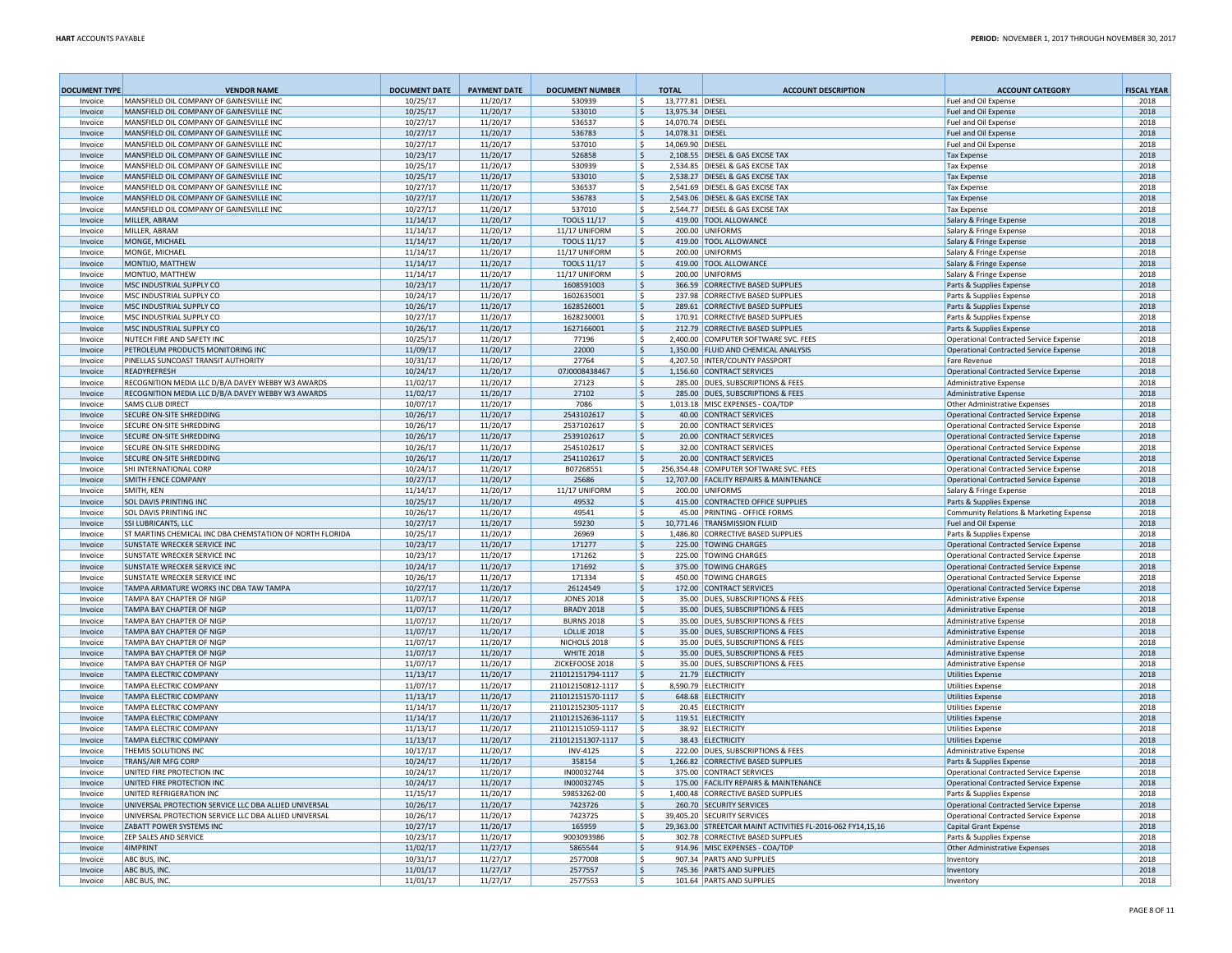| <b>DOCUMENT TYPE</b> | <b>VENDOR NAME</b>                                       | <b>DOCUMENT DATE</b> | <b>PAYMENT DATE</b>  | <b>DOCUMENT NUMBER</b>                 | <b>TOTAL</b>        | <b>ACCOUNT DESCRIPTION</b>                                  | <b>ACCOUNT CATEGORY</b>                              | <b>FISCAL YEAR</b> |
|----------------------|----------------------------------------------------------|----------------------|----------------------|----------------------------------------|---------------------|-------------------------------------------------------------|------------------------------------------------------|--------------------|
| Invoice              | MANSFIELD OIL COMPANY OF GAINESVILLE INC                 | 10/25/17             | 11/20/17             | 530939                                 | ۱s                  | 13,777.81 DIESEL                                            | Fuel and Oil Expense                                 | 2018               |
| Invoice              | MANSFIFLD OIL COMPANY OF GAINESVILLE INC.                | 10/25/17             | 11/20/17             | 533010                                 | ۱s                  | 13,975.34 DIESEL                                            | Fuel and Oil Expense                                 | 2018               |
| Invoice              | MANSFIFLD OIL COMPANY OF GAINESVILLE INC.                | 10/27/17             | 11/20/17             | 536537                                 | l \$                | 14,070.74 DIESEL                                            | Fuel and Oil Expense                                 | 2018               |
| Invoice              | MANSFIELD OIL COMPANY OF GAINESVILLE INC                 | 10/27/17             | 11/20/17             | 536783                                 | ۱\$.                | 14,078.31 DIESEL                                            | Fuel and Oil Expense                                 | 2018               |
| Invoice              | MANSFIFLD OIL COMPANY OF GAINESVILLE INC.                | 10/27/17             | 11/20/17             | 537010                                 | ۱Ś                  | 14.069.90 DIESEL                                            | Fuel and Oil Expense                                 | 2018               |
| Invoice              | MANSFIELD OIL COMPANY OF GAINESVILLE INC                 | 10/23/17             | 11/20/17             | 526858                                 | ١\$                 | 2,108.55 DIESEL & GAS EXCISE TAX                            | <b>Tax Expense</b>                                   | 2018               |
| Invoice              | MANSFIFLD OIL COMPANY OF GAINESVILLE INC.                | 10/25/17             | 11/20/17             | 530939                                 | ١s                  | 2.534.85 DIESEL & GAS EXCISE TAX                            | <b>Tax Expense</b>                                   | 2018               |
| Invoice              | MANSFIELD OIL COMPANY OF GAINESVILLE INC                 | 10/25/17             | 11/20/17             | 533010                                 | S,                  | 2,538.27 DIESEL & GAS EXCISE TAX                            | <b>Tax Expense</b>                                   | 2018               |
| Invoice              | MANSFIFLD OIL COMPANY OF GAINESVILLE INC.                | 10/27/17             | 11/20/17             | 536537                                 | ۱\$                 | 2.541.69 DIESEL & GAS EXCISE TAX                            | <b>Tax Expense</b>                                   | 2018               |
| Invoice              | MANSFIELD OIL COMPANY OF GAINESVILLE INC                 | 10/27/17             | 11/20/17             | 536783                                 | S,                  | 2,543.06 DIESEL & GAS EXCISE TAX                            | <b>Tax Expense</b>                                   | 2018               |
| Invoice              | MANSFIELD OIL COMPANY OF GAINESVILLE INC                 | 10/27/17             | 11/20/17             | 537010                                 | ۱\$                 | 2.544.77 DIESEL & GAS EXCISE TAX                            | <b>Tax Expense</b>                                   | 2018               |
| Invoice              | MILLER, ABRAM                                            | 11/14/17             | 11/20/17             | <b>TOOLS 11/17</b>                     | \$                  | 419.00 TOOL ALLOWANCE                                       | Salary & Fringe Expense                              | 2018               |
| Invoice              | MILLER, ABRAM<br>MONGE, MICHAEL                          | 11/14/17             | 11/20/17             | 11/17 UNIFORM                          | ۱\$                 | 200.00 UNIFORMS                                             | Salary & Fringe Expense                              | 2018<br>2018       |
| Invoice              | MONGE, MICHAEL                                           | 11/14/17             | 11/20/17             | <b>TOOLS 11/17</b><br>11/17 UNIFORM    | $\ddot{\mathsf{s}}$ | 419.00 TOOL ALLOWANCE<br>200.00 UNIFORMS                    | Salary & Fringe Expense                              | 2018               |
| Invoice<br>Invoice   | MONTIJO, MATTHEW                                         | 11/14/17<br>11/14/17 | 11/20/17<br>11/20/17 | <b>TOOLS 11/17</b>                     | ۱s<br>۱\$           | 419.00 TOOL ALLOWANCE                                       | Salary & Fringe Expense                              | 2018               |
| Invoice              | MONTLIO. MATTHEW                                         | 11/14/17             | 11/20/17             | 11/17 UNIFORM                          | ۱s                  | 200.00 UNIFORMS                                             | Salary & Fringe Expense                              | 2018               |
| Invoice              | MSC INDUSTRIAL SUPPLY CO                                 | 10/23/17             | 11/20/17             | 1608591003                             | ۱\$                 | 366.59 CORRECTIVE BASED SUPPLIES                            | Salary & Fringe Expense                              | 2018               |
| Invoice              | MSC INDUSTRIAL SUPPLY CO                                 | 10/24/17             | 11/20/17             | 1602635001                             | ۱s                  | 237.98 CORRECTIVE BASED SUPPLIES                            | Parts & Supplies Expense<br>Parts & Supplies Expense | 2018               |
| Invoice              | <b>MSC INDUSTRIAL SUPPLY CO</b>                          | 10/26/17             | 11/20/17             | 1628526001                             | ۱\$                 | 289.61 CORRECTIVE BASED SUPPLIES                            | Parts & Supplies Expense                             | 2018               |
| Invoice              | MSC INDUSTRIAL SUPPLY CO                                 | 10/27/17             | 11/20/17             | 1628230001                             | ۱\$                 | 170.91 CORRECTIVE BASED SUPPLIES                            | Parts & Supplies Expense                             | 2018               |
| Invoice              | MSC INDUSTRIAL SUPPLY CO                                 | 10/26/17             | 11/20/17             | 1627166001                             | ١\$                 | 212.79 CORRECTIVE BASED SUPPLIES                            | Parts & Supplies Expense                             | 2018               |
| Invoice              | NUTECH FIRE AND SAFETY INC                               | 10/25/17             | 11/20/17             | 77196                                  | l \$                | 2.400.00 COMPUTER SOFTWARE SVC. FEES                        | Operational Contracted Service Expense               | 2018               |
| Invoice              | PETROLFUM PRODUCTS MONITORING INC.                       | 11/09/17             | 11/20/17             | 22000                                  | S,                  | 1.350.00 FLUID AND CHEMICAL ANALYSIS                        | <b>Operational Contracted Service Expense</b>        | 2018               |
| Invoice              | PINELLAS SUNCOAST TRANSIT AUTHORITY                      | 10/31/17             | 11/20/17             | 27764                                  | ۱\$                 | 4,207.50 INTER/COUNTY PASSPORT                              | <b>Fare Revenue</b>                                  | 2018               |
| Invoice              | <b>READYREFRESH</b>                                      | 10/24/17             | 11/20/17             | 07J0008438467                          | \$                  | 1.156.60 CONTRACT SERVICES                                  | <b>Operational Contracted Service Expense</b>        | 2018               |
| Invoice              | RECOGNITION MEDIA LLC D/B/A DAVEY WEBBY W3 AWARDS        | 11/02/17             | 11/20/17             | 27123                                  | ۱s                  | 285.00 DUES, SUBSCRIPTIONS & FEES                           | <b>Administrative Expense</b>                        | 2018               |
| Invoice              | RECOGNITION MEDIA LLC D/B/A DAVEY WEBBY W3 AWARDS        | 11/02/17             | 11/20/17             | 27102                                  | S,                  | 285.00 DUES, SUBSCRIPTIONS & FEES                           | <b>Administrative Expense</b>                        | 2018               |
| Invoice              | SAMS CLUB DIRECT                                         | 10/07/17             | 11/20/17             | 7086                                   | ۱\$                 | 1,013.18 MISC EXPENSES - COA/TDP                            | <b>Other Administrative Expenses</b>                 | 2018               |
| Invoice              | SECURE ON-SITE SHREDDING                                 | 10/26/17             | 11/20/17             | 2543102617                             | ۱\$                 | 40.00 CONTRACT SERVICES                                     | <b>Operational Contracted Service Expense</b>        | 2018               |
| Invoice              | SECURE ON-SITE SHREDDING                                 | 10/26/17             | 11/20/17             | 2537102617                             | l \$                | 20.00 CONTRACT SERVICES                                     | <b>Operational Contracted Service Expense</b>        | 2018               |
| Invoice              | SECURE ON-SITE SHREDDING                                 | 10/26/17             | 11/20/17             | 2539102617                             | S,                  | 20.00 CONTRACT SERVICES                                     | <b>Operational Contracted Service Expense</b>        | 2018               |
| Invoice              | SECURE ON-SITE SHREDDING                                 | 10/26/17             | 11/20/17             | 2545102617                             | ۱Ś                  | 32.00 CONTRACT SERVICES                                     | <b>Operational Contracted Service Expense</b>        | 2018               |
| Invoice              | SECURE ON-SITE SHREDDING                                 | 10/26/17             | 11/20/17             | 2541102617                             | l \$                | 20.00 CONTRACT SERVICES                                     | <b>Operational Contracted Service Expense</b>        | 2018               |
| Invoice              | SHI INTERNATIONAL CORP                                   | 10/24/17             | 11/20/17             | B07268551                              | l \$                | 256.354.48 COMPUTER SOFTWARE SVC. FEES                      | Operational Contracted Service Expense               | 2018               |
| Invoice              | SMITH FENCE COMPANY                                      | 10/27/17             | 11/20/17             | 25686                                  | S,                  | 12,707.00 FACILITY REPAIRS & MAINTENANCE                    | <b>Operational Contracted Service Expense</b>        | 2018               |
| Invoice              | SMITH, KFN                                               | 11/14/17             | 11/20/17             | 11/17 UNIFORM                          | ۱\$                 | 200.00 UNIFORMS                                             | Salary & Fringe Expense                              | 2018               |
| Invoice              | SOL DAVIS PRINTING INC                                   | 10/25/17             | 11/20/17             | 49532                                  | S.                  | 415.00 CONTRACTED OFFICE SUPPLIES                           | Parts & Supplies Expense                             | 2018               |
| Invoice              | SOL DAVIS PRINTING INC                                   | 10/26/17             | 11/20/17             | 49541                                  | l \$                | 45.00 PRINTING - OFFICE FORMS                               | Community Relations & Marketing Expense              | 2018               |
| Invoice              | SSI LUBRICANTS, LLC                                      | 10/27/17             | 11/20/17             | 59230                                  | \$                  | 10.771.46 TRANSMISSION FLUID                                | Fuel and Oil Expense                                 | 2018               |
| Invoice              | ST MARTINS CHEMICAL INC DBA CHEMSTATION OF NORTH FLORIDA | 10/25/17             | 11/20/17             | 26969                                  | ۱s                  | 1,486.80 CORRECTIVE BASED SUPPLIES                          | Parts & Supplies Expense                             | 2018               |
| Invoice              | SUNSTATE WRECKER SERVICE INC                             | 10/23/17             | 11/20/17             | 171277                                 | \$                  | 225.00 TOWING CHARGES                                       | <b>Operational Contracted Service Expense</b>        | 2018               |
| Invoice              | SUNSTATE WRECKER SERVICE INC                             | 10/23/17             | 11/20/17             | 171262                                 | ۱s                  | 225.00 TOWING CHARGES                                       | <b>Operational Contracted Service Expense</b>        | 2018               |
| Invoice              | SUNSTATE WRECKER SERVICE INC                             | 10/24/17             | 11/20/17             | 171692                                 | ۱\$                 | 375.00 TOWING CHARGES                                       | <b>Operational Contracted Service Expense</b>        | 2018               |
| Invoice              | SUNSTATE WRECKER SERVICE INC                             | 10/26/17             | 11/20/17             | 171334                                 | ۱s                  | 450.00 TOWING CHARGES                                       | <b>Operational Contracted Service Expense</b>        | 2018               |
| Invoice              | TAMPA ARMATURE WORKS INC DBA TAW TAMPA                   | 10/27/17             | 11/20/17             | 26124549                               | ۱\$                 | 172.00 CONTRACT SERVICES                                    | <b>Operational Contracted Service Expense</b>        | 2018               |
| Invoice              | TAMPA BAY CHAPTER OF NIGP                                | 11/07/17             | 11/20/17             | <b>JONES 2018</b>                      | ۱Ś                  | 35.00 DUES, SUBSCRIPTIONS & FEES                            | <b>Administrative Expense</b>                        | 2018               |
| Invoice              | TAMPA BAY CHAPTER OF NIGP                                | 11/07/17             | 11/20/17             | <b>BRADY 2018</b>                      | S,                  | 35.00 DUES, SUBSCRIPTIONS & FEES                            | <b>Administrative Expense</b>                        | 2018               |
| Invoice              | <b>TAMPA BAY CHAPTER OF NIGP</b>                         | 11/07/17             | 11/20/17             | <b>BURNS 2018</b>                      | ۱\$                 | 35.00 DUES, SUBSCRIPTIONS & FEES                            | <b>Administrative Expense</b>                        | 2018               |
| Invoice              | TAMPA BAY CHAPTER OF NIGP                                | 11/07/17             | 11/20/17             | <b>LOLLIE 2018</b>                     | S.                  | 35.00 DUES, SUBSCRIPTIONS & FEES                            | <b>Administrative Expense</b>                        | 2018               |
| Invoice              | TAMPA BAY CHAPTER OF NIGP                                | 11/07/17             | 11/20/17             | NICHOLS 2018                           | ۱\$                 | 35.00 DUES, SUBSCRIPTIONS & FEES                            | <b>Administrative Expense</b>                        | 2018               |
| Invoice              | TAMPA BAY CHAPTER OF NIGP                                | 11/07/17             | 11/20/17             | <b>WHITE 2018</b>                      | l\$                 | 35.00 DUES, SUBSCRIPTIONS & FEES                            | <b>Administrative Expense</b>                        | 2018               |
| Invoice              | TAMPA BAY CHAPTER OF NIGP                                | 11/07/17             | 11/20/17             | ZICKEFOOSE 2018                        | ١ś                  | 35.00 DUES, SUBSCRIPTIONS & FEES                            | <b>Administrative Expense</b>                        | 2018               |
| Invoice              | <b>TAMPA ELECTRIC COMPANY</b><br>TAMPA ELECTRIC COMPANY  | 11/13/17             | 11/20/17<br>11/20/17 | 211012151794-1117<br>211012150812-1117 | ۱ś                  | 21.79 ELECTRICITY<br>8,590.79 ELECTRICITY                   | <b>Utilities Expense</b>                             | 2018<br>2018       |
| Invoice<br>Invoice   | <b>TAMPA ELECTRIC COMPANY</b>                            | 11/07/17<br>11/13/17 | 11/20/17             | 211012151570-1117                      | ۱\$                 | 648.68 ELECTRICITY                                          | <b>Utilities Expense</b>                             | 2018               |
| Invoice              | TAMPA ELECTRIC COMPANY                                   | 11/14/17             | 11/20/17             | 211012152305-1117                      | S,<br>١ś            | 20.45 ELECTRICITY                                           | <b>Utilities Expense</b><br><b>Utilities Expense</b> | 2018               |
| Invoice              | <b>TAMPA ELECTRIC COMPANY</b>                            | 11/14/17             | 11/20/17             | 211012152636-1117                      | ۱\$.                | 119.51 ELECTRICITY                                          | <b>Utilities Expense</b>                             | 2018               |
| Invoice              | TAMPA ELECTRIC COMPANY                                   | 11/13/17             | 11/20/17             | 211012151059-1117                      | ١s                  | 38.92 ELECTRICITY                                           | <b>Utilities Expense</b>                             | 2018               |
| Invoice              | <b>TAMPA ELECTRIC COMPANY</b>                            | 11/13/17             | 11/20/17             | 211012151307-1117                      | ١\$                 | 38.43 ELECTRICITY                                           | <b>Utilities Expense</b>                             | 2018               |
| Invoice              | THEMIS SOLUTIONS INC                                     | 10/17/17             | 11/20/17             | <b>INV-4125</b>                        | ۱s                  | 222.00 DUES, SUBSCRIPTIONS & FEES                           | <b>Administrative Expense</b>                        | 2018               |
| Invoice              | <b>TRANS/AIR MFG CORP</b>                                | 10/24/17             | 11/20/17             | 358154                                 | l \$                | 1,266.82 CORRECTIVE BASED SUPPLIES                          | Parts & Supplies Expense                             | 2018               |
| Invoice              | UNITED FIRE PROTECTION INC                               | 10/24/17             | 11/20/17             | IN00032744                             | ۱s                  | 375.00 CONTRACT SERVICES                                    | <b>Operational Contracted Service Expense</b>        | 2018               |
| Invoice              | UNITED FIRE PROTECTION INC                               | 10/24/17             | 11/20/17             | IN00032745                             | l \$                | 175.00 FACILITY REPAIRS & MAINTENANCE                       | <b>Operational Contracted Service Expense</b>        | 2018               |
| Invoice              | UNITED REFRIGERATION INC                                 | 11/15/17             | 11/20/17             | 59853262-00                            | ١\$                 | 1,400.48 CORRECTIVE BASED SUPPLIES                          | Parts & Supplies Expense                             | 2018               |
| Invoice              | UNIVERSAL PROTECTION SERVICE LLC DBA ALLIED UNIVERSAL    | 10/26/17             | 11/20/17             | 7423726                                | S.                  | 260.70 SECURITY SERVICES                                    | <b>Operational Contracted Service Expense</b>        | 2018               |
| Invoice              | UNIVERSAL PROTECTION SERVICE LLC DBA ALLIED UNIVERSAL    | 10/26/17             | 11/20/17             | 7423725                                | ١\$                 | 39,405.20 SECURITY SERVICES                                 | <b>Operational Contracted Service Expense</b>        | 2018               |
| Invoice              | ZABATT POWER SYSTEMS INC                                 | 10/27/17             | 11/20/17             | 165959                                 | ۱Ś                  | 29,363.00 STREETCAR MAINT ACTIVITIES FL-2016-062 FY14,15,16 | Capital Grant Expense                                | 2018               |
| Invoice              | ZEP SALES AND SERVICE                                    | 10/23/17             | 11/20/17             | 9003093986                             | ۱s                  | 302.78 CORRECTIVE BASED SUPPLIES                            | Parts & Supplies Expense                             | 2018               |
| Invoice              | 4IMPRINT                                                 | 11/02/17             | 11/27/17             | 5865544                                | $\dot{\mathbf{S}}$  | 914.96 MISC EXPENSES - COA/TDP                              | <b>Other Administrative Expenses</b>                 | 2018               |
| Invoice              | ABC BUS, INC                                             | 10/31/17             | 11/27/17             | 2577008                                | l \$                | 907.34 PARTS AND SUPPLIES                                   | Inventory                                            | 2018               |
| Invoice              | ABC BUS, INC                                             | 11/01/17             | 11/27/17             | 2577557                                | ١\$                 | 745.36 PARTS AND SUPPLIES                                   | Inventory                                            | 2018               |
| Invoice              | ABC BUS, INC                                             | 11/01/17             | 11/27/17             | 2577553                                |                     | 101.64 PARTS AND SUPPLIES                                   | Inventon                                             | 2018               |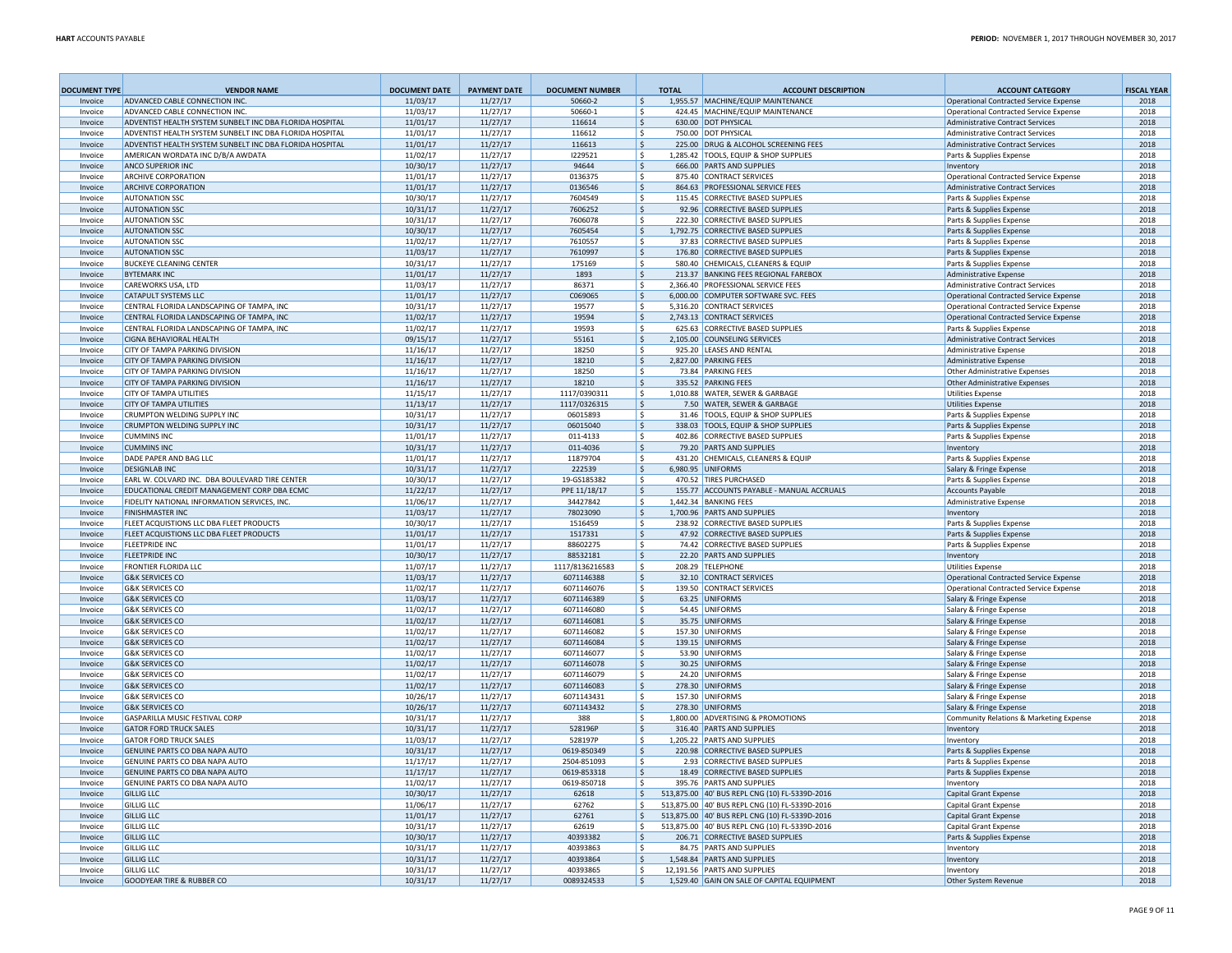| <b>DOCUMENT TYPE</b> | <b>VENDOR NAME</b>                                                                         | <b>DOCUMENT DATE</b> | <b>PAYMENT DATE</b>  | <b>DOCUMENT NUMBER</b>   | <b>TOTAL</b>       | <b>ACCOUNT DESCRIPTION</b>                                            | <b>ACCOUNT CATEGORY</b>                                                                  | <b>FISCAL YEAR</b> |
|----------------------|--------------------------------------------------------------------------------------------|----------------------|----------------------|--------------------------|--------------------|-----------------------------------------------------------------------|------------------------------------------------------------------------------------------|--------------------|
| Invoice              | ADVANCED CABLE CONNECTION INC                                                              | 11/03/17             | 11/27/17             | 50660-2                  | Ś                  | 1,955.57 MACHINE/EQUIP MAINTENANCE                                    | <b>Operational Contracted Service Expense</b>                                            | 2018               |
| Invoice<br>Invoice   | ADVANCED CABLE CONNECTION INC.<br>ADVENTIST HEALTH SYSTEM SUNBELT INC DBA FLORIDA HOSPITAL | 11/03/17<br>11/01/17 | 11/27/17<br>11/27/17 | 50660-1<br>116614        | S<br>$\mathsf{S}$  | 424.45 MACHINE/EQUIP MAINTENANCE<br>630.00 DOT PHYSICAL               | <b>Operational Contracted Service Expense</b><br><b>Administrative Contract Services</b> | 2018<br>2018       |
| Invoice              | ADVENTIST HEALTH SYSTEM SUNBELT INC DBA FLORIDA HOSPITAL                                   | 11/01/17             | 11/27/17             | 116612                   | -S                 | 750.00 DOT PHYSICAL                                                   | <b>Administrative Contract Services</b>                                                  | 2018               |
| Invoice              | ADVENTIST HEALTH SYSTEM SUNBELT INC DBA FLORIDA HOSPITAL                                   | 11/01/17             | 11/27/17             | 116613                   | \$                 | 225.00 DRUG & ALCOHOL SCREENING FEES                                  | <b>Administrative Contract Services</b>                                                  | 2018               |
| Invoice              | AMERICAN WORDATA INC D/B/A AWDATA                                                          | 11/02/17             | 11/27/17             | 1229521                  | s.                 | 1,285.42 TOOLS, EQUIP & SHOP SUPPLIES                                 | Parts & Supplies Expense                                                                 | 2018               |
| Invoice              | ANCO SUPERIOR INC                                                                          | 10/30/17             | 11/27/17             | 94644                    | -S                 | 666.00 PARTS AND SUPPLIES                                             | Inventory                                                                                | 2018               |
| Invoice              | <b>ARCHIVE CORPORATION</b>                                                                 | 11/01/17             | 11/27/17             | 0136375                  | <sub>S</sub>       | 875.40 CONTRACT SERVICES                                              | <b>Operational Contracted Service Expense</b>                                            | 2018               |
| Invoice              | <b>ARCHIVE CORPORATION</b>                                                                 | 11/01/17             | 11/27/17             | 0136546                  | Ś                  | 864.63 PROFESSIONAL SERVICE FEES                                      | <b>Administrative Contract Services</b>                                                  | 2018               |
| Invoice              | <b>AUTONATION SSC</b>                                                                      | 10/30/17             | 11/27/17             | 7604549                  | Ś                  | 115.45 CORRECTIVE BASED SUPPLIES                                      | Parts & Supplies Expense                                                                 | 2018               |
| Invoice              | <b>AUTONATION SSC</b>                                                                      | 10/31/17             | 11/27/17             | 7606252                  | $\mathsf{S}$       | 92.96 CORRECTIVE BASED SUPPLIES                                       | Parts & Supplies Expense                                                                 | 2018               |
| Invoice              | <b>AUTONATION SSC</b>                                                                      | 10/31/17             | 11/27/17             | 7606078                  | $\mathsf{S}$       | 222.30 CORRECTIVE BASED SUPPLIES                                      | Parts & Supplies Expense                                                                 | 2018               |
| Invoice<br>Invoice   | <b>AUTONATION SSC</b><br><b>AUTONATION SSC</b>                                             | 10/30/17<br>11/02/17 | 11/27/17<br>11/27/17 | 7605454<br>7610557       | \$<br>Ŝ.           | 1,792.75 CORRECTIVE BASED SUPPLIES<br>37.83 CORRECTIVE BASED SUPPLIES | Parts & Supplies Expense<br>Parts & Supplies Expense                                     | 2018<br>2018       |
| Invoice              | <b>AUTONATION SSC</b>                                                                      | 11/03/17             | 11/27/17             | 7610997                  | $\mathsf{\$}$      | 176.80 CORRECTIVE BASED SUPPLIES                                      | Parts & Supplies Expense                                                                 | 2018               |
| Invoice              | <b>BUCKEYE CLEANING CENTER</b>                                                             | 10/31/17             | 11/27/17             | 175169                   | <sup>S</sup>       | 580.40 CHEMICALS, CLEANERS & EQUIP                                    | Parts & Supplies Expense                                                                 | 2018               |
| Invoice              | <b>BYTEMARK INC</b>                                                                        | 11/01/17             | 11/27/17             | 1893                     | $\mathsf S$        | 213.37 BANKING FFFS REGIONAL FAREBOX                                  | <b>Administrative Expense</b>                                                            | 2018               |
| Invoice              | CAREWORKS USA, LTD                                                                         | 11/03/17             | 11/27/17             | 86371                    | <sup>S</sup>       | 2.366.40 PROFESSIONAL SERVICE FEES                                    | <b>Administrative Contract Services</b>                                                  | 2018               |
| Invoice              | <b>CATAPULT SYSTEMS LLC</b>                                                                | 11/01/17             | 11/27/17             | C069065                  | Ŝ.                 | 6.000.00 COMPUTER SOFTWARE SVC. FEES                                  | <b>Operational Contracted Service Expense</b>                                            | 2018               |
| Invoice              | CENTRAL FLORIDA LANDSCAPING OF TAMPA, INC                                                  | 10/31/17             | 11/27/17             | 19577                    | -S                 | 5,316.20 CONTRACT SERVICES                                            | <b>Operational Contracted Service Expense</b>                                            | 2018               |
| Invoice              | CENTRAL FLORIDA LANDSCAPING OF TAMPA. INC.                                                 | 11/02/17             | 11/27/17             | 19594                    | Ŝ.                 | 2,743.13 CONTRACT SERVICES                                            | <b>Operational Contracted Service Expense</b>                                            | 2018               |
| Invoice              | CENTRAL FLORIDA LANDSCAPING OF TAMPA, INC                                                  | 11/02/17             | 11/27/17             | 19593                    | s.                 | 625.63 CORRECTIVE BASED SUPPLIES                                      | Parts & Supplies Expense                                                                 | 2018               |
| Invoice              | <b>CIGNA BEHAVIORAL HEALTH</b>                                                             | 09/15/17             | 11/27/17             | 55161                    | \$                 | 2.105.00 COUNSELING SERVICES                                          | <b>Administrative Contract Services</b>                                                  | 2018               |
| Invoice              | CITY OF TAMPA PARKING DIVISION                                                             | 11/16/17             | 11/27/17             | 18250                    | s.<br>$\mathsf{S}$ | 925.20 LEASES AND RENTAL                                              | <b>Administrative Expense</b><br><b>Administrative Expense</b>                           | 2018               |
| Invoice              | <b>CITY OF TAMPA PARKING DIVISION</b><br>CITY OF TAMPA PARKING DIVISION                    | 11/16/17<br>11/16/17 | 11/27/17<br>11/27/17 | 18210<br>18250           | $\mathsf{\hat{S}}$ | 2,827.00 PARKING FEES<br>73.84 PARKING FEES                           |                                                                                          | 2018<br>2018       |
| Invoice<br>Invoice   | <b>CITY OF TAMPA PARKING DIVISION</b>                                                      | 11/16/17             | 11/27/17             | 18210                    | Ŝ.                 | 335.52 PARKING FEES                                                   | <b>Other Administrative Expenses</b><br><b>Other Administrative Expenses</b>             | 2018               |
| Invoice              | <b>CITY OF TAMPA UTILITIES</b>                                                             | 11/15/17             | 11/27/17             | 1117/0390311             | $\mathsf{\hat{S}}$ | 1.010.88 WATER, SEWER & GARBAGE                                       | <b>Utilities Expense</b>                                                                 | 2018               |
| Invoice              | <b>CITY OF TAMPA UTILITIES</b>                                                             | 11/13/17             | 11/27/17             | 1117/0326315             | -\$                | 7.50 WATER, SEWER & GARBAGE                                           | <b>Utilities Expense</b>                                                                 | 2018               |
| Invoice              | CRUMPTON WELDING SUPPLY INC                                                                | 10/31/17             | 11/27/17             | 06015893                 | \$                 | 31.46 TOOLS, FOUIP & SHOP SUPPLIES                                    | Parts & Supplies Expense                                                                 | 2018               |
| Invoice              | <b>CRUMPTON WELDING SUPPLY INC</b>                                                         | 10/31/17             | 11/27/17             | 06015040                 | $\mathsf{S}$       | 338.03 TOOLS, EQUIP & SHOP SUPPLIES                                   | Parts & Supplies Expense                                                                 | 2018               |
| Invoice              | <b>CUMMINS INC</b>                                                                         | 11/01/17             | 11/27/17             | 011-4133                 | Ŝ.                 | 402.86 CORRECTIVE BASED SUPPLIES                                      | Parts & Supplies Expense                                                                 | 2018               |
| Invoice              | <b>CUMMINS INC</b>                                                                         | 10/31/17             | 11/27/17             | 011-4036                 | \$                 | 79.20 PARTS AND SUPPLIES                                              | Inventory                                                                                | 2018               |
| Invoice              | DADE PAPER AND BAG LLC                                                                     | 11/01/17             | 11/27/17             | 11879704                 | \$                 | 431.20 CHEMICALS, CLEANERS & EQUIP                                    | Parts & Supplies Expense                                                                 | 2018               |
| Invoice              | <b>DESIGNLAB INC</b>                                                                       | 10/31/17             | 11/27/17             | 222539                   | <sub>S</sub>       | 6.980.95 UNIFORMS                                                     | Salary & Fringe Expense                                                                  | 2018               |
| Invoice              | EARL W. COLVARD INC. DBA BOULEVARD TIRE CENTER                                             | 10/30/17             | 11/27/17             | 19-GS185382              | <sub>S</sub>       | 470.52 TIRES PURCHASED                                                | Parts & Supplies Expense                                                                 | 2018               |
| Invoice              | EDUCATIONAL CREDIT MANAGEMENT CORP DBA ECMC                                                | 11/22/17             | 11/27/17             | PPE 11/18/17             | $\mathsf{S}$       | 155.77 ACCOUNTS PAYABLE - MANUAL ACCRUALS                             | <b>Accounts Payable</b>                                                                  | 2018               |
| Invoice              | FIDELITY NATIONAL INFORMATION SERVICES, INC.                                               | 11/06/17             | 11/27/17             | 34427842                 | S.                 | 1,442.34 BANKING FEES                                                 | <b>Administrative Expense</b>                                                            | 2018               |
| Invoice              | <b>FINISHMASTER INC</b><br>FLEET ACQUISTIONS LLC DBA FLEET PRODUCTS                        | 11/03/17<br>10/30/17 | 11/27/17<br>11/27/17 | 78023090<br>1516459      | \$<br>$\mathsf{S}$ | 1,700.96 PARTS AND SUPPLIES<br>238.92 CORRECTIVE BASED SUPPLIES       | Inventory                                                                                | 2018<br>2018       |
| Invoice<br>Invoice   | FLEET ACQUISTIONS LLC DBA FLEET PRODUCTS                                                   | 11/01/17             | 11/27/17             | 1517331                  | Ŝ.                 | 47.92 CORRECTIVE BASED SUPPLIES                                       | Parts & Supplies Expense<br>Parts & Supplies Expense                                     | 2018               |
| Invoice              | <b>FLEETPRIDE INC</b>                                                                      | 11/01/17             | 11/27/17             | 88602275                 | Ŝ.                 | 74.42 CORRECTIVE BASED SUPPLIES                                       | Parts & Supplies Expense                                                                 | 2018               |
| Invoice              | <b>FLEETPRIDE INC</b>                                                                      | 10/30/17             | 11/27/17             | 88532181                 | <sub>S</sub>       | 22.20 PARTS AND SUPPLIES                                              | Inventon                                                                                 | 2018               |
| Invoice              | <b>FRONTIER FLORIDA LLC</b>                                                                | 11/07/17             | 11/27/17             | 1117/8136216583          | <sup>S</sup>       | 208.29 TELEPHONE                                                      | <b>Utilities Expense</b>                                                                 | 2018               |
| Invoice              | <b>G&amp;K SERVICES CO</b>                                                                 | 11/03/17             | 11/27/17             | 6071146388               | -S                 | 32.10 CONTRACT SERVICES                                               | <b>Operational Contracted Service Expense</b>                                            | 2018               |
| Invoice              | <b>G&amp;K SERVICES CO</b>                                                                 | 11/02/17             | 11/27/17             | 6071146076               | <sub>S</sub>       | 139.50 CONTRACT SERVICES                                              | <b>Operational Contracted Service Expense</b>                                            | 2018               |
| Invoice              | <b>G&amp;K SERVICES CO</b>                                                                 | 11/03/17             | 11/27/17             | 6071146389               | Ŝ.                 | 63.25 UNIFORMS                                                        | Salary & Fringe Expense                                                                  | 2018               |
| Invoice              | <b>G&amp;K SERVICES CO</b>                                                                 | 11/02/17             | 11/27/17             | 6071146080               | <sub>S</sub>       | 54.45 UNIFORMS                                                        | Salary & Fringe Expense                                                                  | 2018               |
| Invoice              | <b>G&amp;K SERVICES CO</b>                                                                 | 11/02/17             | 11/27/17             | 6071146081               | Ŝ.                 | 35.75 UNIFORMS                                                        | Salary & Fringe Expense                                                                  | 2018               |
| Invoice              | <b>G&amp;K SERVICES CO</b>                                                                 | 11/02/17             | 11/27/17             | 6071146082               | s.                 | 157.30 UNIFORMS                                                       | Salary & Fringe Expense                                                                  | 2018               |
| Invoice              | <b>G&amp;K SERVICES CO</b>                                                                 | 11/02/17             | 11/27/17             | 6071146084               | \$                 | 139.15 UNIFORMS                                                       | Salary & Fringe Expense                                                                  | 2018               |
| Invoice              | <b>G&amp;K SERVICES CO</b>                                                                 | 11/02/17             | 11/27/17             | 6071146077               | <sub>S</sub>       | 53.90 UNIFORMS                                                        | Salary & Fringe Expense                                                                  | 2018               |
| Invoice<br>Invoice   | <b>G&amp;K SERVICES CO</b><br><b>G&amp;K SERVICES CO</b>                                   | 11/02/17             | 11/27/17             | 6071146078<br>6071146079 | <sub>S</sub><br>Ś  | 30.25 UNIFORMS<br>24.20 UNIFORMS                                      | Salary & Fringe Expense                                                                  | 2018<br>2018       |
| Invoice              | <b>G&amp;K SERVICES CO</b>                                                                 | 11/02/17<br>11/02/17 | 11/27/17<br>11/27/17 | 6071146083               | <sub>S</sub>       | 278.30 UNIFORMS                                                       | Salary & Fringe Expense<br>Salary & Fringe Expense                                       | 2018               |
| Invoice              | <b>G&amp;K SERVICES CO</b>                                                                 | 10/26/17             | 11/27/17             | 6071143431               | $\mathsf{S}$       | 157.30 UNIFORMS                                                       | Salary & Fringe Expense                                                                  | 2018               |
| Invoice              | <b>G&amp;K SERVICES CO</b>                                                                 | 10/26/17             | 11/27/17             | 6071143432               | $\mathsf{S}$       | 278.30 UNIFORMS                                                       | Salary & Fringe Expense                                                                  | 2018               |
| Invoice              | GASPARILLA MUSIC FESTIVAL CORP                                                             | 10/31/17             | 11/27/17             | 388                      | \$                 | 1,800.00 ADVERTISING & PROMOTIONS                                     | Community Relations & Marketing Expense                                                  | 2018               |
| Invoice              | <b>GATOR FORD TRUCK SALES</b>                                                              | 10/31/17             | 11/27/17             | 528196P                  | $\mathsf{S}$       | 316.40 PARTS AND SUPPLIES                                             | Inventory                                                                                | 2018               |
| Invoice              | <b>GATOR FORD TRUCK SALES</b>                                                              | 11/03/17             | 11/27/17             | 528197P                  | s.                 | 1,205.22 PARTS AND SUPPLIES                                           | Inventory                                                                                | 2018               |
| Invoice              | GENUINE PARTS CO DBA NAPA AUTO                                                             | 10/31/17             | 11/27/17             | 0619-850349              | <sub>S</sub>       | 220.98 CORRECTIVE BASED SUPPLIES                                      | Parts & Supplies Expense                                                                 | 2018               |
| Invoice              | GENUINE PARTS CO DBA NAPA AUTO                                                             | 11/17/17             | 11/27/17             | 2504-851093              | <sub>S</sub>       | 2.93 CORRECTIVE BASED SUPPLIES                                        | Parts & Supplies Expense                                                                 | 2018               |
| Invoice              | GENUINE PARTS CO DBA NAPA AUTO                                                             | 11/17/17             | 11/27/17             | 0619-853318              | <sup>S</sup>       | 18.49 CORRECTIVE BASED SUPPLIES                                       | Parts & Supplies Expense                                                                 | 2018               |
| Invoice              | GENUINE PARTS CO DBA NAPA AUTO                                                             | 11/02/17             | 11/27/17             | 0619-850718              | <sub>S</sub>       | 395.76 PARTS AND SUPPLIES                                             | Inventory                                                                                | 2018               |
| Invoice              | <b>GILLIG LLC</b>                                                                          | 10/30/17             | 11/27/17             | 62618                    | $\mathsf{S}$       | 513,875.00 40' BUS REPL CNG (10) FL-5339D-2016                        | Capital Grant Expense                                                                    | 2018               |
| Invoice              | <b>GILLIG LLC</b>                                                                          | 11/06/17             | 11/27/17             | 62762                    | \$                 | 513,875.00 40' BUS REPL CNG (10) FL-5339D-2016                        | <b>Capital Grant Expense</b>                                                             | 2018               |
| Invoice              | <b>GILLIG LLC</b>                                                                          | 11/01/17             | 11/27/17             | 62761                    | $\mathsf{S}$       | 513,875.00 40' BUS REPL CNG (10) FL-5339D-2016                        | <b>Capital Grant Expense</b>                                                             | 2018               |
| Invoice              | <b>GILLIG LLC</b>                                                                          | 10/31/17             | 11/27/17             | 62619                    | S.                 | 513,875.00 40' BUS REPL CNG (10) FL-5339D-2016                        | Capital Grant Expense                                                                    | 2018               |
| Invoice              | <b>GILLIG LLC</b><br><b>GILLIG LLC</b>                                                     | 10/30/17             | 11/27/17             | 40393382<br>40393863     | <sub>S</sub><br>Š  | 206.71 CORRECTIVE BASED SUPPLIES<br>84.75 PARTS AND SUPPLIES          | Parts & Supplies Expense                                                                 | 2018<br>2018       |
| Invoice<br>Invoice   | <b>GILLIG LLC</b>                                                                          | 10/31/17<br>10/31/17 | 11/27/17<br>11/27/17 | 40393864                 | <sub>S</sub>       | 1,548.84 PARTS AND SUPPLIES                                           | Inventory<br>Inventory                                                                   | 2018               |
| Invoice              | <b>GILLIG LLC</b>                                                                          | 10/31/17             | 11/27/17             | 40393865                 | -Ŝ                 | 12,191.56 PARTS AND SUPPLIES                                          | Inventory                                                                                | 2018               |
| Invoice              | <b>GOODYEAR TIRE &amp; RUBBER CO</b>                                                       | 10/31/17             | 11/27/17             | 0089324533               | -Ś                 | 1,529.40 GAIN ON SALE OF CAPITAL EQUIPMENT                            | Other System Revenue                                                                     | 2018               |
|                      |                                                                                            |                      |                      |                          |                    |                                                                       |                                                                                          |                    |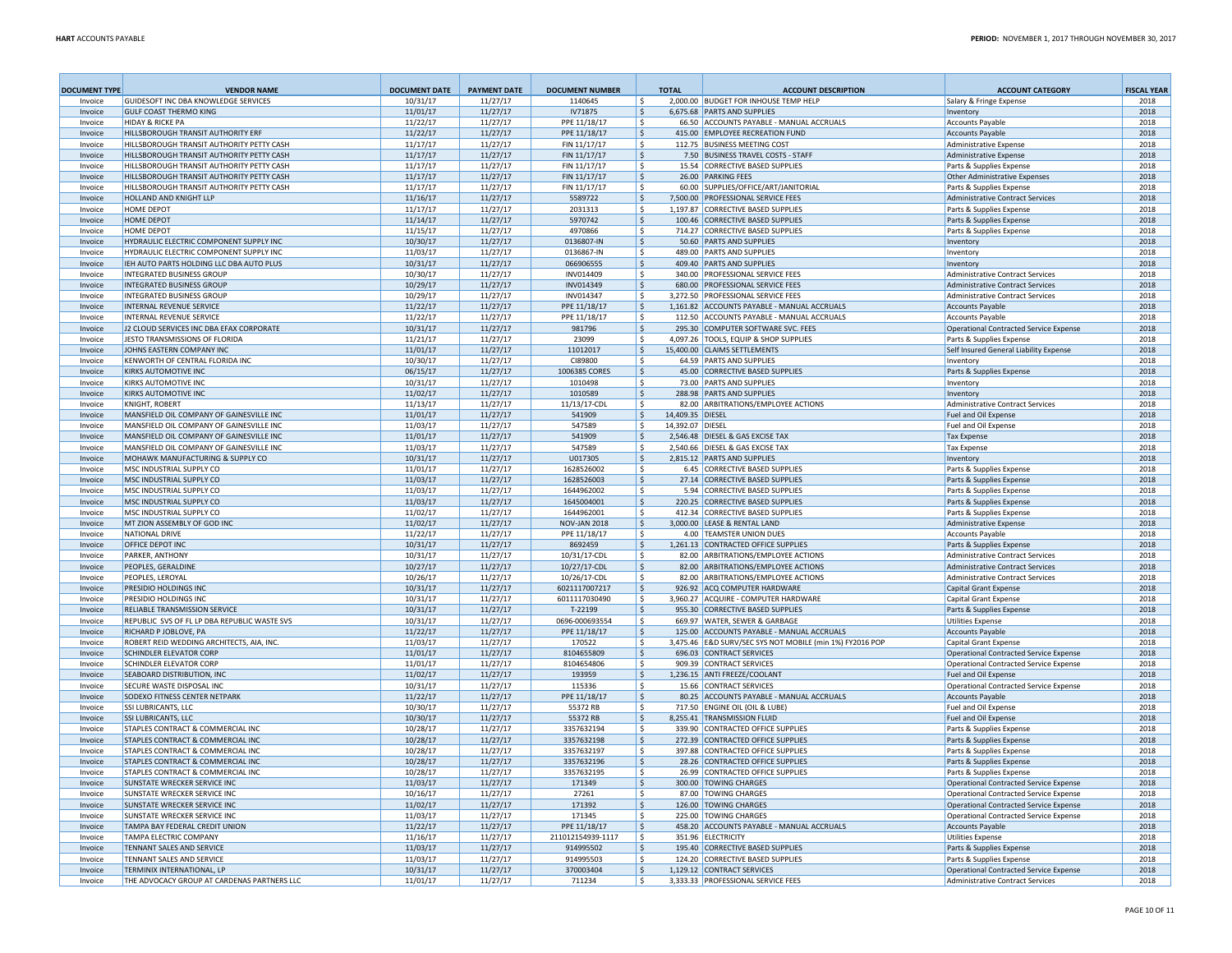| <b>DOCUMENT TYPE</b> | <b>VENDOR NAME</b>                                                            | <b>DOCUMENT DATE</b> | <b>PAYMENT DATE</b>  | <b>DOCUMENT NUMBER</b>    | <b>TOTAL</b>       | <b>ACCOUNT DESCRIPTION</b>                                               | <b>ACCOUNT CATEGORY</b>                                             | <b>FISCAL YEAR</b> |
|----------------------|-------------------------------------------------------------------------------|----------------------|----------------------|---------------------------|--------------------|--------------------------------------------------------------------------|---------------------------------------------------------------------|--------------------|
| Invoice              | GUIDESOFT INC DBA KNOWLEDGE SERVICES                                          | 10/31/17             | 11/27/17             | 1140645                   | ۱s                 | 2,000.00 BUDGET FOR INHOUSE TEMP HELP                                    | Salary & Fringe Expense                                             | 2018               |
| Invoice              | <b>GULF COAST THERMO KING</b>                                                 | 11/01/17             | 11/27/17             | IV71875                   | ۱\$                | 6.675.68 PARTS AND SUPPLIES                                              | Inventory                                                           | 2018               |
| Invoice              | <b>HIDAY &amp; RICKE PA</b>                                                   | 11/22/17             | 11/27/17             | PPE 11/18/17              | l \$               | 66.50 ACCOUNTS PAYABLE - MANUAL ACCRUALS                                 | <b>Accounts Pavable</b>                                             | 2018               |
| Invoice              | HILLSBOROUGH TRANSIT AUTHORITY ERF                                            | 11/22/17             | 11/27/17             | PPE 11/18/17              | <u>ي</u>           | 415.00 EMPLOYEE RECREATION FUND                                          | <b>Accounts Payable</b>                                             | 2018               |
| Invoice              | HILLSBOROUGH TRANSIT AUTHORITY PETTY CASH                                     | 11/17/17             | 11/27/17             | FIN 11/17/17              | ۱s                 | 112.75 BUSINESS MEETING COST                                             | <b>Administrative Expense</b>                                       | 2018               |
| Invoice              | HILLSBOROUGH TRANSIT AUTHORITY PETTY CASH                                     | 11/17/17             | 11/27/17             | FIN 11/17/17              | ۱\$                | 7.50 BUSINESS TRAVEL COSTS - STAFF                                       | <b>Administrative Expense</b>                                       | 2018               |
| Invoice              | HILLSBOROUGH TRANSIT AUTHORITY PETTY CASH                                     | 11/17/17             | 11/27/17             | FIN 11/17/17              | ۱s                 | 15.54 CORRECTIVE BASED SUPPLIES                                          | Parts & Supplies Expense                                            | 2018               |
| Invoice              | HILLSBOROUGH TRANSIT AUTHORITY PETTY CASH                                     | 11/17/17             | 11/27/17             | FIN 11/17/17              | S,                 | 26.00 PARKING FEES                                                       | <b>Other Administrative Expenses</b>                                | 2018               |
| Invoice              | HILLSBOROUGH TRANSIT AUTHORITY PETTY CASH<br>HOLLAND AND KNIGHT LLP           | 11/17/17             | 11/27/17             | FIN 11/17/17              | l \$               | 60.00 SUPPLIES/OFFICE/ART/JANITORIAL                                     | Parts & Supplies Expense                                            | 2018               |
| Invoice<br>Invoice   | HOME DEPOT                                                                    | 11/16/17             | 11/27/17             | 5589722<br>2031313        | S,                 | 7,500.00 PROFESSIONAL SERVICE FEES<br>1,197.87 CORRECTIVE BASED SUPPLIES | <b>Administrative Contract Services</b><br>Parts & Supplies Expense | 2018<br>2018       |
| Invoice              | HOME DEPOT                                                                    | 11/17/17<br>11/14/17 | 11/27/17<br>11/27/17 | 5970742                   | l \$               | 100.46 CORRECTIVE BASED SUPPLIES                                         |                                                                     | 2018               |
|                      | HOME DEPOT                                                                    |                      |                      | 4970866                   | \$<br>۱s           | 714.27 CORRECTIVE BASED SUPPLIES                                         | Parts & Supplies Expense                                            | 2018               |
| Invoice<br>Invoice   | HYDRAULIC ELECTRIC COMPONENT SUPPLY INC                                       | 11/15/17<br>10/30/17 | 11/27/17<br>11/27/17 | 0136807-IN                |                    | 50.60 PARTS AND SUPPLIES                                                 | Parts & Supplies Expense<br>Inventory                               | 2018               |
| Invoice              | HYDRAULIC ELECTRIC COMPONENT SUPPLY INC                                       | 11/03/17             | 11/27/17             | 0136867-IN                | ۱\$<br>١\$         | 489.00 PARTS AND SUPPLIES                                                | Inventory                                                           | 2018               |
| Invoice              | IEH AUTO PARTS HOLDING LLC DBA AUTO PLUS                                      | 10/31/17             | 11/27/17             | 066906555                 | ۱\$                | 409.40 PARTS AND SUPPLIES                                                | Inventory                                                           | 2018               |
| Invoice              | <b>INTEGRATED BUSINESS GROUP</b>                                              | 10/30/17             | 11/27/17             | INV014409                 | l \$               | 340.00 PROFESSIONAL SERVICE FEES                                         | <b>Administrative Contract Services</b>                             | 2018               |
| Invoice              | INTEGRATED BUSINESS GROUP                                                     | 10/29/17             | 11/27/17             | INV014349                 | ۱\$.               | 680.00 PROFESSIONAL SERVICE FEES                                         | <b>Administrative Contract Services</b>                             | 2018               |
| Invoice              | INTEGRATED BUSINESS GROUP                                                     | 10/29/17             | 11/27/17             | INV014347                 | ۱\$                | 3,272.50 PROFESSIONAL SERVICE FEES                                       | <b>Administrative Contract Services</b>                             | 2018               |
| Invoice              | INTERNAL REVENUE SERVICE                                                      | 11/22/17             | 11/27/17             | PPE 11/18/17              | ۱\$.               | 1,161.82 ACCOUNTS PAYABLE - MANUAL ACCRUALS                              | <b>Accounts Payable</b>                                             | 2018               |
| Invoice              | INTERNAL REVENUE SERVICE                                                      | 11/22/17             | 11/27/17             | PPE 11/18/17              | ١\$                | 112.50 ACCOUNTS PAYABLE - MANUAL ACCRUALS                                | <b>Accounts Pavable</b>                                             | 2018               |
| Invoice              | J2 CLOUD SERVICES INC DBA EFAX CORPORATE                                      | 10/31/17             | 11/27/17             | 981796                    | S,                 | 295.30 COMPUTER SOFTWARE SVC. FEES                                       | <b>Operational Contracted Service Expense</b>                       | 2018               |
| Invoice              | JESTO TRANSMISSIONS OF FLORIDA                                                | 11/21/17             | 11/27/17             | 23099                     | ١\$                | 4.097.26 TOOLS. FOUIP & SHOP SUPPLIES                                    | Parts & Supplies Expense                                            | 2018               |
| Invoice              | <b>JOHNS FASTERN COMPANY INC.</b>                                             | 11/01/17             | 11/27/17             | 11012017                  | S,                 | 15,400.00 CLAIMS SETTLEMENTS                                             | Self Insured General Liability Expense                              | 2018               |
| Invoice              | KENWORTH OF CENTRAL FLORIDA INC                                               | 10/30/17             | 11/27/17             | CI89800                   | ۱\$                | 64.59 PARTS AND SUPPLIES                                                 | Inventory                                                           | 2018               |
| Invoice              | KIRKS AUTOMOTIVE INC.                                                         | 06/15/17             | 11/27/17             | 1006385 CORES             | \$                 | 45.00 CORRECTIVE BASED SUPPLIES                                          | Parts & Supplies Expense                                            | 2018               |
| Invoice              | KIRKS AUTOMOTIVE INC                                                          | 10/31/17             | 11/27/17             | 1010498                   | ۱\$                | 73.00 PARTS AND SUPPLIES                                                 | Inventory                                                           | 2018               |
| Invoice              | KIRKS AUTOMOTIVE INC                                                          | 11/02/17             | 11/27/17             | 1010589                   | S,                 | 288.98 PARTS AND SUPPLIES                                                | Inventory                                                           | 2018               |
| Invoice              | <b>KNIGHT, ROBERT</b>                                                         | 11/13/17             | 11/27/17             | 11/13/17-CDL              | ۱\$                | 82.00 ARBITRATIONS/EMPLOYEE ACTIONS                                      | <b>Administrative Contract Services</b>                             | 2018               |
| Invoice              | MANSFIELD OIL COMPANY OF GAINESVILLE INC                                      | 11/01/17             | 11/27/17             | 541909                    | ۱\$                | 14,409.35 DIESEL                                                         | Fuel and Oil Expense                                                | 2018               |
| Invoice              | MANSFIELD OIL COMPANY OF GAINESVILLE INC                                      | 11/03/17             | 11/27/17             | 547589                    | ١s                 | 14.392.07 DIESEL                                                         | Fuel and Oil Expense                                                | 2018               |
| Invoice              | MANSFIELD OIL COMPANY OF GAINESVILLE INC                                      | 11/01/17             | 11/27/17             | 541909                    | ١\$                | 2,546.48 DIESEL & GAS EXCISE TAX                                         | <b>Tax Expense</b>                                                  | 2018               |
| Invoice              | MANSFIELD OIL COMPANY OF GAINESVILLE INC                                      | 11/03/17             | 11/27/17             | 547589                    | ١s                 | 2.540.66 DIESEL & GAS EXCISE TAX                                         | <b>Tax Expense</b>                                                  | 2018               |
| Invoice              | MOHAWK MANUFACTURING & SUPPLY CO                                              | 10/31/17             | 11/27/17             | U017305                   | ١\$                | 2,815.12 PARTS AND SUPPLIES                                              | Inventory                                                           | 2018               |
| Invoice              | MSC INDUSTRIAL SUPPLY CO                                                      | 11/01/17             | 11/27/17             | 1628526002                | ۱\$                | 6.45 CORRECTIVE BASED SUPPLIES                                           | Parts & Supplies Expense                                            | 2018               |
| Invoice              | MSC INDUSTRIAL SUPPLY CO                                                      | 11/03/17             | 11/27/17             | 1628526003                | l\$                | 27.14 CORRECTIVE BASED SUPPLIES                                          | Parts & Supplies Expense                                            | 2018               |
| Invoice              | MSC INDUSTRIAL SUPPLY CO                                                      | 11/03/17             | 11/27/17             | 1644962002                | l \$               | 5.94 CORRECTIVE BASED SUPPLIES                                           | Parts & Supplies Expense                                            | 2018               |
| Invoice              | MSC INDUSTRIAL SUPPLY CO                                                      | 11/03/17             | 11/27/17             | 1645004001                | ۱Ś                 | 220.25 CORRECTIVE BASED SUPPLIES                                         | Parts & Supplies Expense                                            | 2018               |
| Invoice              | MSC INDUSTRIAL SUPPLY CO                                                      | 11/02/17             | 11/27/17             | 1644962001                | l \$               | 412.34 CORRECTIVE BASED SUPPLIES                                         | Parts & Supplies Expense                                            | 2018               |
| Invoice              | MT ZION ASSEMBLY OF GOD INC                                                   | 11/02/17             | 11/27/17             | <b>NOV-JAN 2018</b>       | \$                 | 3.000.00 LEASE & RENTAL LAND                                             | <b>Administrative Expense</b>                                       | 2018               |
| Invoice              | NATIONAL DRIVE                                                                | 11/22/17             | 11/27/17             | PPE 11/18/17              | l \$               | 4.00 TEAMSTER UNION DUES                                                 | <b>Accounts Pavable</b>                                             | 2018               |
| Invoice              | OFFICE DEPOT INC                                                              | 10/31/17             | 11/27/17             | 8692459                   | S,                 | 1.261.13 CONTRACTED OFFICE SUPPLIES                                      | Parts & Supplies Expense                                            | 2018               |
| Invoice              | PARKER, ANTHONY                                                               | 10/31/17             | 11/27/17             | 10/31/17-CDL              | l \$               | 82.00 ARBITRATIONS/EMPLOYEE ACTIONS                                      | <b>Administrative Contract Services</b>                             | 2018               |
| Invoice              | PEOPLES, GERALDINE                                                            | 10/27/17             | 11/27/17             | 10/27/17-CDL              | S,                 | 82.00 ARBITRATIONS/EMPLOYEE ACTIONS                                      | <b>Administrative Contract Services</b>                             | 2018               |
| Invoice              | PFOPLES, LEROYAL                                                              | 10/26/17             | 11/27/17             | 10/26/17-CDL              | ۱s                 | 82.00 ARBITRATIONS/EMPLOYEE ACTIONS                                      | <b>Administrative Contract Services</b>                             | 2018               |
| Invoice              | PRESIDIO HOLDINGS INC                                                         | 10/31/17             | 11/27/17             | 6021117007217             | ۱\$                | 926.92 ACQ COMPUTER HARDWARE                                             | Capital Grant Expense                                               | 2018               |
| Invoice              | PRESIDIO HOLDINGS INC                                                         | 10/31/17             | 11/27/17             | 6011117030490             | l \$               | 3.960.27 ACQUIRE - COMPUTER HARDWARE                                     | Capital Grant Expense                                               | 2018               |
| Invoice              | RELIABLE TRANSMISSION SERVICE<br>REPUBLIC SVS OF FL LP DBA REPUBLIC WASTE SVS | 10/31/17             | 11/27/17             | T-22199<br>0696-000693554 | ۱\$                | 955.30 CORRECTIVE BASED SUPPLIES<br>669.97 WATER, SEWER & GARBAGE        | Parts & Supplies Expense                                            | 2018<br>2018       |
| Invoice<br>Invoice   | RICHARD P JOBLOVE, PA                                                         | 10/31/17<br>11/22/17 | 11/27/17<br>11/27/17 | PPE 11/18/17              | ١\$<br>S,          | 125.00 ACCOUNTS PAYABLE - MANUAL ACCRUALS                                | <b>Utilities Expense</b><br><b>Accounts Pavable</b>                 | 2018               |
| Invoice              | ROBERT REID WEDDING ARCHITECTS, AIA, INC.                                     | 11/03/17             | 11/27/17             | 170522                    | ۱\$                | 3,475.46 E&D SURV/SEC SYS NOT MOBILE (min 1%) FY2016 POP                 | Capital Grant Expense                                               | 2018               |
| Invoice              | SCHINDLER ELEVATOR CORP                                                       | 11/01/17             | 11/27/17             | 8104655809                | S.                 | 696.03 CONTRACT SERVICES                                                 | <b>Operational Contracted Service Expense</b>                       | 2018               |
| Invoice              | SCHINDLER ELEVATOR CORP                                                       | 11/01/17             | 11/27/17             | 8104654806                | l \$               | 909.39 CONTRACT SERVICES                                                 | <b>Operational Contracted Service Expense</b>                       | 2018               |
| Invoice              | SEABOARD DISTRIBUTION, INC                                                    | 11/02/17             | 11/27/17             | 193959                    | ۱s                 | 1,236.15 ANTI FREEZE/COOLANT                                             | Fuel and Oil Expense                                                | 2018               |
| Invoice              | SECURE WASTE DISPOSAL INC                                                     | 10/31/17             | 11/27/17             | 115336                    | ۱s                 | 15.66 CONTRACT SERVICES                                                  | <b>Operational Contracted Service Expense</b>                       | 2018               |
| Invoice              | SODEXO FITNESS CENTER NETPARK                                                 | 11/22/17             | 11/27/17             | PPE 11/18/17              | S,                 | 80.25 ACCOUNTS PAYABLE - MANUAL ACCRUALS                                 | <b>Accounts Payable</b>                                             | 2018               |
| Invoice              | SSI LUBRICANTS, LLC                                                           | 10/30/17             | 11/27/17             | 55372 RB                  | l \$               | 717.50 ENGINE OIL (OIL & LUBE)                                           | Fuel and Oil Expense                                                | 2018               |
| Invoice              | SSI LUBRICANTS, LLC                                                           | 10/30/17             | 11/27/17             | 55372 RB                  | ١\$                | 8,255.41 TRANSMISSION FLUID                                              | Fuel and Oil Expense                                                | 2018               |
| Invoice              | STAPLES CONTRACT & COMMERCIAL INC                                             | 10/28/17             | 11/27/17             | 3357632194                | l \$               | 339.90 CONTRACTED OFFICE SUPPLIES                                        | Parts & Supplies Expense                                            | 2018               |
| Invoice              | STAPLES CONTRACT & COMMERCIAL INC                                             | 10/28/17             | 11/27/17             | 3357632198                | ۱\$                | 272.39 CONTRACTED OFFICE SUPPLIES                                        | Parts & Supplies Expense                                            | 2018               |
| Invoice              | STAPLES CONTRACT & COMMERCIAL INC                                             | 10/28/17             | 11/27/17             | 3357632197                | ۱\$                | 397.88 CONTRACTED OFFICE SUPPLIES                                        | Parts & Supplies Expense                                            | 2018               |
| Invoice              | STAPLES CONTRACT & COMMERCIAL INC                                             | 10/28/17             | 11/27/17             | 3357632196                | l \$               | 28.26 CONTRACTED OFFICE SUPPLIES                                         | Parts & Supplies Expense                                            | 2018               |
| Invoice              | STAPLES CONTRACT & COMMERCIAL INC                                             | 10/28/17             | 11/27/17             | 3357632195                | ۱s                 | 26.99 CONTRACTED OFFICE SUPPLIES                                         | Parts & Supplies Expense                                            | 2018               |
| Invoice              | SUNSTATE WRECKER SERVICE INC                                                  | 11/03/17             | 11/27/17             | 171349                    | ١ś                 | 300.00 TOWING CHARGES                                                    | <b>Operational Contracted Service Expense</b>                       | 2018               |
| Invoice              | SUNSTATE WRECKER SERVICE INC                                                  | 10/16/17             | 11/27/17             | 27261                     | l \$               | 87.00 TOWING CHARGES                                                     | <b>Operational Contracted Service Expense</b>                       | 2018               |
| Invoice              | SUNSTATE WRECKER SERVICE INC                                                  | 11/02/17             | 11/27/17             | 171392                    | l\$                | 126.00 TOWING CHARGES                                                    | <b>Operational Contracted Service Expense</b>                       | 2018               |
| Invoice              | SUNSTATE WRECKER SERVICE INC                                                  | 11/03/17             | 11/27/17             | 171345                    | l \$               | 225.00 TOWING CHARGES                                                    | <b>Operational Contracted Service Expense</b>                       | 2018               |
| Invoice              | TAMPA BAY FEDERAL CREDIT UNION                                                | 11/22/17             | 11/27/17             | PPE 11/18/17              | l \$               | 458.20 ACCOUNTS PAYABLE - MANUAL ACCRUALS                                | <b>Accounts Payable</b>                                             | 2018               |
| Invoice              | TAMPA ELECTRIC COMPANY                                                        | 11/16/17             | 11/27/17             | 211012154939-1117         | ١s                 | 351.96 ELECTRICITY                                                       | <b>Utilities Expense</b>                                            | 2018               |
| Invoice              | <b>TENNANT SALES AND SERVICE</b>                                              | 11/03/17             | 11/27/17             | 914995502                 | $\dot{\mathbf{S}}$ | 195.40 CORRECTIVE BASED SUPPLIES                                         | Parts & Supplies Expense                                            | 2018               |
| Invoice              | TENNANT SALES AND SERVICE                                                     | 11/03/17             | 11/27/17             | 914995503                 | ١s                 | 124.20 CORRECTIVE BASED SUPPLIES                                         | Parts & Supplies Expense                                            | 2018               |
| Invoice              | TERMINIX INTERNATIONAL, LP                                                    | 10/31/17             | 11/27/17             | 370003404                 | ١\$                | 1,129.12 CONTRACT SERVICES                                               | <b>Operational Contracted Service Expense</b>                       | 2018               |
| Invoice              | THE ADVOCACY GROUP AT CARDENAS PARTNERS LLC                                   | 11/01/17             | 11/27/17             | 711234                    | ۱s                 | 3,333.33 PROFESSIONAL SERVICE FEES                                       | <b>Administrative Contract Services</b>                             | 2018               |